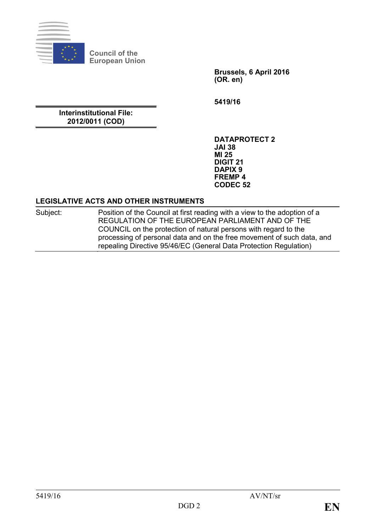

**Council of the European Union**

> **Brussels, 6 April 2016 (OR. en)**

**5419/16**

**Interinstitutional File: 2012/0011 (COD)**

> **DATAPROTECT 2 JAI 38 MI 25 DIGIT 21 DAPIX 9 FREMP 4 CODEC 52**

## **LEGISLATIVE ACTS AND OTHER INSTRUMENTS**

Subject: Position of the Council at first reading with a view to the adoption of a REGULATION OF THE EUROPEAN PARLIAMENT AND OF THE COUNCIL on the protection of natural persons with regard to the processing of personal data and on the free movement of such data, and repealing Directive 95/46/EC (General Data Protection Regulation)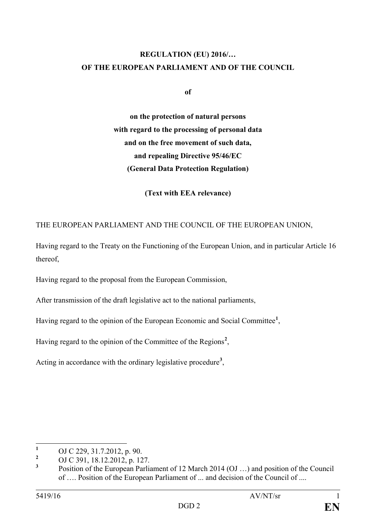## **REGULATION (EU) 2016/… OF THE EUROPEAN PARLIAMENT AND OF THE COUNCIL**

**of** 

**on the protection of natural persons with regard to the processing of personal data and on the free movement of such data, and repealing Directive 95/46/EC (General Data Protection Regulation)**

**(Text with EEA relevance)**

## THE EUROPEAN PARLIAMENT AND THE COUNCIL OF THE EUROPEAN UNION,

Having regard to the Treaty on the Functioning of the European Union, and in particular Article 16 thereof,

Having regard to the proposal from the European Commission,

After transmission of the draft legislative act to the national parliaments,

Having regard to the opinion of the European Economic and Social Committee**[1](#page-1-0)** ,

Having regard to the opinion of the Committee of the Regions<sup>[2](#page-1-1)</sup>,

Acting in accordance with the ordinary legislative procedure**[3](#page-1-2)** ,

<span id="page-1-0"></span> $\mathbf{1}$  $\frac{1}{2}$  OJ C 229, 31.7.2012, p. 90.

<span id="page-1-1"></span>**<sup>2</sup>** OJ C 391, 18.12.2012, p. 127.

<span id="page-1-2"></span>**<sup>3</sup>** Position of the European Parliament of 12 March 2014 (OJ …) and position of the Council of …. Position of the European Parliament of ... and decision of the Council of ....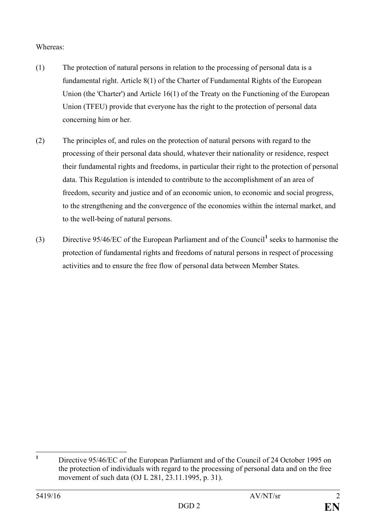## Whereas:

- (1) The protection of natural persons in relation to the processing of personal data is a fundamental right. Article 8(1) of the Charter of Fundamental Rights of the European Union (the 'Charter') and Article 16(1) of the Treaty on the Functioning of the European Union (TFEU) provide that everyone has the right to the protection of personal data concerning him or her.
- (2) The principles of, and rules on the protection of natural persons with regard to the processing of their personal data should, whatever their nationality or residence, respect their fundamental rights and freedoms, in particular their right to the protection of personal data. This Regulation is intended to contribute to the accomplishment of an area of freedom, security and justice and of an economic union, to economic and social progress, to the strengthening and the convergence of the economies within the internal market, and to the well-being of natural persons.
- (3) Directive 95/46/EC of the European Parliament and of the Council**[1](#page-2-0)** seeks to harmonise the protection of fundamental rights and freedoms of natural persons in respect of processing activities and to ensure the free flow of personal data between Member States.

<span id="page-2-0"></span> $\mathbf{1}$ **<sup>1</sup>** Directive 95/46/EC of the European Parliament and of the Council of 24 October 1995 on the protection of individuals with regard to the processing of personal data and on the free movement of such data (OJ L 281, 23.11.1995, p. 31).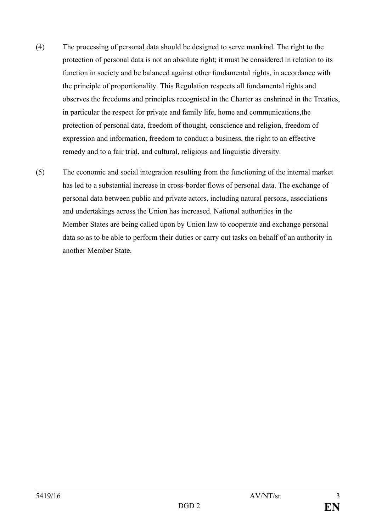- (4) The processing of personal data should be designed to serve mankind. The right to the protection of personal data is not an absolute right; it must be considered in relation to its function in society and be balanced against other fundamental rights, in accordance with the principle of proportionality. This Regulation respects all fundamental rights and observes the freedoms and principles recognised in the Charter as enshrined in the Treaties, in particular the respect for private and family life, home and communications,the protection of personal data, freedom of thought, conscience and religion, freedom of expression and information, freedom to conduct a business, the right to an effective remedy and to a fair trial, and cultural, religious and linguistic diversity.
- (5) The economic and social integration resulting from the functioning of the internal market has led to a substantial increase in cross-border flows of personal data. The exchange of personal data between public and private actors, including natural persons, associations and undertakings across the Union has increased. National authorities in the Member States are being called upon by Union law to cooperate and exchange personal data so as to be able to perform their duties or carry out tasks on behalf of an authority in another Member State.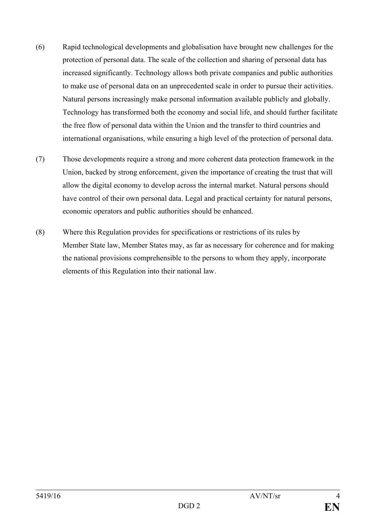- (6) Rapid technological developments and globalisation have brought new challenges for the protection of personal data. The scale of the collection and sharing of personal data has increased significantly. Technology allows both private companies and public authorities to make use of personal data on an unprecedented scale in order to pursue their activities. Natural persons increasingly make personal information available publicly and globally. Technology has transformed both the economy and social life, and should further facilitate the free flow of personal data within the Union and the transfer to third countries and international organisations, while ensuring a high level of the protection of personal data.
- (7) Those developments require a strong and more coherent data protection framework in the Union, backed by strong enforcement, given the importance of creating the trust that will allow the digital economy to develop across the internal market. Natural persons should have control of their own personal data. Legal and practical certainty for natural persons, economic operators and public authorities should be enhanced.
- (8) Where this Regulation provides for specifications or restrictions of its rules by Member State law, Member States may, as far as necessary for coherence and for making the national provisions comprehensible to the persons to whom they apply, incorporate elements of this Regulation into their national law.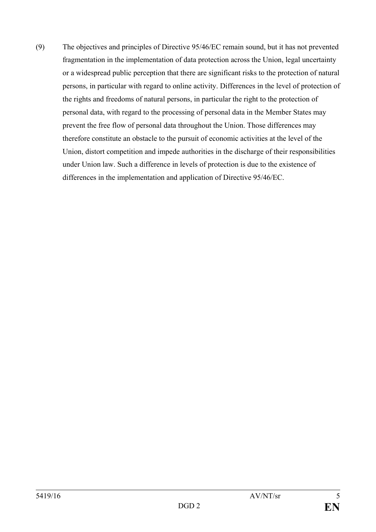(9) The objectives and principles of Directive 95/46/EC remain sound, but it has not prevented fragmentation in the implementation of data protection across the Union, legal uncertainty or a widespread public perception that there are significant risks to the protection of natural persons, in particular with regard to online activity. Differences in the level of protection of the rights and freedoms of natural persons, in particular the right to the protection of personal data, with regard to the processing of personal data in the Member States may prevent the free flow of personal data throughout the Union. Those differences may therefore constitute an obstacle to the pursuit of economic activities at the level of the Union, distort competition and impede authorities in the discharge of their responsibilities under Union law. Such a difference in levels of protection is due to the existence of differences in the implementation and application of Directive 95/46/EC.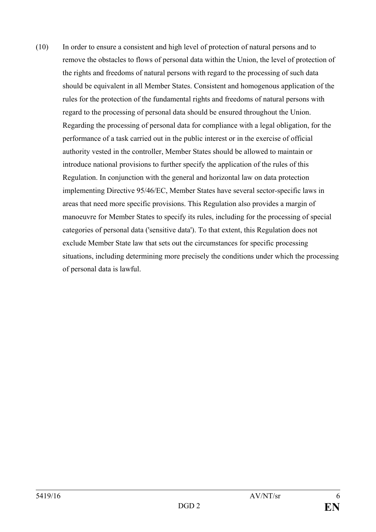(10) In order to ensure a consistent and high level of protection of natural persons and to remove the obstacles to flows of personal data within the Union, the level of protection of the rights and freedoms of natural persons with regard to the processing of such data should be equivalent in all Member States. Consistent and homogenous application of the rules for the protection of the fundamental rights and freedoms of natural persons with regard to the processing of personal data should be ensured throughout the Union. Regarding the processing of personal data for compliance with a legal obligation, for the performance of a task carried out in the public interest or in the exercise of official authority vested in the controller, Member States should be allowed to maintain or introduce national provisions to further specify the application of the rules of this Regulation. In conjunction with the general and horizontal law on data protection implementing Directive 95/46/EC, Member States have several sector-specific laws in areas that need more specific provisions. This Regulation also provides a margin of manoeuvre for Member States to specify its rules, including for the processing of special categories of personal data ('sensitive data'). To that extent, this Regulation does not exclude Member State law that sets out the circumstances for specific processing situations, including determining more precisely the conditions under which the processing of personal data is lawful.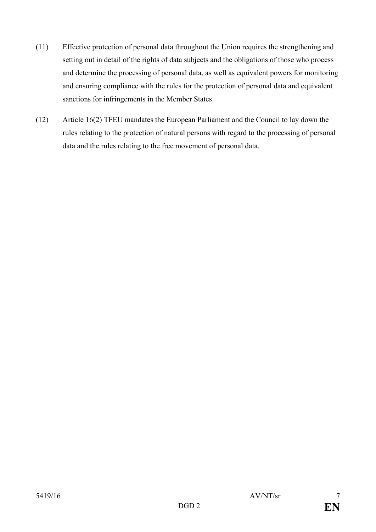- (11) Effective protection of personal data throughout the Union requires the strengthening and setting out in detail of the rights of data subjects and the obligations of those who process and determine the processing of personal data, as well as equivalent powers for monitoring and ensuring compliance with the rules for the protection of personal data and equivalent sanctions for infringements in the Member States.
- (12) Article 16(2) TFEU mandates the European Parliament and the Council to lay down the rules relating to the protection of natural persons with regard to the processing of personal data and the rules relating to the free movement of personal data.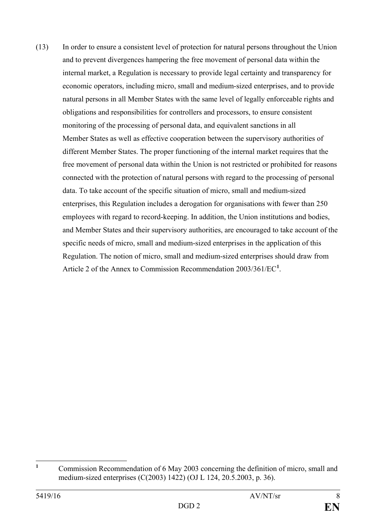(13) In order to ensure a consistent level of protection for natural persons throughout the Union and to prevent divergences hampering the free movement of personal data within the internal market, a Regulation is necessary to provide legal certainty and transparency for economic operators, including micro, small and medium-sized enterprises, and to provide natural persons in all Member States with the same level of legally enforceable rights and obligations and responsibilities for controllers and processors, to ensure consistent monitoring of the processing of personal data, and equivalent sanctions in all Member States as well as effective cooperation between the supervisory authorities of different Member States. The proper functioning of the internal market requires that the free movement of personal data within the Union is not restricted or prohibited for reasons connected with the protection of natural persons with regard to the processing of personal data. To take account of the specific situation of micro, small and medium-sized enterprises, this Regulation includes a derogation for organisations with fewer than 250 employees with regard to record-keeping. In addition, the Union institutions and bodies, and Member States and their supervisory authorities, are encouraged to take account of the specific needs of micro, small and medium-sized enterprises in the application of this Regulation. The notion of micro, small and medium-sized enterprises should draw from Article 2 of the Annex to Commission Recommendation 2003/361/EC**[1](#page-8-0)** .

<span id="page-8-0"></span> **1** Commission Recommendation of 6 May 2003 concerning the definition of micro, small and medium-sized enterprises (C(2003) 1422) (OJ L 124, 20.5.2003, p. 36).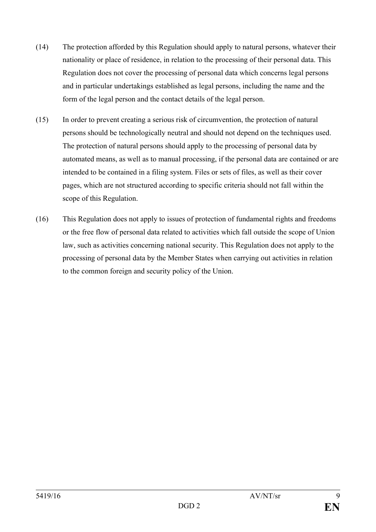- (14) The protection afforded by this Regulation should apply to natural persons, whatever their nationality or place of residence, in relation to the processing of their personal data. This Regulation does not cover the processing of personal data which concerns legal persons and in particular undertakings established as legal persons, including the name and the form of the legal person and the contact details of the legal person.
- (15) In order to prevent creating a serious risk of circumvention, the protection of natural persons should be technologically neutral and should not depend on the techniques used. The protection of natural persons should apply to the processing of personal data by automated means, as well as to manual processing, if the personal data are contained or are intended to be contained in a filing system. Files or sets of files, as well as their cover pages, which are not structured according to specific criteria should not fall within the scope of this Regulation.
- (16) This Regulation does not apply to issues of protection of fundamental rights and freedoms or the free flow of personal data related to activities which fall outside the scope of Union law, such as activities concerning national security. This Regulation does not apply to the processing of personal data by the Member States when carrying out activities in relation to the common foreign and security policy of the Union.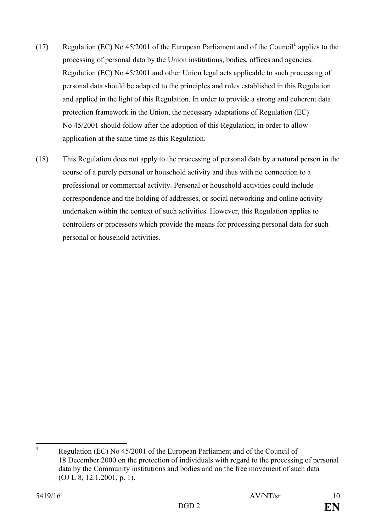- (17) Regulation (EC) No 45/2001 of the European Parliament and of the Council**[1](#page-10-0)** applies to the processing of personal data by the Union institutions, bodies, offices and agencies. Regulation (EC) No 45/2001 and other Union legal acts applicable to such processing of personal data should be adapted to the principles and rules established in this Regulation and applied in the light of this Regulation. In order to provide a strong and coherent data protection framework in the Union, the necessary adaptations of Regulation (EC) No 45/2001 should follow after the adoption of this Regulation, in order to allow application at the same time as this Regulation.
- (18) This Regulation does not apply to the processing of personal data by a natural person in the course of a purely personal or household activity and thus with no connection to a professional or commercial activity. Personal or household activities could include correspondence and the holding of addresses, or social networking and online activity undertaken within the context of such activities. However, this Regulation applies to controllers or processors which provide the means for processing personal data for such personal or household activities.

<span id="page-10-0"></span> **1** Regulation (EC) No 45/2001 of the European Parliament and of the Council of 18 December 2000 on the protection of individuals with regard to the processing of personal data by the Community institutions and bodies and on the free movement of such data (OJ L 8, 12.1.2001, p. 1).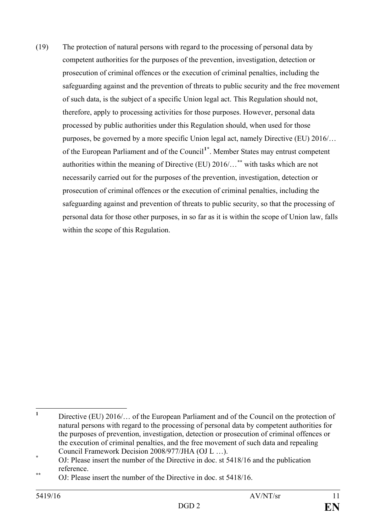(19) The protection of natural persons with regard to the processing of personal data by competent authorities for the purposes of the prevention, investigation, detection or prosecution of criminal offences or the execution of criminal penalties, including the safeguarding against and the prevention of threats to public security and the free movement of such data, is the subject of a specific Union legal act. This Regulation should not, therefore, apply to processing activities for those purposes. However, personal data processed by public authorities under this Regulation should, when used for those purposes, be governed by a more specific Union legal act, namely Directive (EU) 2016/… of the European Parliament and of the Council**[1](#page-11-0)[\\*](#page-11-1)**. Member States may entrust competent authorities within the meaning of Directive (EU) 2016/…**[\\*\\*](#page-11-2)** with tasks which are not necessarily carried out for the purposes of the prevention, investigation, detection or prosecution of criminal offences or the execution of criminal penalties, including the safeguarding against and prevention of threats to public security, so that the processing of personal data for those other purposes, in so far as it is within the scope of Union law, falls within the scope of this Regulation.

<span id="page-11-0"></span> $\mathbf{1}$ **<sup>1</sup>** Directive (EU) 2016/… of the European Parliament and of the Council on the protection of natural persons with regard to the processing of personal data by competent authorities for the purposes of prevention, investigation, detection or prosecution of criminal offences or the execution of criminal penalties, and the free movement of such data and repealing Council Framework Decision 2008/977/JHA (OJ L …).

<span id="page-11-1"></span>**<sup>\*</sup>** OJ: Please insert the number of the Directive in doc. st 5418/16 and the publication reference.

<span id="page-11-2"></span>**<sup>\*\*</sup>** OJ: Please insert the number of the Directive in doc. st 5418/16.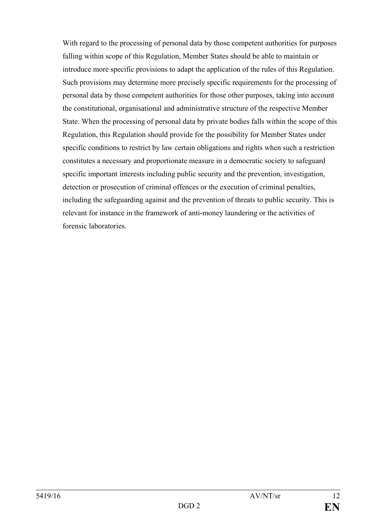With regard to the processing of personal data by those competent authorities for purposes falling within scope of this Regulation, Member States should be able to maintain or introduce more specific provisions to adapt the application of the rules of this Regulation. Such provisions may determine more precisely specific requirements for the processing of personal data by those competent authorities for those other purposes, taking into account the constitutional, organisational and administrative structure of the respective Member State. When the processing of personal data by private bodies falls within the scope of this Regulation, this Regulation should provide for the possibility for Member States under specific conditions to restrict by law certain obligations and rights when such a restriction constitutes a necessary and proportionate measure in a democratic society to safeguard specific important interests including public security and the prevention, investigation, detection or prosecution of criminal offences or the execution of criminal penalties, including the safeguarding against and the prevention of threats to public security. This is relevant for instance in the framework of anti-money laundering or the activities of forensic laboratories.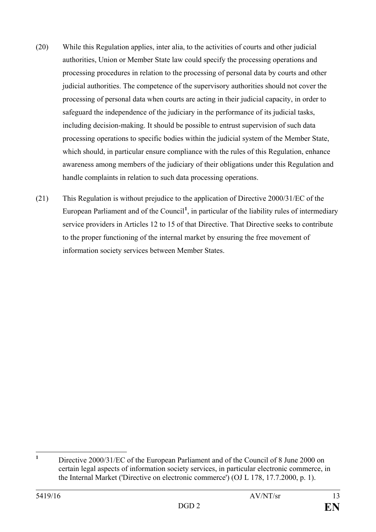- (20) While this Regulation applies, inter alia, to the activities of courts and other judicial authorities, Union or Member State law could specify the processing operations and processing procedures in relation to the processing of personal data by courts and other judicial authorities. The competence of the supervisory authorities should not cover the processing of personal data when courts are acting in their judicial capacity, in order to safeguard the independence of the judiciary in the performance of its judicial tasks, including decision-making. It should be possible to entrust supervision of such data processing operations to specific bodies within the judicial system of the Member State, which should, in particular ensure compliance with the rules of this Regulation, enhance awareness among members of the judiciary of their obligations under this Regulation and handle complaints in relation to such data processing operations.
- (21) This Regulation is without prejudice to the application of Directive 2000/31/EC of the European Parliament and of the Council**[1](#page-13-0)** , in particular of the liability rules of intermediary service providers in Articles 12 to 15 of that Directive. That Directive seeks to contribute to the proper functioning of the internal market by ensuring the free movement of information society services between Member States.

<span id="page-13-0"></span> $\mathbf{1}$ **<sup>1</sup>** Directive 2000/31/EC of the European Parliament and of the Council of 8 June 2000 on certain legal aspects of information society services, in particular electronic commerce, in the Internal Market ('Directive on electronic commerce') (OJ L 178, 17.7.2000, p. 1).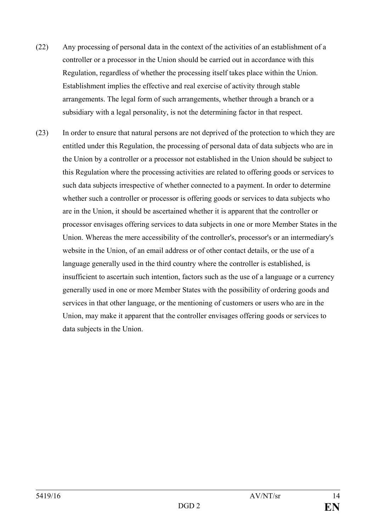- (22) Any processing of personal data in the context of the activities of an establishment of a controller or a processor in the Union should be carried out in accordance with this Regulation, regardless of whether the processing itself takes place within the Union. Establishment implies the effective and real exercise of activity through stable arrangements. The legal form of such arrangements, whether through a branch or a subsidiary with a legal personality, is not the determining factor in that respect.
- (23) In order to ensure that natural persons are not deprived of the protection to which they are entitled under this Regulation, the processing of personal data of data subjects who are in the Union by a controller or a processor not established in the Union should be subject to this Regulation where the processing activities are related to offering goods or services to such data subjects irrespective of whether connected to a payment. In order to determine whether such a controller or processor is offering goods or services to data subjects who are in the Union, it should be ascertained whether it is apparent that the controller or processor envisages offering services to data subjects in one or more Member States in the Union. Whereas the mere accessibility of the controller's, processor's or an intermediary's website in the Union, of an email address or of other contact details, or the use of a language generally used in the third country where the controller is established, is insufficient to ascertain such intention, factors such as the use of a language or a currency generally used in one or more Member States with the possibility of ordering goods and services in that other language, or the mentioning of customers or users who are in the Union, may make it apparent that the controller envisages offering goods or services to data subjects in the Union.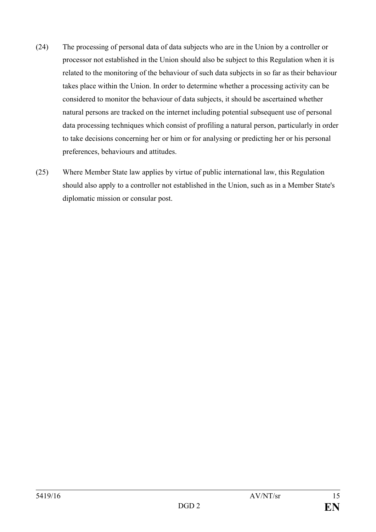- (24) The processing of personal data of data subjects who are in the Union by a controller or processor not established in the Union should also be subject to this Regulation when it is related to the monitoring of the behaviour of such data subjects in so far as their behaviour takes place within the Union. In order to determine whether a processing activity can be considered to monitor the behaviour of data subjects, it should be ascertained whether natural persons are tracked on the internet including potential subsequent use of personal data processing techniques which consist of profiling a natural person, particularly in order to take decisions concerning her or him or for analysing or predicting her or his personal preferences, behaviours and attitudes.
- (25) Where Member State law applies by virtue of public international law, this Regulation should also apply to a controller not established in the Union, such as in a Member State's diplomatic mission or consular post.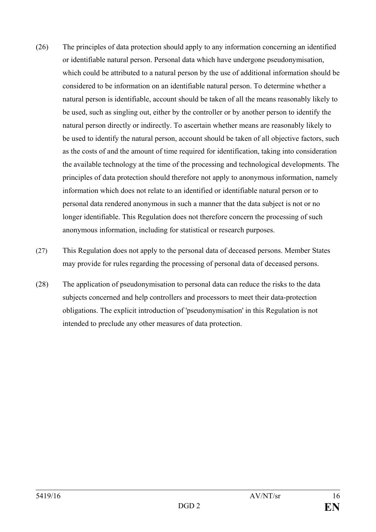- (26) The principles of data protection should apply to any information concerning an identified or identifiable natural person. Personal data which have undergone pseudonymisation, which could be attributed to a natural person by the use of additional information should be considered to be information on an identifiable natural person. To determine whether a natural person is identifiable, account should be taken of all the means reasonably likely to be used, such as singling out, either by the controller or by another person to identify the natural person directly or indirectly. To ascertain whether means are reasonably likely to be used to identify the natural person, account should be taken of all objective factors, such as the costs of and the amount of time required for identification, taking into consideration the available technology at the time of the processing and technological developments. The principles of data protection should therefore not apply to anonymous information, namely information which does not relate to an identified or identifiable natural person or to personal data rendered anonymous in such a manner that the data subject is not or no longer identifiable. This Regulation does not therefore concern the processing of such anonymous information, including for statistical or research purposes.
- (27) This Regulation does not apply to the personal data of deceased persons. Member States may provide for rules regarding the processing of personal data of deceased persons.
- (28) The application of pseudonymisation to personal data can reduce the risks to the data subjects concerned and help controllers and processors to meet their data-protection obligations. The explicit introduction of 'pseudonymisation' in this Regulation is not intended to preclude any other measures of data protection.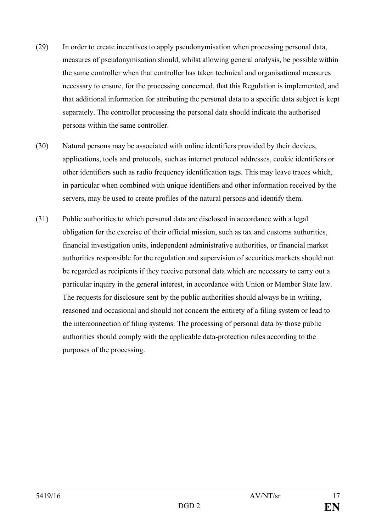- (29) In order to create incentives to apply pseudonymisation when processing personal data, measures of pseudonymisation should, whilst allowing general analysis, be possible within the same controller when that controller has taken technical and organisational measures necessary to ensure, for the processing concerned, that this Regulation is implemented, and that additional information for attributing the personal data to a specific data subject is kept separately. The controller processing the personal data should indicate the authorised persons within the same controller.
- (30) Natural persons may be associated with online identifiers provided by their devices, applications, tools and protocols, such as internet protocol addresses, cookie identifiers or other identifiers such as radio frequency identification tags. This may leave traces which, in particular when combined with unique identifiers and other information received by the servers, may be used to create profiles of the natural persons and identify them.
- (31) Public authorities to which personal data are disclosed in accordance with a legal obligation for the exercise of their official mission, such as tax and customs authorities, financial investigation units, independent administrative authorities, or financial market authorities responsible for the regulation and supervision of securities markets should not be regarded as recipients if they receive personal data which are necessary to carry out a particular inquiry in the general interest, in accordance with Union or Member State law. The requests for disclosure sent by the public authorities should always be in writing, reasoned and occasional and should not concern the entirety of a filing system or lead to the interconnection of filing systems. The processing of personal data by those public authorities should comply with the applicable data-protection rules according to the purposes of the processing.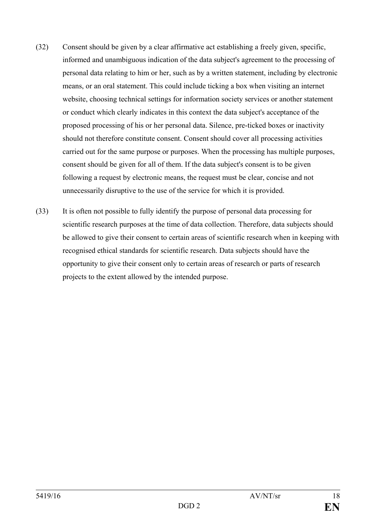- (32) Consent should be given by a clear affirmative act establishing a freely given, specific, informed and unambiguous indication of the data subject's agreement to the processing of personal data relating to him or her, such as by a written statement, including by electronic means, or an oral statement. This could include ticking a box when visiting an internet website, choosing technical settings for information society services or another statement or conduct which clearly indicates in this context the data subject's acceptance of the proposed processing of his or her personal data. Silence, pre-ticked boxes or inactivity should not therefore constitute consent. Consent should cover all processing activities carried out for the same purpose or purposes. When the processing has multiple purposes, consent should be given for all of them. If the data subject's consent is to be given following a request by electronic means, the request must be clear, concise and not unnecessarily disruptive to the use of the service for which it is provided.
- (33) It is often not possible to fully identify the purpose of personal data processing for scientific research purposes at the time of data collection. Therefore, data subjects should be allowed to give their consent to certain areas of scientific research when in keeping with recognised ethical standards for scientific research. Data subjects should have the opportunity to give their consent only to certain areas of research or parts of research projects to the extent allowed by the intended purpose.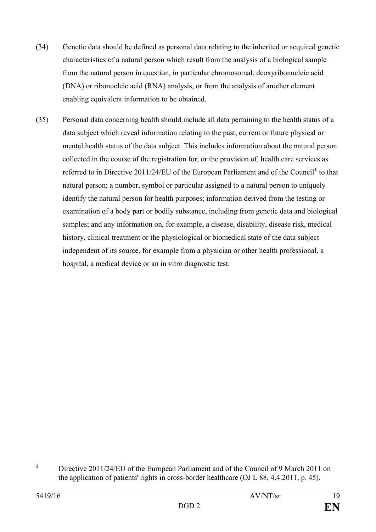- (34) Genetic data should be defined as personal data relating to the inherited or acquired genetic characteristics of a natural person which result from the analysis of a biological sample from the natural person in question, in particular chromosomal, deoxyribonucleic acid (DNA) or ribonucleic acid (RNA) analysis, or from the analysis of another element enabling equivalent information to be obtained.
- (35) Personal data concerning health should include all data pertaining to the health status of a data subject which reveal information relating to the past, current or future physical or mental health status of the data subject. This includes information about the natural person collected in the course of the registration for, or the provision of, health care services as referred to in Directive 20[1](#page-19-0)1/24/EU of the European Parliament and of the Council<sup>1</sup> to that natural person; a number, symbol or particular assigned to a natural person to uniquely identify the natural person for health purposes; information derived from the testing or examination of a body part or bodily substance, including from genetic data and biological samples; and any information on, for example, a disease, disability, disease risk, medical history, clinical treatment or the physiological or biomedical state of the data subject independent of its source, for example from a physician or other health professional, a hospital, a medical device or an in vitro diagnostic test.

<span id="page-19-0"></span> $\mathbf{1}$ **<sup>1</sup>** Directive 2011/24/EU of the European Parliament and of the Council of 9 March 2011 on the application of patients' rights in cross-border healthcare (OJ L 88, 4.4.2011, p. 45).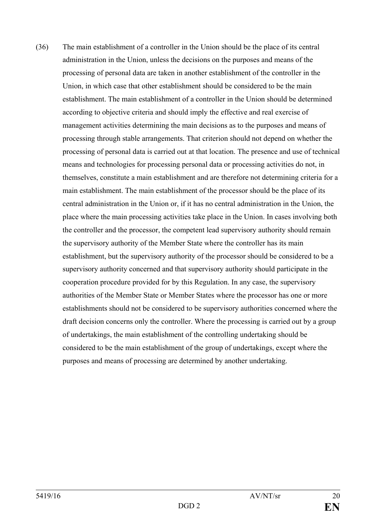(36) The main establishment of a controller in the Union should be the place of its central administration in the Union, unless the decisions on the purposes and means of the processing of personal data are taken in another establishment of the controller in the Union, in which case that other establishment should be considered to be the main establishment. The main establishment of a controller in the Union should be determined according to objective criteria and should imply the effective and real exercise of management activities determining the main decisions as to the purposes and means of processing through stable arrangements. That criterion should not depend on whether the processing of personal data is carried out at that location. The presence and use of technical means and technologies for processing personal data or processing activities do not, in themselves, constitute a main establishment and are therefore not determining criteria for a main establishment. The main establishment of the processor should be the place of its central administration in the Union or, if it has no central administration in the Union, the place where the main processing activities take place in the Union. In cases involving both the controller and the processor, the competent lead supervisory authority should remain the supervisory authority of the Member State where the controller has its main establishment, but the supervisory authority of the processor should be considered to be a supervisory authority concerned and that supervisory authority should participate in the cooperation procedure provided for by this Regulation. In any case, the supervisory authorities of the Member State or Member States where the processor has one or more establishments should not be considered to be supervisory authorities concerned where the draft decision concerns only the controller. Where the processing is carried out by a group of undertakings, the main establishment of the controlling undertaking should be considered to be the main establishment of the group of undertakings, except where the purposes and means of processing are determined by another undertaking.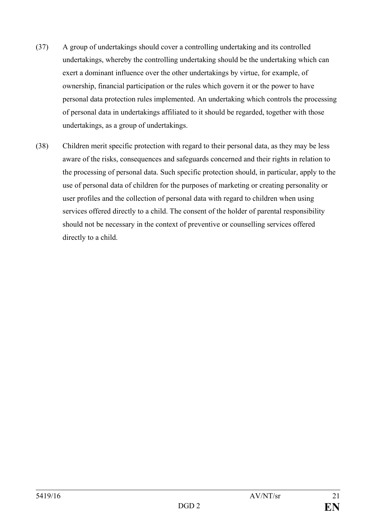- (37) A group of undertakings should cover a controlling undertaking and its controlled undertakings, whereby the controlling undertaking should be the undertaking which can exert a dominant influence over the other undertakings by virtue, for example, of ownership, financial participation or the rules which govern it or the power to have personal data protection rules implemented. An undertaking which controls the processing of personal data in undertakings affiliated to it should be regarded, together with those undertakings, as a group of undertakings.
- (38) Children merit specific protection with regard to their personal data, as they may be less aware of the risks, consequences and safeguards concerned and their rights in relation to the processing of personal data. Such specific protection should, in particular, apply to the use of personal data of children for the purposes of marketing or creating personality or user profiles and the collection of personal data with regard to children when using services offered directly to a child. The consent of the holder of parental responsibility should not be necessary in the context of preventive or counselling services offered directly to a child.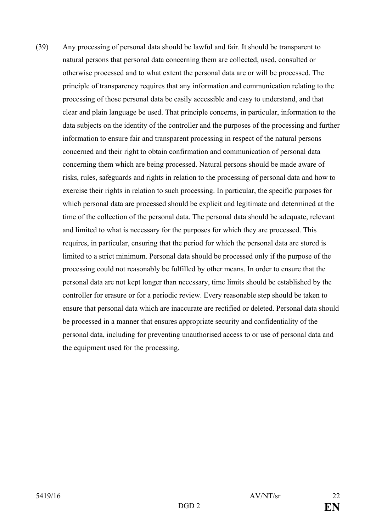(39) Any processing of personal data should be lawful and fair. It should be transparent to natural persons that personal data concerning them are collected, used, consulted or otherwise processed and to what extent the personal data are or will be processed. The principle of transparency requires that any information and communication relating to the processing of those personal data be easily accessible and easy to understand, and that clear and plain language be used. That principle concerns, in particular, information to the data subjects on the identity of the controller and the purposes of the processing and further information to ensure fair and transparent processing in respect of the natural persons concerned and their right to obtain confirmation and communication of personal data concerning them which are being processed. Natural persons should be made aware of risks, rules, safeguards and rights in relation to the processing of personal data and how to exercise their rights in relation to such processing. In particular, the specific purposes for which personal data are processed should be explicit and legitimate and determined at the time of the collection of the personal data. The personal data should be adequate, relevant and limited to what is necessary for the purposes for which they are processed. This requires, in particular, ensuring that the period for which the personal data are stored is limited to a strict minimum. Personal data should be processed only if the purpose of the processing could not reasonably be fulfilled by other means. In order to ensure that the personal data are not kept longer than necessary, time limits should be established by the controller for erasure or for a periodic review. Every reasonable step should be taken to ensure that personal data which are inaccurate are rectified or deleted. Personal data should be processed in a manner that ensures appropriate security and confidentiality of the personal data, including for preventing unauthorised access to or use of personal data and the equipment used for the processing.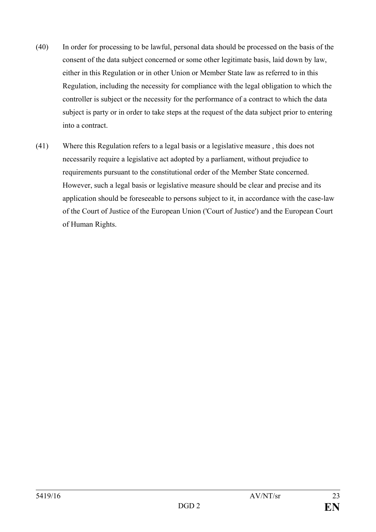- (40) In order for processing to be lawful, personal data should be processed on the basis of the consent of the data subject concerned or some other legitimate basis, laid down by law, either in this Regulation or in other Union or Member State law as referred to in this Regulation, including the necessity for compliance with the legal obligation to which the controller is subject or the necessity for the performance of a contract to which the data subject is party or in order to take steps at the request of the data subject prior to entering into a contract.
- (41) Where this Regulation refers to a legal basis or a legislative measure , this does not necessarily require a legislative act adopted by a parliament, without prejudice to requirements pursuant to the constitutional order of the Member State concerned. However, such a legal basis or legislative measure should be clear and precise and its application should be foreseeable to persons subject to it, in accordance with the case-law of the Court of Justice of the European Union ('Court of Justice') and the European Court of Human Rights.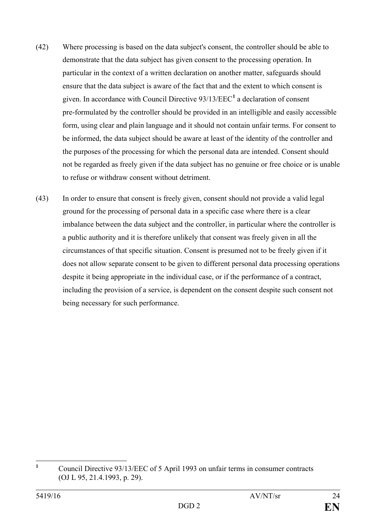- (42) Where processing is based on the data subject's consent, the controller should be able to demonstrate that the data subject has given consent to the processing operation. In particular in the context of a written declaration on another matter, safeguards should ensure that the data subject is aware of the fact that and the extent to which consent is given. In accordance with Council Directive 93/13/EEC**[1](#page-24-0)** a declaration of consent pre-formulated by the controller should be provided in an intelligible and easily accessible form, using clear and plain language and it should not contain unfair terms. For consent to be informed, the data subject should be aware at least of the identity of the controller and the purposes of the processing for which the personal data are intended. Consent should not be regarded as freely given if the data subject has no genuine or free choice or is unable to refuse or withdraw consent without detriment.
- (43) In order to ensure that consent is freely given, consent should not provide a valid legal ground for the processing of personal data in a specific case where there is a clear imbalance between the data subject and the controller, in particular where the controller is a public authority and it is therefore unlikely that consent was freely given in all the circumstances of that specific situation. Consent is presumed not to be freely given if it does not allow separate consent to be given to different personal data processing operations despite it being appropriate in the individual case, or if the performance of a contract, including the provision of a service, is dependent on the consent despite such consent not being necessary for such performance.

<span id="page-24-0"></span> $\mathbf{1}$ **<sup>1</sup>** Council Directive 93/13/EEC of 5 April 1993 on unfair terms in consumer contracts (OJ L 95, 21.4.1993, p. 29).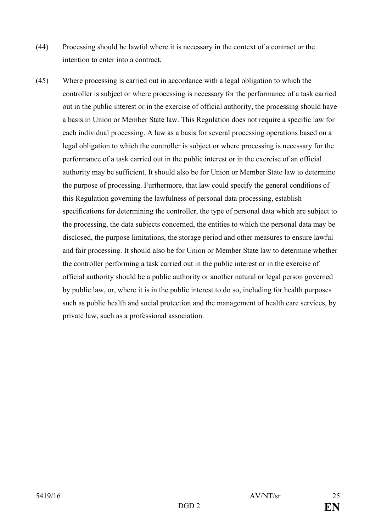- (44) Processing should be lawful where it is necessary in the context of a contract or the intention to enter into a contract.
- (45) Where processing is carried out in accordance with a legal obligation to which the controller is subject or where processing is necessary for the performance of a task carried out in the public interest or in the exercise of official authority, the processing should have a basis in Union or Member State law. This Regulation does not require a specific law for each individual processing. A law as a basis for several processing operations based on a legal obligation to which the controller is subject or where processing is necessary for the performance of a task carried out in the public interest or in the exercise of an official authority may be sufficient. It should also be for Union or Member State law to determine the purpose of processing. Furthermore, that law could specify the general conditions of this Regulation governing the lawfulness of personal data processing, establish specifications for determining the controller, the type of personal data which are subject to the processing, the data subjects concerned, the entities to which the personal data may be disclosed, the purpose limitations, the storage period and other measures to ensure lawful and fair processing. It should also be for Union or Member State law to determine whether the controller performing a task carried out in the public interest or in the exercise of official authority should be a public authority or another natural or legal person governed by public law, or, where it is in the public interest to do so, including for health purposes such as public health and social protection and the management of health care services, by private law, such as a professional association.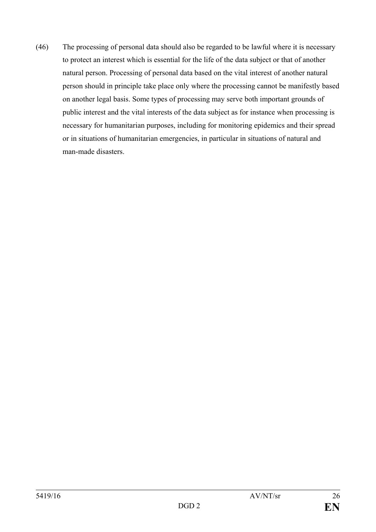(46) The processing of personal data should also be regarded to be lawful where it is necessary to protect an interest which is essential for the life of the data subject or that of another natural person. Processing of personal data based on the vital interest of another natural person should in principle take place only where the processing cannot be manifestly based on another legal basis. Some types of processing may serve both important grounds of public interest and the vital interests of the data subject as for instance when processing is necessary for humanitarian purposes, including for monitoring epidemics and their spread or in situations of humanitarian emergencies, in particular in situations of natural and man-made disasters.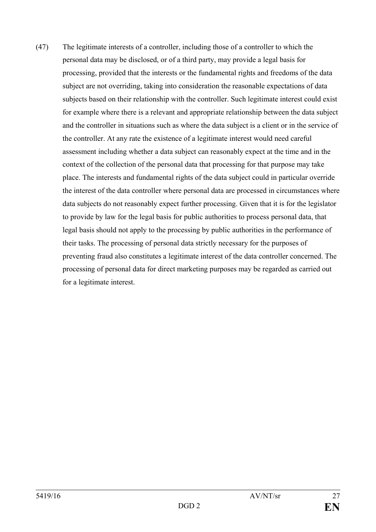(47) The legitimate interests of a controller, including those of a controller to which the personal data may be disclosed, or of a third party, may provide a legal basis for processing, provided that the interests or the fundamental rights and freedoms of the data subject are not overriding, taking into consideration the reasonable expectations of data subjects based on their relationship with the controller. Such legitimate interest could exist for example where there is a relevant and appropriate relationship between the data subject and the controller in situations such as where the data subject is a client or in the service of the controller. At any rate the existence of a legitimate interest would need careful assessment including whether a data subject can reasonably expect at the time and in the context of the collection of the personal data that processing for that purpose may take place. The interests and fundamental rights of the data subject could in particular override the interest of the data controller where personal data are processed in circumstances where data subjects do not reasonably expect further processing. Given that it is for the legislator to provide by law for the legal basis for public authorities to process personal data, that legal basis should not apply to the processing by public authorities in the performance of their tasks. The processing of personal data strictly necessary for the purposes of preventing fraud also constitutes a legitimate interest of the data controller concerned. The processing of personal data for direct marketing purposes may be regarded as carried out for a legitimate interest.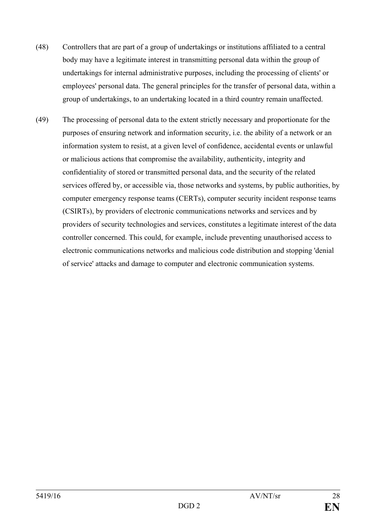- (48) Controllers that are part of a group of undertakings or institutions affiliated to a central body may have a legitimate interest in transmitting personal data within the group of undertakings for internal administrative purposes, including the processing of clients' or employees' personal data. The general principles for the transfer of personal data, within a group of undertakings, to an undertaking located in a third country remain unaffected.
- (49) The processing of personal data to the extent strictly necessary and proportionate for the purposes of ensuring network and information security, i.e. the ability of a network or an information system to resist, at a given level of confidence, accidental events or unlawful or malicious actions that compromise the availability, authenticity, integrity and confidentiality of stored or transmitted personal data, and the security of the related services offered by, or accessible via, those networks and systems, by public authorities, by computer emergency response teams (CERTs), computer security incident response teams (CSIRTs), by providers of electronic communications networks and services and by providers of security technologies and services, constitutes a legitimate interest of the data controller concerned. This could, for example, include preventing unauthorised access to electronic communications networks and malicious code distribution and stopping 'denial of service' attacks and damage to computer and electronic communication systems.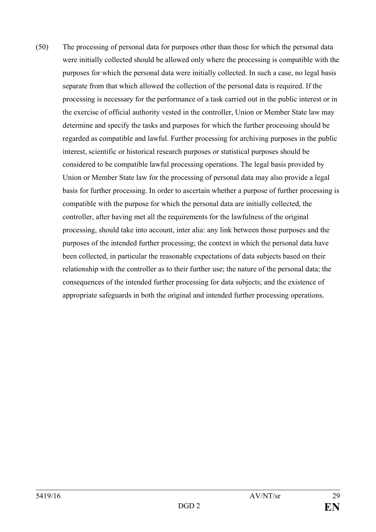(50) The processing of personal data for purposes other than those for which the personal data were initially collected should be allowed only where the processing is compatible with the purposes for which the personal data were initially collected. In such a case, no legal basis separate from that which allowed the collection of the personal data is required. If the processing is necessary for the performance of a task carried out in the public interest or in the exercise of official authority vested in the controller, Union or Member State law may determine and specify the tasks and purposes for which the further processing should be regarded as compatible and lawful. Further processing for archiving purposes in the public interest, scientific or historical research purposes or statistical purposes should be considered to be compatible lawful processing operations. The legal basis provided by Union or Member State law for the processing of personal data may also provide a legal basis for further processing. In order to ascertain whether a purpose of further processing is compatible with the purpose for which the personal data are initially collected, the controller, after having met all the requirements for the lawfulness of the original processing, should take into account, inter alia: any link between those purposes and the purposes of the intended further processing; the context in which the personal data have been collected, in particular the reasonable expectations of data subjects based on their relationship with the controller as to their further use; the nature of the personal data; the consequences of the intended further processing for data subjects; and the existence of appropriate safeguards in both the original and intended further processing operations.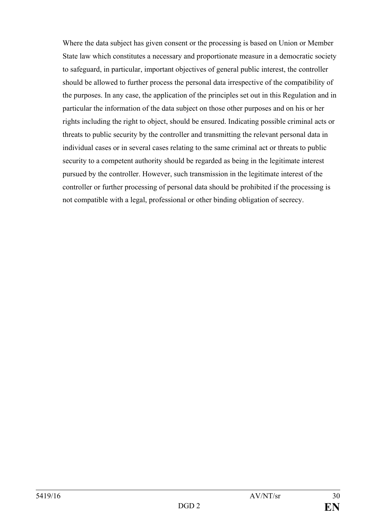Where the data subject has given consent or the processing is based on Union or Member State law which constitutes a necessary and proportionate measure in a democratic society to safeguard, in particular, important objectives of general public interest, the controller should be allowed to further process the personal data irrespective of the compatibility of the purposes. In any case, the application of the principles set out in this Regulation and in particular the information of the data subject on those other purposes and on his or her rights including the right to object, should be ensured. Indicating possible criminal acts or threats to public security by the controller and transmitting the relevant personal data in individual cases or in several cases relating to the same criminal act or threats to public security to a competent authority should be regarded as being in the legitimate interest pursued by the controller. However, such transmission in the legitimate interest of the controller or further processing of personal data should be prohibited if the processing is not compatible with a legal, professional or other binding obligation of secrecy.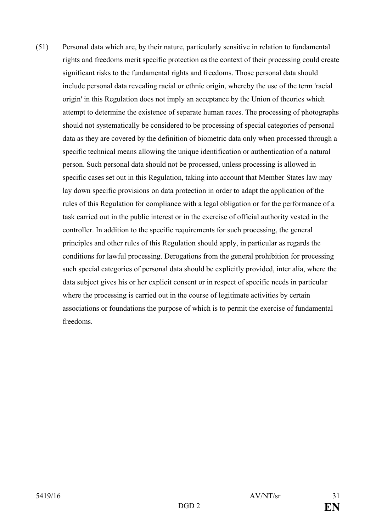(51) Personal data which are, by their nature, particularly sensitive in relation to fundamental rights and freedoms merit specific protection as the context of their processing could create significant risks to the fundamental rights and freedoms. Those personal data should include personal data revealing racial or ethnic origin, whereby the use of the term 'racial origin' in this Regulation does not imply an acceptance by the Union of theories which attempt to determine the existence of separate human races. The processing of photographs should not systematically be considered to be processing of special categories of personal data as they are covered by the definition of biometric data only when processed through a specific technical means allowing the unique identification or authentication of a natural person. Such personal data should not be processed, unless processing is allowed in specific cases set out in this Regulation, taking into account that Member States law may lay down specific provisions on data protection in order to adapt the application of the rules of this Regulation for compliance with a legal obligation or for the performance of a task carried out in the public interest or in the exercise of official authority vested in the controller. In addition to the specific requirements for such processing, the general principles and other rules of this Regulation should apply, in particular as regards the conditions for lawful processing. Derogations from the general prohibition for processing such special categories of personal data should be explicitly provided, inter alia, where the data subject gives his or her explicit consent or in respect of specific needs in particular where the processing is carried out in the course of legitimate activities by certain associations or foundations the purpose of which is to permit the exercise of fundamental freedoms.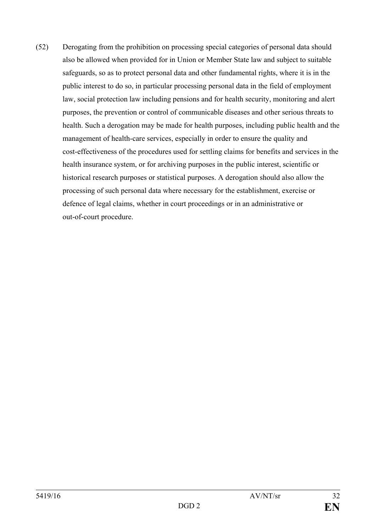(52) Derogating from the prohibition on processing special categories of personal data should also be allowed when provided for in Union or Member State law and subject to suitable safeguards, so as to protect personal data and other fundamental rights, where it is in the public interest to do so, in particular processing personal data in the field of employment law, social protection law including pensions and for health security, monitoring and alert purposes, the prevention or control of communicable diseases and other serious threats to health. Such a derogation may be made for health purposes, including public health and the management of health-care services, especially in order to ensure the quality and cost-effectiveness of the procedures used for settling claims for benefits and services in the health insurance system, or for archiving purposes in the public interest, scientific or historical research purposes or statistical purposes. A derogation should also allow the processing of such personal data where necessary for the establishment, exercise or defence of legal claims, whether in court proceedings or in an administrative or out-of-court procedure.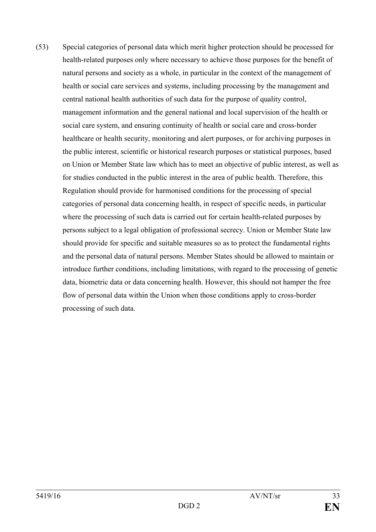(53) Special categories of personal data which merit higher protection should be processed for health-related purposes only where necessary to achieve those purposes for the benefit of natural persons and society as a whole, in particular in the context of the management of health or social care services and systems, including processing by the management and central national health authorities of such data for the purpose of quality control, management information and the general national and local supervision of the health or social care system, and ensuring continuity of health or social care and cross-border healthcare or health security, monitoring and alert purposes, or for archiving purposes in the public interest, scientific or historical research purposes or statistical purposes, based on Union or Member State law which has to meet an objective of public interest, as well as for studies conducted in the public interest in the area of public health. Therefore, this Regulation should provide for harmonised conditions for the processing of special categories of personal data concerning health, in respect of specific needs, in particular where the processing of such data is carried out for certain health-related purposes by persons subject to a legal obligation of professional secrecy. Union or Member State law should provide for specific and suitable measures so as to protect the fundamental rights and the personal data of natural persons. Member States should be allowed to maintain or introduce further conditions, including limitations, with regard to the processing of genetic data, biometric data or data concerning health. However, this should not hamper the free flow of personal data within the Union when those conditions apply to cross-border processing of such data.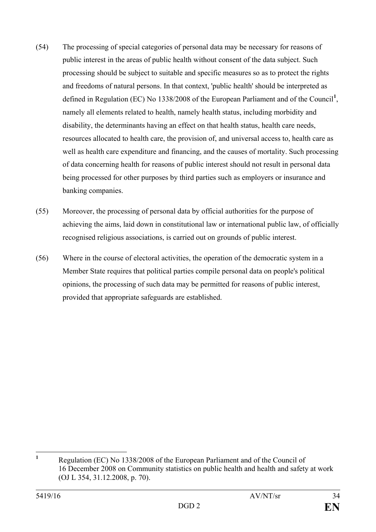- (54) The processing of special categories of personal data may be necessary for reasons of public interest in the areas of public health without consent of the data subject. Such processing should be subject to suitable and specific measures so as to protect the rights and freedoms of natural persons. In that context, 'public health' should be interpreted as defined in Regulation (EC) No 1338/2008 of the European Parliament and of the Council**[1](#page-34-0)** , namely all elements related to health, namely health status, including morbidity and disability, the determinants having an effect on that health status, health care needs, resources allocated to health care, the provision of, and universal access to, health care as well as health care expenditure and financing, and the causes of mortality. Such processing of data concerning health for reasons of public interest should not result in personal data being processed for other purposes by third parties such as employers or insurance and banking companies.
- (55) Moreover, the processing of personal data by official authorities for the purpose of achieving the aims, laid down in constitutional law or international public law, of officially recognised religious associations, is carried out on grounds of public interest.
- (56) Where in the course of electoral activities, the operation of the democratic system in a Member State requires that political parties compile personal data on people's political opinions, the processing of such data may be permitted for reasons of public interest, provided that appropriate safeguards are established.

<span id="page-34-0"></span> $\mathbf{1}$ **<sup>1</sup>** Regulation (EC) No 1338/2008 of the European Parliament and of the Council of 16 December 2008 on Community statistics on public health and health and safety at work (OJ L 354, 31.12.2008, p. 70).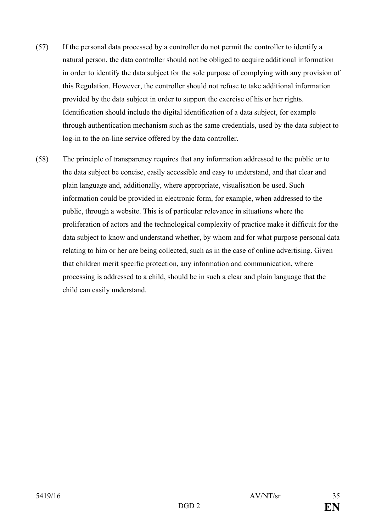- (57) If the personal data processed by a controller do not permit the controller to identify a natural person, the data controller should not be obliged to acquire additional information in order to identify the data subject for the sole purpose of complying with any provision of this Regulation. However, the controller should not refuse to take additional information provided by the data subject in order to support the exercise of his or her rights. Identification should include the digital identification of a data subject, for example through authentication mechanism such as the same credentials, used by the data subject to log-in to the on-line service offered by the data controller.
- (58) The principle of transparency requires that any information addressed to the public or to the data subject be concise, easily accessible and easy to understand, and that clear and plain language and, additionally, where appropriate, visualisation be used. Such information could be provided in electronic form, for example, when addressed to the public, through a website. This is of particular relevance in situations where the proliferation of actors and the technological complexity of practice make it difficult for the data subject to know and understand whether, by whom and for what purpose personal data relating to him or her are being collected, such as in the case of online advertising. Given that children merit specific protection, any information and communication, where processing is addressed to a child, should be in such a clear and plain language that the child can easily understand.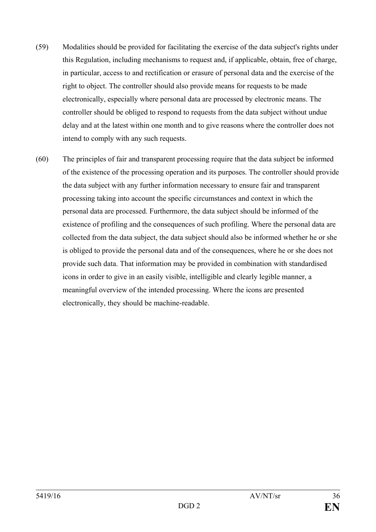- (59) Modalities should be provided for facilitating the exercise of the data subject's rights under this Regulation, including mechanisms to request and, if applicable, obtain, free of charge, in particular, access to and rectification or erasure of personal data and the exercise of the right to object. The controller should also provide means for requests to be made electronically, especially where personal data are processed by electronic means. The controller should be obliged to respond to requests from the data subject without undue delay and at the latest within one month and to give reasons where the controller does not intend to comply with any such requests.
- (60) The principles of fair and transparent processing require that the data subject be informed of the existence of the processing operation and its purposes. The controller should provide the data subject with any further information necessary to ensure fair and transparent processing taking into account the specific circumstances and context in which the personal data are processed. Furthermore, the data subject should be informed of the existence of profiling and the consequences of such profiling. Where the personal data are collected from the data subject, the data subject should also be informed whether he or she is obliged to provide the personal data and of the consequences, where he or she does not provide such data. That information may be provided in combination with standardised icons in order to give in an easily visible, intelligible and clearly legible manner, a meaningful overview of the intended processing. Where the icons are presented electronically, they should be machine-readable.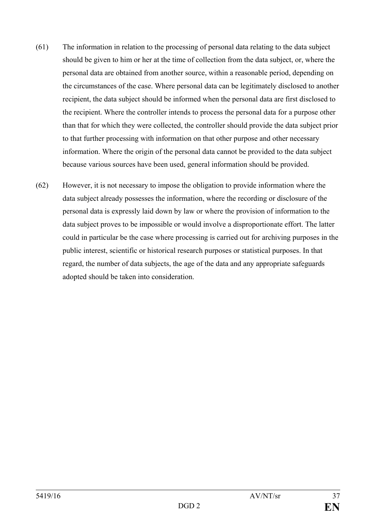- (61) The information in relation to the processing of personal data relating to the data subject should be given to him or her at the time of collection from the data subject, or, where the personal data are obtained from another source, within a reasonable period, depending on the circumstances of the case. Where personal data can be legitimately disclosed to another recipient, the data subject should be informed when the personal data are first disclosed to the recipient. Where the controller intends to process the personal data for a purpose other than that for which they were collected, the controller should provide the data subject prior to that further processing with information on that other purpose and other necessary information. Where the origin of the personal data cannot be provided to the data subject because various sources have been used, general information should be provided.
- (62) However, it is not necessary to impose the obligation to provide information where the data subject already possesses the information, where the recording or disclosure of the personal data is expressly laid down by law or where the provision of information to the data subject proves to be impossible or would involve a disproportionate effort. The latter could in particular be the case where processing is carried out for archiving purposes in the public interest, scientific or historical research purposes or statistical purposes. In that regard, the number of data subjects, the age of the data and any appropriate safeguards adopted should be taken into consideration.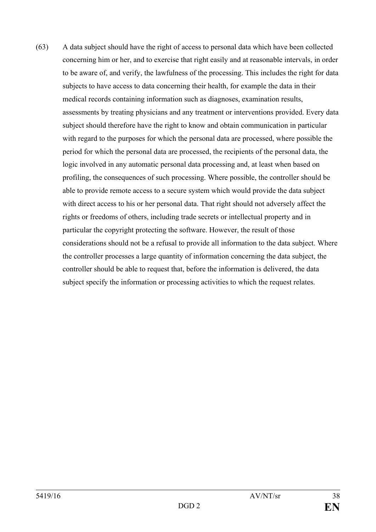(63) A data subject should have the right of access to personal data which have been collected concerning him or her, and to exercise that right easily and at reasonable intervals, in order to be aware of, and verify, the lawfulness of the processing. This includes the right for data subjects to have access to data concerning their health, for example the data in their medical records containing information such as diagnoses, examination results, assessments by treating physicians and any treatment or interventions provided. Every data subject should therefore have the right to know and obtain communication in particular with regard to the purposes for which the personal data are processed, where possible the period for which the personal data are processed, the recipients of the personal data, the logic involved in any automatic personal data processing and, at least when based on profiling, the consequences of such processing. Where possible, the controller should be able to provide remote access to a secure system which would provide the data subject with direct access to his or her personal data. That right should not adversely affect the rights or freedoms of others, including trade secrets or intellectual property and in particular the copyright protecting the software. However, the result of those considerations should not be a refusal to provide all information to the data subject. Where the controller processes a large quantity of information concerning the data subject, the controller should be able to request that, before the information is delivered, the data subject specify the information or processing activities to which the request relates.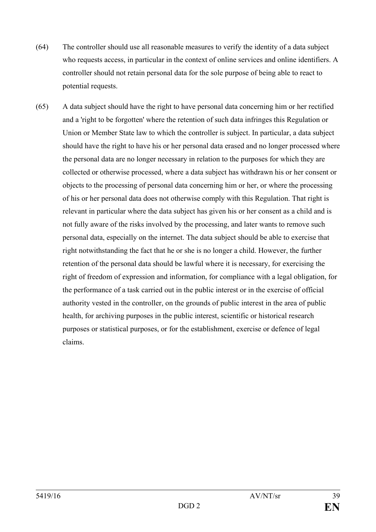- (64) The controller should use all reasonable measures to verify the identity of a data subject who requests access, in particular in the context of online services and online identifiers. A controller should not retain personal data for the sole purpose of being able to react to potential requests.
- (65) A data subject should have the right to have personal data concerning him or her rectified and a 'right to be forgotten' where the retention of such data infringes this Regulation or Union or Member State law to which the controller is subject. In particular, a data subject should have the right to have his or her personal data erased and no longer processed where the personal data are no longer necessary in relation to the purposes for which they are collected or otherwise processed, where a data subject has withdrawn his or her consent or objects to the processing of personal data concerning him or her, or where the processing of his or her personal data does not otherwise comply with this Regulation. That right is relevant in particular where the data subject has given his or her consent as a child and is not fully aware of the risks involved by the processing, and later wants to remove such personal data, especially on the internet. The data subject should be able to exercise that right notwithstanding the fact that he or she is no longer a child. However, the further retention of the personal data should be lawful where it is necessary, for exercising the right of freedom of expression and information, for compliance with a legal obligation, for the performance of a task carried out in the public interest or in the exercise of official authority vested in the controller, on the grounds of public interest in the area of public health, for archiving purposes in the public interest, scientific or historical research purposes or statistical purposes, or for the establishment, exercise or defence of legal claims.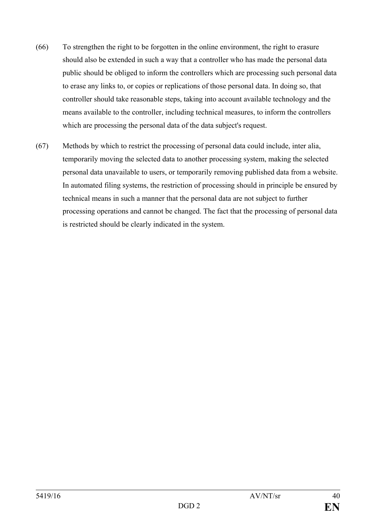- (66) To strengthen the right to be forgotten in the online environment, the right to erasure should also be extended in such a way that a controller who has made the personal data public should be obliged to inform the controllers which are processing such personal data to erase any links to, or copies or replications of those personal data. In doing so, that controller should take reasonable steps, taking into account available technology and the means available to the controller, including technical measures, to inform the controllers which are processing the personal data of the data subject's request.
- (67) Methods by which to restrict the processing of personal data could include, inter alia, temporarily moving the selected data to another processing system, making the selected personal data unavailable to users, or temporarily removing published data from a website. In automated filing systems, the restriction of processing should in principle be ensured by technical means in such a manner that the personal data are not subject to further processing operations and cannot be changed. The fact that the processing of personal data is restricted should be clearly indicated in the system.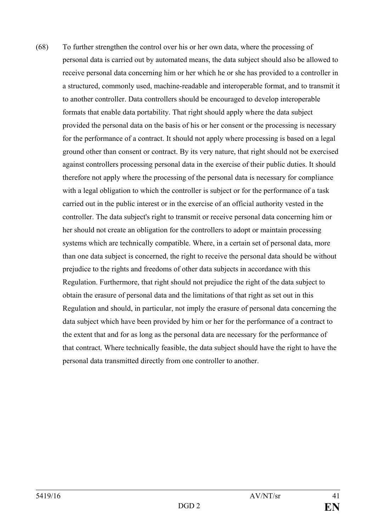(68) To further strengthen the control over his or her own data, where the processing of personal data is carried out by automated means, the data subject should also be allowed to receive personal data concerning him or her which he or she has provided to a controller in a structured, commonly used, machine-readable and interoperable format, and to transmit it to another controller. Data controllers should be encouraged to develop interoperable formats that enable data portability. That right should apply where the data subject provided the personal data on the basis of his or her consent or the processing is necessary for the performance of a contract. It should not apply where processing is based on a legal ground other than consent or contract. By its very nature, that right should not be exercised against controllers processing personal data in the exercise of their public duties. It should therefore not apply where the processing of the personal data is necessary for compliance with a legal obligation to which the controller is subject or for the performance of a task carried out in the public interest or in the exercise of an official authority vested in the controller. The data subject's right to transmit or receive personal data concerning him or her should not create an obligation for the controllers to adopt or maintain processing systems which are technically compatible. Where, in a certain set of personal data, more than one data subject is concerned, the right to receive the personal data should be without prejudice to the rights and freedoms of other data subjects in accordance with this Regulation. Furthermore, that right should not prejudice the right of the data subject to obtain the erasure of personal data and the limitations of that right as set out in this Regulation and should, in particular, not imply the erasure of personal data concerning the data subject which have been provided by him or her for the performance of a contract to the extent that and for as long as the personal data are necessary for the performance of that contract. Where technically feasible, the data subject should have the right to have the personal data transmitted directly from one controller to another.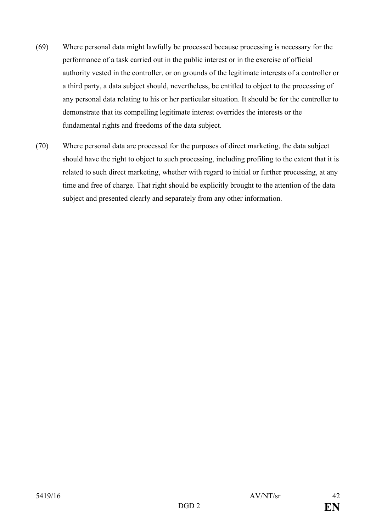- (69) Where personal data might lawfully be processed because processing is necessary for the performance of a task carried out in the public interest or in the exercise of official authority vested in the controller, or on grounds of the legitimate interests of a controller or a third party, a data subject should, nevertheless, be entitled to object to the processing of any personal data relating to his or her particular situation. It should be for the controller to demonstrate that its compelling legitimate interest overrides the interests or the fundamental rights and freedoms of the data subject.
- (70) Where personal data are processed for the purposes of direct marketing, the data subject should have the right to object to such processing, including profiling to the extent that it is related to such direct marketing, whether with regard to initial or further processing, at any time and free of charge. That right should be explicitly brought to the attention of the data subject and presented clearly and separately from any other information.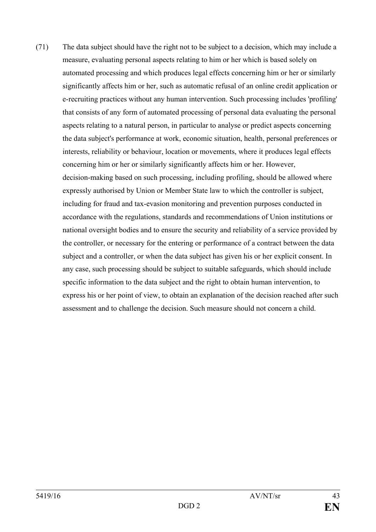(71) The data subject should have the right not to be subject to a decision, which may include a measure, evaluating personal aspects relating to him or her which is based solely on automated processing and which produces legal effects concerning him or her or similarly significantly affects him or her, such as automatic refusal of an online credit application or e-recruiting practices without any human intervention. Such processing includes 'profiling' that consists of any form of automated processing of personal data evaluating the personal aspects relating to a natural person, in particular to analyse or predict aspects concerning the data subject's performance at work, economic situation, health, personal preferences or interests, reliability or behaviour, location or movements, where it produces legal effects concerning him or her or similarly significantly affects him or her. However, decision-making based on such processing, including profiling, should be allowed where expressly authorised by Union or Member State law to which the controller is subject, including for fraud and tax-evasion monitoring and prevention purposes conducted in accordance with the regulations, standards and recommendations of Union institutions or national oversight bodies and to ensure the security and reliability of a service provided by the controller, or necessary for the entering or performance of a contract between the data subject and a controller, or when the data subject has given his or her explicit consent. In any case, such processing should be subject to suitable safeguards, which should include specific information to the data subject and the right to obtain human intervention, to express his or her point of view, to obtain an explanation of the decision reached after such assessment and to challenge the decision. Such measure should not concern a child.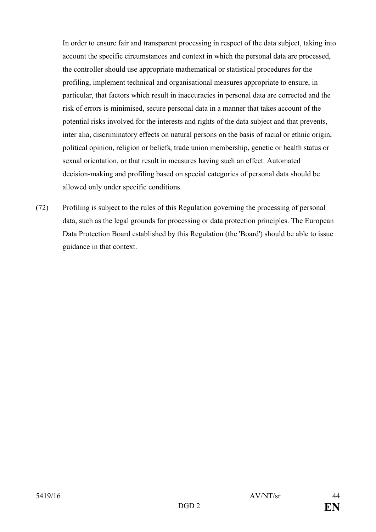In order to ensure fair and transparent processing in respect of the data subject, taking into account the specific circumstances and context in which the personal data are processed, the controller should use appropriate mathematical or statistical procedures for the profiling, implement technical and organisational measures appropriate to ensure, in particular, that factors which result in inaccuracies in personal data are corrected and the risk of errors is minimised, secure personal data in a manner that takes account of the potential risks involved for the interests and rights of the data subject and that prevents, inter alia, discriminatory effects on natural persons on the basis of racial or ethnic origin, political opinion, religion or beliefs, trade union membership, genetic or health status or sexual orientation, or that result in measures having such an effect. Automated decision-making and profiling based on special categories of personal data should be allowed only under specific conditions.

(72) Profiling is subject to the rules of this Regulation governing the processing of personal data, such as the legal grounds for processing or data protection principles. The European Data Protection Board established by this Regulation (the 'Board') should be able to issue guidance in that context.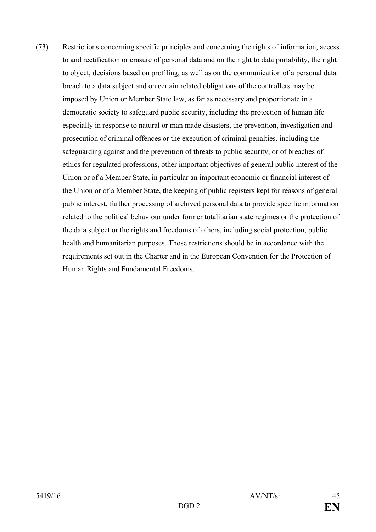(73) Restrictions concerning specific principles and concerning the rights of information, access to and rectification or erasure of personal data and on the right to data portability, the right to object, decisions based on profiling, as well as on the communication of a personal data breach to a data subject and on certain related obligations of the controllers may be imposed by Union or Member State law, as far as necessary and proportionate in a democratic society to safeguard public security, including the protection of human life especially in response to natural or man made disasters, the prevention, investigation and prosecution of criminal offences or the execution of criminal penalties, including the safeguarding against and the prevention of threats to public security, or of breaches of ethics for regulated professions, other important objectives of general public interest of the Union or of a Member State, in particular an important economic or financial interest of the Union or of a Member State, the keeping of public registers kept for reasons of general public interest, further processing of archived personal data to provide specific information related to the political behaviour under former totalitarian state regimes or the protection of the data subject or the rights and freedoms of others, including social protection, public health and humanitarian purposes. Those restrictions should be in accordance with the requirements set out in the Charter and in the European Convention for the Protection of Human Rights and Fundamental Freedoms.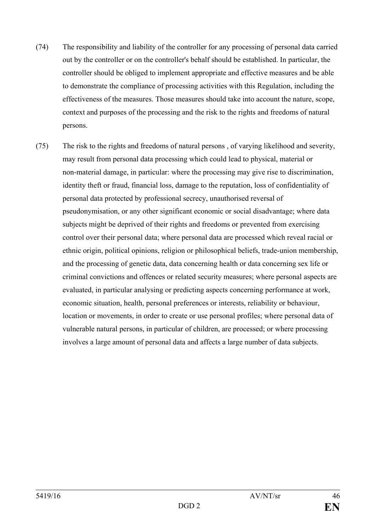- (74) The responsibility and liability of the controller for any processing of personal data carried out by the controller or on the controller's behalf should be established. In particular, the controller should be obliged to implement appropriate and effective measures and be able to demonstrate the compliance of processing activities with this Regulation, including the effectiveness of the measures. Those measures should take into account the nature, scope, context and purposes of the processing and the risk to the rights and freedoms of natural persons.
- (75) The risk to the rights and freedoms of natural persons , of varying likelihood and severity, may result from personal data processing which could lead to physical, material or non-material damage, in particular: where the processing may give rise to discrimination, identity theft or fraud, financial loss, damage to the reputation, loss of confidentiality of personal data protected by professional secrecy, unauthorised reversal of pseudonymisation, or any other significant economic or social disadvantage; where data subjects might be deprived of their rights and freedoms or prevented from exercising control over their personal data; where personal data are processed which reveal racial or ethnic origin, political opinions, religion or philosophical beliefs, trade-union membership, and the processing of genetic data, data concerning health or data concerning sex life or criminal convictions and offences or related security measures; where personal aspects are evaluated, in particular analysing or predicting aspects concerning performance at work, economic situation, health, personal preferences or interests, reliability or behaviour, location or movements, in order to create or use personal profiles; where personal data of vulnerable natural persons, in particular of children, are processed; or where processing involves a large amount of personal data and affects a large number of data subjects.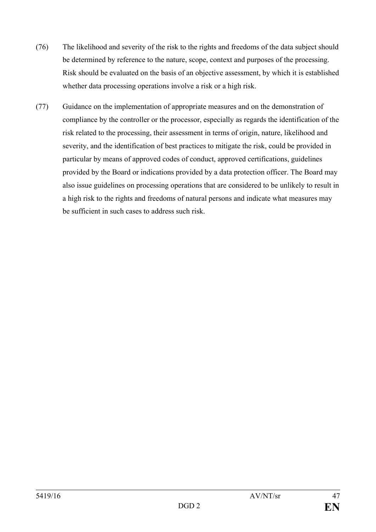- (76) The likelihood and severity of the risk to the rights and freedoms of the data subject should be determined by reference to the nature, scope, context and purposes of the processing. Risk should be evaluated on the basis of an objective assessment, by which it is established whether data processing operations involve a risk or a high risk.
- (77) Guidance on the implementation of appropriate measures and on the demonstration of compliance by the controller or the processor, especially as regards the identification of the risk related to the processing, their assessment in terms of origin, nature, likelihood and severity, and the identification of best practices to mitigate the risk, could be provided in particular by means of approved codes of conduct, approved certifications, guidelines provided by the Board or indications provided by a data protection officer. The Board may also issue guidelines on processing operations that are considered to be unlikely to result in a high risk to the rights and freedoms of natural persons and indicate what measures may be sufficient in such cases to address such risk.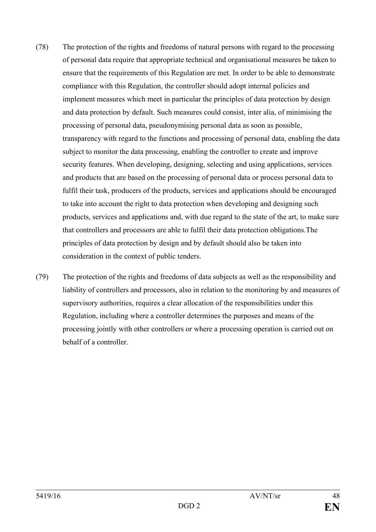- (78) The protection of the rights and freedoms of natural persons with regard to the processing of personal data require that appropriate technical and organisational measures be taken to ensure that the requirements of this Regulation are met. In order to be able to demonstrate compliance with this Regulation, the controller should adopt internal policies and implement measures which meet in particular the principles of data protection by design and data protection by default. Such measures could consist, inter alia, of minimising the processing of personal data, pseudonymising personal data as soon as possible, transparency with regard to the functions and processing of personal data, enabling the data subject to monitor the data processing, enabling the controller to create and improve security features. When developing, designing, selecting and using applications, services and products that are based on the processing of personal data or process personal data to fulfil their task, producers of the products, services and applications should be encouraged to take into account the right to data protection when developing and designing such products, services and applications and, with due regard to the state of the art, to make sure that controllers and processors are able to fulfil their data protection obligations.The principles of data protection by design and by default should also be taken into consideration in the context of public tenders.
- (79) The protection of the rights and freedoms of data subjects as well as the responsibility and liability of controllers and processors, also in relation to the monitoring by and measures of supervisory authorities, requires a clear allocation of the responsibilities under this Regulation, including where a controller determines the purposes and means of the processing jointly with other controllers or where a processing operation is carried out on behalf of a controller.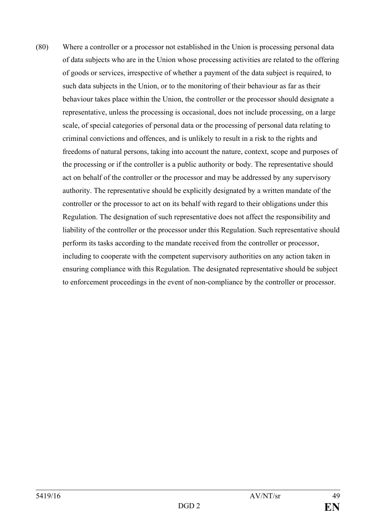(80) Where a controller or a processor not established in the Union is processing personal data of data subjects who are in the Union whose processing activities are related to the offering of goods or services, irrespective of whether a payment of the data subject is required, to such data subjects in the Union, or to the monitoring of their behaviour as far as their behaviour takes place within the Union, the controller or the processor should designate a representative, unless the processing is occasional, does not include processing, on a large scale, of special categories of personal data or the processing of personal data relating to criminal convictions and offences, and is unlikely to result in a risk to the rights and freedoms of natural persons, taking into account the nature, context, scope and purposes of the processing or if the controller is a public authority or body. The representative should act on behalf of the controller or the processor and may be addressed by any supervisory authority. The representative should be explicitly designated by a written mandate of the controller or the processor to act on its behalf with regard to their obligations under this Regulation. The designation of such representative does not affect the responsibility and liability of the controller or the processor under this Regulation. Such representative should perform its tasks according to the mandate received from the controller or processor, including to cooperate with the competent supervisory authorities on any action taken in ensuring compliance with this Regulation. The designated representative should be subject to enforcement proceedings in the event of non-compliance by the controller or processor.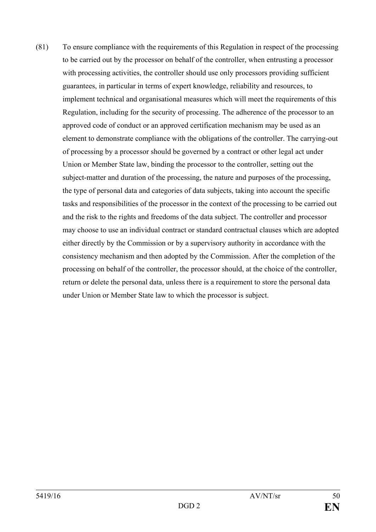(81) To ensure compliance with the requirements of this Regulation in respect of the processing to be carried out by the processor on behalf of the controller, when entrusting a processor with processing activities, the controller should use only processors providing sufficient guarantees, in particular in terms of expert knowledge, reliability and resources, to implement technical and organisational measures which will meet the requirements of this Regulation, including for the security of processing. The adherence of the processor to an approved code of conduct or an approved certification mechanism may be used as an element to demonstrate compliance with the obligations of the controller. The carrying-out of processing by a processor should be governed by a contract or other legal act under Union or Member State law, binding the processor to the controller, setting out the subject-matter and duration of the processing, the nature and purposes of the processing, the type of personal data and categories of data subjects, taking into account the specific tasks and responsibilities of the processor in the context of the processing to be carried out and the risk to the rights and freedoms of the data subject. The controller and processor may choose to use an individual contract or standard contractual clauses which are adopted either directly by the Commission or by a supervisory authority in accordance with the consistency mechanism and then adopted by the Commission. After the completion of the processing on behalf of the controller, the processor should, at the choice of the controller, return or delete the personal data, unless there is a requirement to store the personal data under Union or Member State law to which the processor is subject.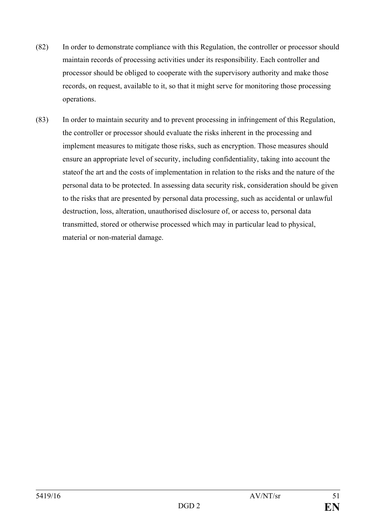- (82) In order to demonstrate compliance with this Regulation, the controller or processor should maintain records of processing activities under its responsibility. Each controller and processor should be obliged to cooperate with the supervisory authority and make those records, on request, available to it, so that it might serve for monitoring those processing operations.
- (83) In order to maintain security and to prevent processing in infringement of this Regulation, the controller or processor should evaluate the risks inherent in the processing and implement measures to mitigate those risks, such as encryption. Those measures should ensure an appropriate level of security, including confidentiality, taking into account the stateof the art and the costs of implementation in relation to the risks and the nature of the personal data to be protected. In assessing data security risk, consideration should be given to the risks that are presented by personal data processing, such as accidental or unlawful destruction, loss, alteration, unauthorised disclosure of, or access to, personal data transmitted, stored or otherwise processed which may in particular lead to physical, material or non-material damage.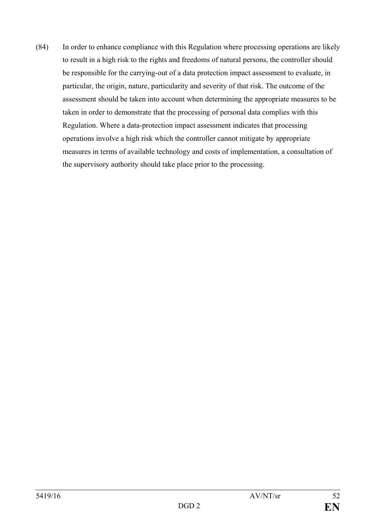(84) In order to enhance compliance with this Regulation where processing operations are likely to result in a high risk to the rights and freedoms of natural persons, the controller should be responsible for the carrying-out of a data protection impact assessment to evaluate, in particular, the origin, nature, particularity and severity of that risk. The outcome of the assessment should be taken into account when determining the appropriate measures to be taken in order to demonstrate that the processing of personal data complies with this Regulation. Where a data-protection impact assessment indicates that processing operations involve a high risk which the controller cannot mitigate by appropriate measures in terms of available technology and costs of implementation, a consultation of the supervisory authority should take place prior to the processing.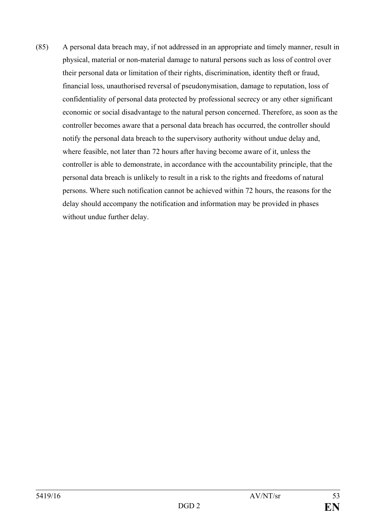(85) A personal data breach may, if not addressed in an appropriate and timely manner, result in physical, material or non-material damage to natural persons such as loss of control over their personal data or limitation of their rights, discrimination, identity theft or fraud, financial loss, unauthorised reversal of pseudonymisation, damage to reputation, loss of confidentiality of personal data protected by professional secrecy or any other significant economic or social disadvantage to the natural person concerned. Therefore, as soon as the controller becomes aware that a personal data breach has occurred, the controller should notify the personal data breach to the supervisory authority without undue delay and, where feasible, not later than 72 hours after having become aware of it, unless the controller is able to demonstrate, in accordance with the accountability principle, that the personal data breach is unlikely to result in a risk to the rights and freedoms of natural persons. Where such notification cannot be achieved within 72 hours, the reasons for the delay should accompany the notification and information may be provided in phases without undue further delay.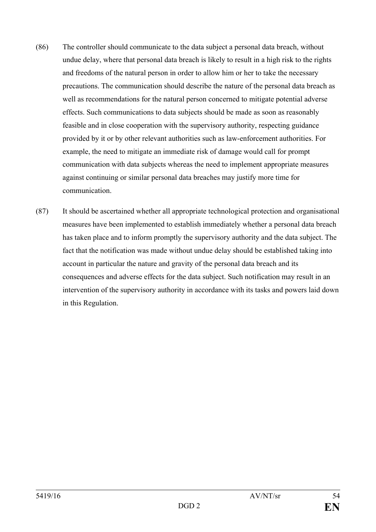- (86) The controller should communicate to the data subject a personal data breach, without undue delay, where that personal data breach is likely to result in a high risk to the rights and freedoms of the natural person in order to allow him or her to take the necessary precautions. The communication should describe the nature of the personal data breach as well as recommendations for the natural person concerned to mitigate potential adverse effects. Such communications to data subjects should be made as soon as reasonably feasible and in close cooperation with the supervisory authority, respecting guidance provided by it or by other relevant authorities such as law-enforcement authorities. For example, the need to mitigate an immediate risk of damage would call for prompt communication with data subjects whereas the need to implement appropriate measures against continuing or similar personal data breaches may justify more time for communication.
- (87) It should be ascertained whether all appropriate technological protection and organisational measures have been implemented to establish immediately whether a personal data breach has taken place and to inform promptly the supervisory authority and the data subject. The fact that the notification was made without undue delay should be established taking into account in particular the nature and gravity of the personal data breach and its consequences and adverse effects for the data subject. Such notification may result in an intervention of the supervisory authority in accordance with its tasks and powers laid down in this Regulation.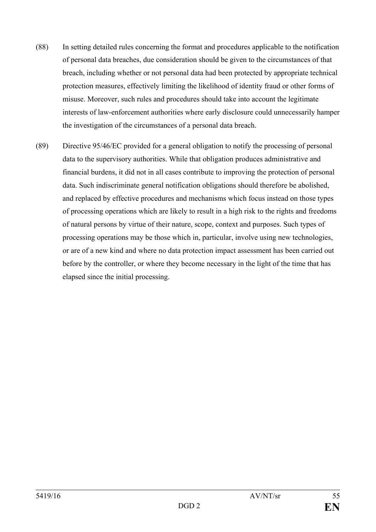- (88) In setting detailed rules concerning the format and procedures applicable to the notification of personal data breaches, due consideration should be given to the circumstances of that breach, including whether or not personal data had been protected by appropriate technical protection measures, effectively limiting the likelihood of identity fraud or other forms of misuse. Moreover, such rules and procedures should take into account the legitimate interests of law-enforcement authorities where early disclosure could unnecessarily hamper the investigation of the circumstances of a personal data breach.
- (89) Directive 95/46/EC provided for a general obligation to notify the processing of personal data to the supervisory authorities. While that obligation produces administrative and financial burdens, it did not in all cases contribute to improving the protection of personal data. Such indiscriminate general notification obligations should therefore be abolished, and replaced by effective procedures and mechanisms which focus instead on those types of processing operations which are likely to result in a high risk to the rights and freedoms of natural persons by virtue of their nature, scope, context and purposes. Such types of processing operations may be those which in, particular, involve using new technologies, or are of a new kind and where no data protection impact assessment has been carried out before by the controller, or where they become necessary in the light of the time that has elapsed since the initial processing.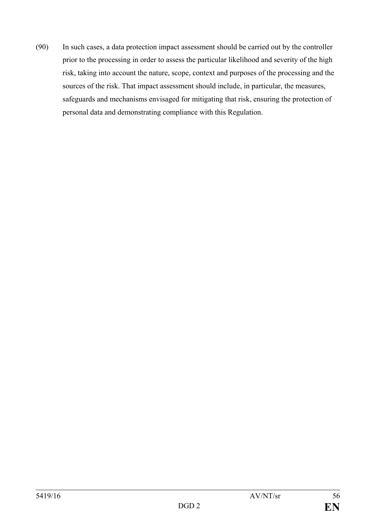(90) In such cases, a data protection impact assessment should be carried out by the controller prior to the processing in order to assess the particular likelihood and severity of the high risk, taking into account the nature, scope, context and purposes of the processing and the sources of the risk. That impact assessment should include, in particular, the measures, safeguards and mechanisms envisaged for mitigating that risk, ensuring the protection of personal data and demonstrating compliance with this Regulation.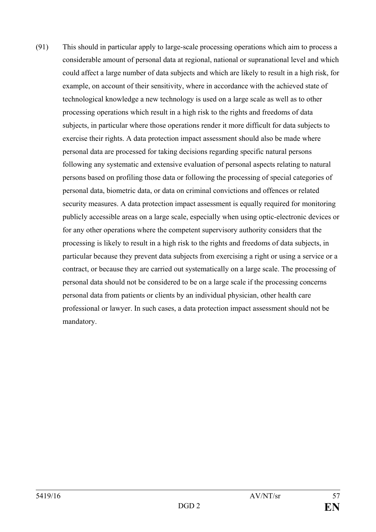(91) This should in particular apply to large-scale processing operations which aim to process a considerable amount of personal data at regional, national or supranational level and which could affect a large number of data subjects and which are likely to result in a high risk, for example, on account of their sensitivity, where in accordance with the achieved state of technological knowledge a new technology is used on a large scale as well as to other processing operations which result in a high risk to the rights and freedoms of data subjects, in particular where those operations render it more difficult for data subjects to exercise their rights. A data protection impact assessment should also be made where personal data are processed for taking decisions regarding specific natural persons following any systematic and extensive evaluation of personal aspects relating to natural persons based on profiling those data or following the processing of special categories of personal data, biometric data, or data on criminal convictions and offences or related security measures. A data protection impact assessment is equally required for monitoring publicly accessible areas on a large scale, especially when using optic-electronic devices or for any other operations where the competent supervisory authority considers that the processing is likely to result in a high risk to the rights and freedoms of data subjects, in particular because they prevent data subjects from exercising a right or using a service or a contract, or because they are carried out systematically on a large scale. The processing of personal data should not be considered to be on a large scale if the processing concerns personal data from patients or clients by an individual physician, other health care professional or lawyer. In such cases, a data protection impact assessment should not be mandatory.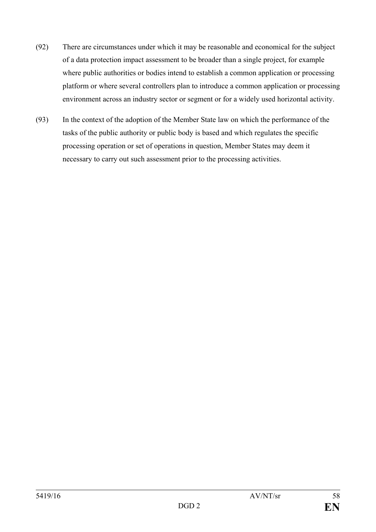- (92) There are circumstances under which it may be reasonable and economical for the subject of a data protection impact assessment to be broader than a single project, for example where public authorities or bodies intend to establish a common application or processing platform or where several controllers plan to introduce a common application or processing environment across an industry sector or segment or for a widely used horizontal activity.
- (93) In the context of the adoption of the Member State law on which the performance of the tasks of the public authority or public body is based and which regulates the specific processing operation or set of operations in question, Member States may deem it necessary to carry out such assessment prior to the processing activities.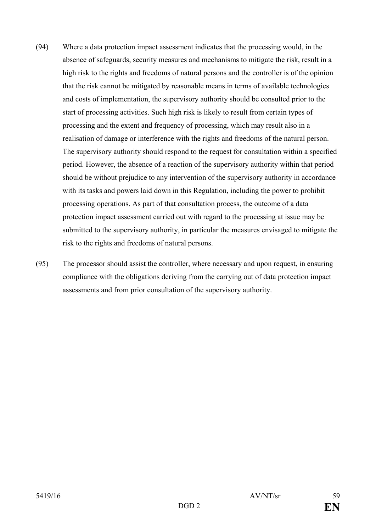- (94) Where a data protection impact assessment indicates that the processing would, in the absence of safeguards, security measures and mechanisms to mitigate the risk, result in a high risk to the rights and freedoms of natural persons and the controller is of the opinion that the risk cannot be mitigated by reasonable means in terms of available technologies and costs of implementation, the supervisory authority should be consulted prior to the start of processing activities. Such high risk is likely to result from certain types of processing and the extent and frequency of processing, which may result also in a realisation of damage or interference with the rights and freedoms of the natural person. The supervisory authority should respond to the request for consultation within a specified period. However, the absence of a reaction of the supervisory authority within that period should be without prejudice to any intervention of the supervisory authority in accordance with its tasks and powers laid down in this Regulation, including the power to prohibit processing operations. As part of that consultation process, the outcome of a data protection impact assessment carried out with regard to the processing at issue may be submitted to the supervisory authority, in particular the measures envisaged to mitigate the risk to the rights and freedoms of natural persons.
- (95) The processor should assist the controller, where necessary and upon request, in ensuring compliance with the obligations deriving from the carrying out of data protection impact assessments and from prior consultation of the supervisory authority.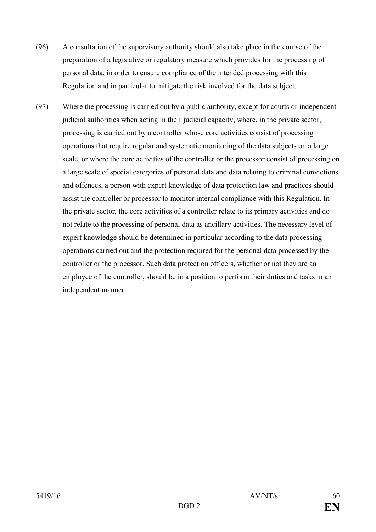- (96) A consultation of the supervisory authority should also take place in the course of the preparation of a legislative or regulatory measure which provides for the processing of personal data, in order to ensure compliance of the intended processing with this Regulation and in particular to mitigate the risk involved for the data subject.
- (97) Where the processing is carried out by a public authority, except for courts or independent judicial authorities when acting in their judicial capacity, where, in the private sector, processing is carried out by a controller whose core activities consist of processing operations that require regular and systematic monitoring of the data subjects on a large scale, or where the core activities of the controller or the processor consist of processing on a large scale of special categories of personal data and data relating to criminal convictions and offences, a person with expert knowledge of data protection law and practices should assist the controller or processor to monitor internal compliance with this Regulation. In the private sector, the core activities of a controller relate to its primary activities and do not relate to the processing of personal data as ancillary activities. The necessary level of expert knowledge should be determined in particular according to the data processing operations carried out and the protection required for the personal data processed by the controller or the processor. Such data protection officers, whether or not they are an employee of the controller, should be in a position to perform their duties and tasks in an independent manner.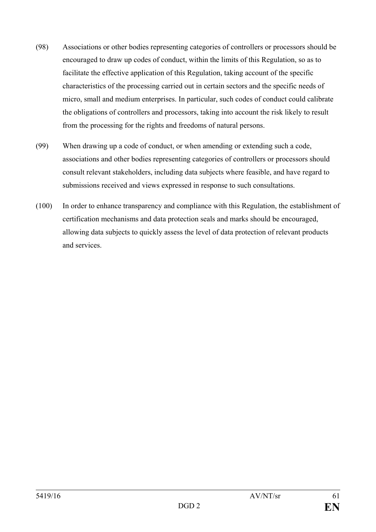- (98) Associations or other bodies representing categories of controllers or processors should be encouraged to draw up codes of conduct, within the limits of this Regulation, so as to facilitate the effective application of this Regulation, taking account of the specific characteristics of the processing carried out in certain sectors and the specific needs of micro, small and medium enterprises. In particular, such codes of conduct could calibrate the obligations of controllers and processors, taking into account the risk likely to result from the processing for the rights and freedoms of natural persons.
- (99) When drawing up a code of conduct, or when amending or extending such a code, associations and other bodies representing categories of controllers or processors should consult relevant stakeholders, including data subjects where feasible, and have regard to submissions received and views expressed in response to such consultations.
- (100) In order to enhance transparency and compliance with this Regulation, the establishment of certification mechanisms and data protection seals and marks should be encouraged, allowing data subjects to quickly assess the level of data protection of relevant products and services.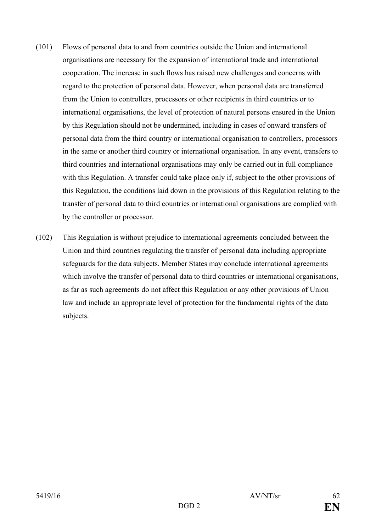- (101) Flows of personal data to and from countries outside the Union and international organisations are necessary for the expansion of international trade and international cooperation. The increase in such flows has raised new challenges and concerns with regard to the protection of personal data. However, when personal data are transferred from the Union to controllers, processors or other recipients in third countries or to international organisations, the level of protection of natural persons ensured in the Union by this Regulation should not be undermined, including in cases of onward transfers of personal data from the third country or international organisation to controllers, processors in the same or another third country or international organisation. In any event, transfers to third countries and international organisations may only be carried out in full compliance with this Regulation. A transfer could take place only if, subject to the other provisions of this Regulation, the conditions laid down in the provisions of this Regulation relating to the transfer of personal data to third countries or international organisations are complied with by the controller or processor.
- (102) This Regulation is without prejudice to international agreements concluded between the Union and third countries regulating the transfer of personal data including appropriate safeguards for the data subjects. Member States may conclude international agreements which involve the transfer of personal data to third countries or international organisations, as far as such agreements do not affect this Regulation or any other provisions of Union law and include an appropriate level of protection for the fundamental rights of the data subjects.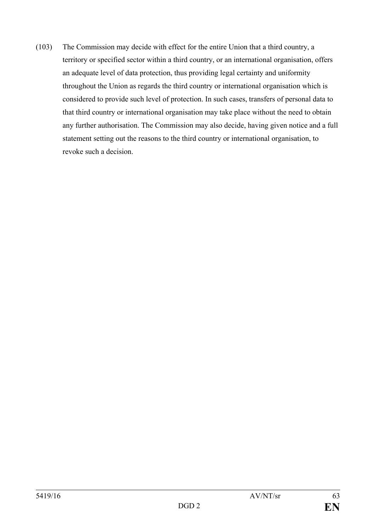(103) The Commission may decide with effect for the entire Union that a third country, a territory or specified sector within a third country, or an international organisation, offers an adequate level of data protection, thus providing legal certainty and uniformity throughout the Union as regards the third country or international organisation which is considered to provide such level of protection. In such cases, transfers of personal data to that third country or international organisation may take place without the need to obtain any further authorisation. The Commission may also decide, having given notice and a full statement setting out the reasons to the third country or international organisation, to revoke such a decision.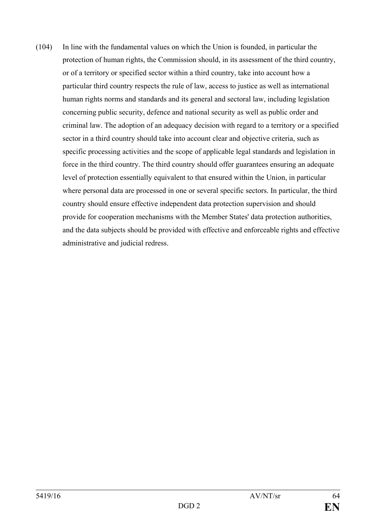(104) In line with the fundamental values on which the Union is founded, in particular the protection of human rights, the Commission should, in its assessment of the third country, or of a territory or specified sector within a third country, take into account how a particular third country respects the rule of law, access to justice as well as international human rights norms and standards and its general and sectoral law, including legislation concerning public security, defence and national security as well as public order and criminal law. The adoption of an adequacy decision with regard to a territory or a specified sector in a third country should take into account clear and objective criteria, such as specific processing activities and the scope of applicable legal standards and legislation in force in the third country. The third country should offer guarantees ensuring an adequate level of protection essentially equivalent to that ensured within the Union, in particular where personal data are processed in one or several specific sectors. In particular, the third country should ensure effective independent data protection supervision and should provide for cooperation mechanisms with the Member States' data protection authorities, and the data subjects should be provided with effective and enforceable rights and effective administrative and judicial redress.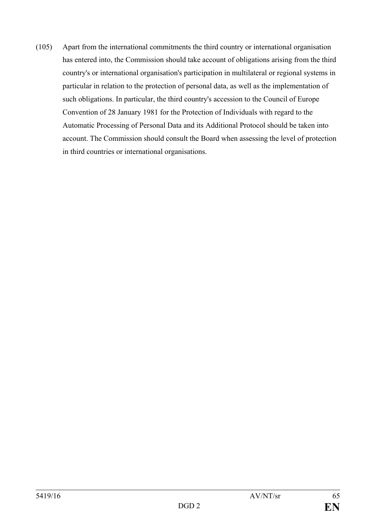(105) Apart from the international commitments the third country or international organisation has entered into, the Commission should take account of obligations arising from the third country's or international organisation's participation in multilateral or regional systems in particular in relation to the protection of personal data, as well as the implementation of such obligations. In particular, the third country's accession to the Council of Europe Convention of 28 January 1981 for the Protection of Individuals with regard to the Automatic Processing of Personal Data and its Additional Protocol should be taken into account. The Commission should consult the Board when assessing the level of protection in third countries or international organisations.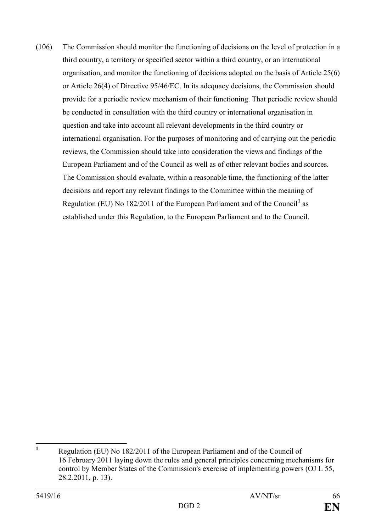(106) The Commission should monitor the functioning of decisions on the level of protection in a third country, a territory or specified sector within a third country, or an international organisation, and monitor the functioning of decisions adopted on the basis of Article 25(6) or Article 26(4) of Directive 95/46/EC. In its adequacy decisions, the Commission should provide for a periodic review mechanism of their functioning. That periodic review should be conducted in consultation with the third country or international organisation in question and take into account all relevant developments in the third country or international organisation. For the purposes of monitoring and of carrying out the periodic reviews, the Commission should take into consideration the views and findings of the European Parliament and of the Council as well as of other relevant bodies and sources. The Commission should evaluate, within a reasonable time, the functioning of the latter decisions and report any relevant findings to the Committee within the meaning of Regulation (EU) No 182/2011 of the European Parliament and of the Council**[1](#page-66-0)** as established under this Regulation, to the European Parliament and to the Council.

<span id="page-66-0"></span> **1** Regulation (EU) No 182/2011 of the European Parliament and of the Council of 16 February 2011 laying down the rules and general principles concerning mechanisms for control by Member States of the Commission's exercise of implementing powers (OJ L 55, 28.2.2011, p. 13).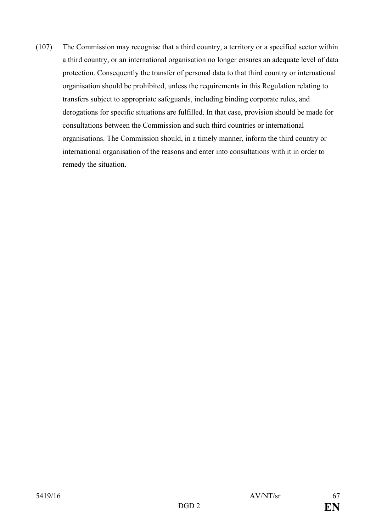(107) The Commission may recognise that a third country, a territory or a specified sector within a third country, or an international organisation no longer ensures an adequate level of data protection. Consequently the transfer of personal data to that third country or international organisation should be prohibited, unless the requirements in this Regulation relating to transfers subject to appropriate safeguards, including binding corporate rules, and derogations for specific situations are fulfilled. In that case, provision should be made for consultations between the Commission and such third countries or international organisations. The Commission should, in a timely manner, inform the third country or international organisation of the reasons and enter into consultations with it in order to remedy the situation.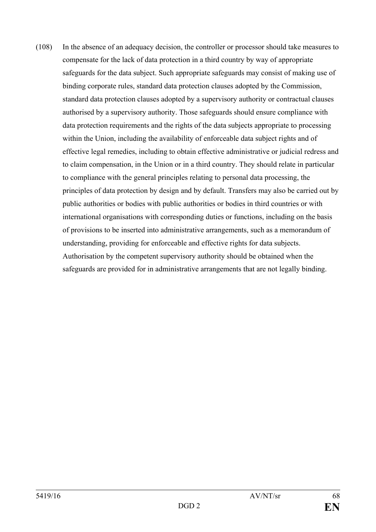(108) In the absence of an adequacy decision, the controller or processor should take measures to compensate for the lack of data protection in a third country by way of appropriate safeguards for the data subject. Such appropriate safeguards may consist of making use of binding corporate rules, standard data protection clauses adopted by the Commission, standard data protection clauses adopted by a supervisory authority or contractual clauses authorised by a supervisory authority. Those safeguards should ensure compliance with data protection requirements and the rights of the data subjects appropriate to processing within the Union, including the availability of enforceable data subject rights and of effective legal remedies, including to obtain effective administrative or judicial redress and to claim compensation, in the Union or in a third country. They should relate in particular to compliance with the general principles relating to personal data processing, the principles of data protection by design and by default. Transfers may also be carried out by public authorities or bodies with public authorities or bodies in third countries or with international organisations with corresponding duties or functions, including on the basis of provisions to be inserted into administrative arrangements, such as a memorandum of understanding, providing for enforceable and effective rights for data subjects. Authorisation by the competent supervisory authority should be obtained when the safeguards are provided for in administrative arrangements that are not legally binding.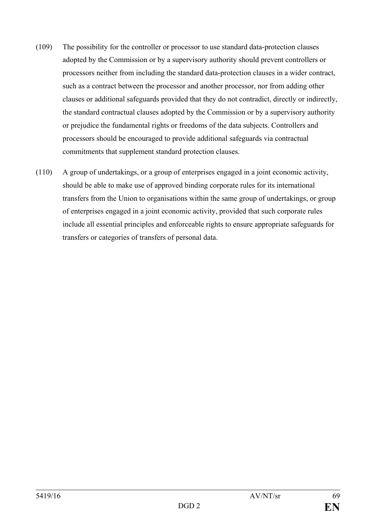- (109) The possibility for the controller or processor to use standard data-protection clauses adopted by the Commission or by a supervisory authority should prevent controllers or processors neither from including the standard data-protection clauses in a wider contract, such as a contract between the processor and another processor, nor from adding other clauses or additional safeguards provided that they do not contradict, directly or indirectly, the standard contractual clauses adopted by the Commission or by a supervisory authority or prejudice the fundamental rights or freedoms of the data subjects. Controllers and processors should be encouraged to provide additional safeguards via contractual commitments that supplement standard protection clauses.
- (110) A group of undertakings, or a group of enterprises engaged in a joint economic activity, should be able to make use of approved binding corporate rules for its international transfers from the Union to organisations within the same group of undertakings, or group of enterprises engaged in a joint economic activity, provided that such corporate rules include all essential principles and enforceable rights to ensure appropriate safeguards for transfers or categories of transfers of personal data.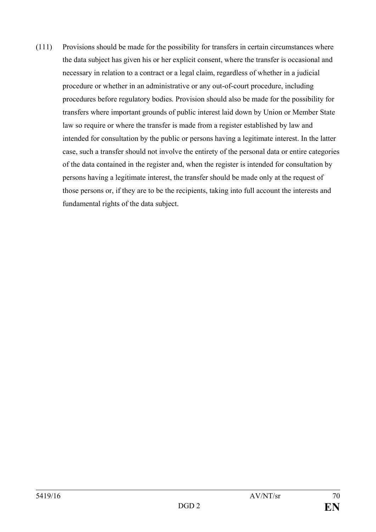(111) Provisions should be made for the possibility for transfers in certain circumstances where the data subject has given his or her explicit consent, where the transfer is occasional and necessary in relation to a contract or a legal claim, regardless of whether in a judicial procedure or whether in an administrative or any out-of-court procedure, including procedures before regulatory bodies. Provision should also be made for the possibility for transfers where important grounds of public interest laid down by Union or Member State law so require or where the transfer is made from a register established by law and intended for consultation by the public or persons having a legitimate interest. In the latter case, such a transfer should not involve the entirety of the personal data or entire categories of the data contained in the register and, when the register is intended for consultation by persons having a legitimate interest, the transfer should be made only at the request of those persons or, if they are to be the recipients, taking into full account the interests and fundamental rights of the data subject.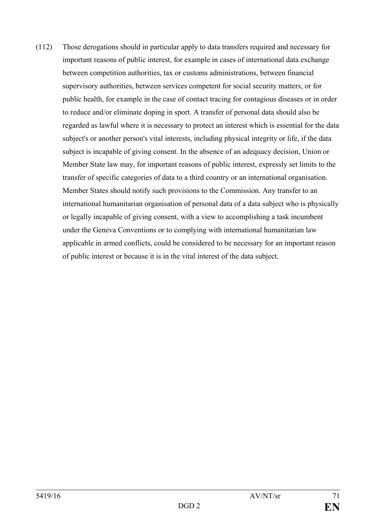(112) Those derogations should in particular apply to data transfers required and necessary for important reasons of public interest, for example in cases of international data exchange between competition authorities, tax or customs administrations, between financial supervisory authorities, between services competent for social security matters, or for public health, for example in the case of contact tracing for contagious diseases or in order to reduce and/or eliminate doping in sport. A transfer of personal data should also be regarded as lawful where it is necessary to protect an interest which is essential for the data subject's or another person's vital interests, including physical integrity or life, if the data subject is incapable of giving consent. In the absence of an adequacy decision, Union or Member State law may, for important reasons of public interest, expressly set limits to the transfer of specific categories of data to a third country or an international organisation. Member States should notify such provisions to the Commission. Any transfer to an international humanitarian organisation of personal data of a data subject who is physically or legally incapable of giving consent, with a view to accomplishing a task incumbent under the Geneva Conventions or to complying with international humanitarian law applicable in armed conflicts, could be considered to be necessary for an important reason of public interest or because it is in the vital interest of the data subject.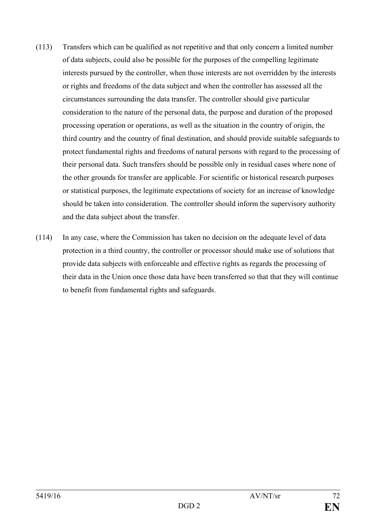- (113) Transfers which can be qualified as not repetitive and that only concern a limited number of data subjects, could also be possible for the purposes of the compelling legitimate interests pursued by the controller, when those interests are not overridden by the interests or rights and freedoms of the data subject and when the controller has assessed all the circumstances surrounding the data transfer. The controller should give particular consideration to the nature of the personal data, the purpose and duration of the proposed processing operation or operations, as well as the situation in the country of origin, the third country and the country of final destination, and should provide suitable safeguards to protect fundamental rights and freedoms of natural persons with regard to the processing of their personal data. Such transfers should be possible only in residual cases where none of the other grounds for transfer are applicable. For scientific or historical research purposes or statistical purposes, the legitimate expectations of society for an increase of knowledge should be taken into consideration. The controller should inform the supervisory authority and the data subject about the transfer.
- (114) In any case, where the Commission has taken no decision on the adequate level of data protection in a third country, the controller or processor should make use of solutions that provide data subjects with enforceable and effective rights as regards the processing of their data in the Union once those data have been transferred so that that they will continue to benefit from fundamental rights and safeguards.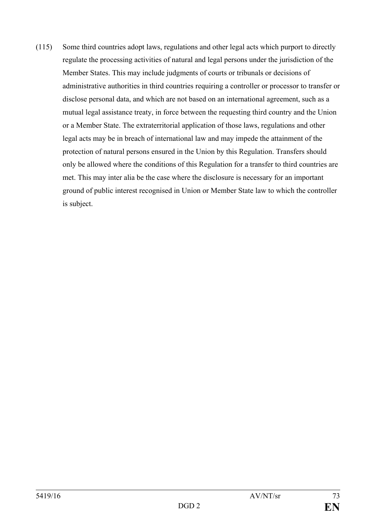(115) Some third countries adopt laws, regulations and other legal acts which purport to directly regulate the processing activities of natural and legal persons under the jurisdiction of the Member States. This may include judgments of courts or tribunals or decisions of administrative authorities in third countries requiring a controller or processor to transfer or disclose personal data, and which are not based on an international agreement, such as a mutual legal assistance treaty, in force between the requesting third country and the Union or a Member State. The extraterritorial application of those laws, regulations and other legal acts may be in breach of international law and may impede the attainment of the protection of natural persons ensured in the Union by this Regulation. Transfers should only be allowed where the conditions of this Regulation for a transfer to third countries are met. This may inter alia be the case where the disclosure is necessary for an important ground of public interest recognised in Union or Member State law to which the controller is subject.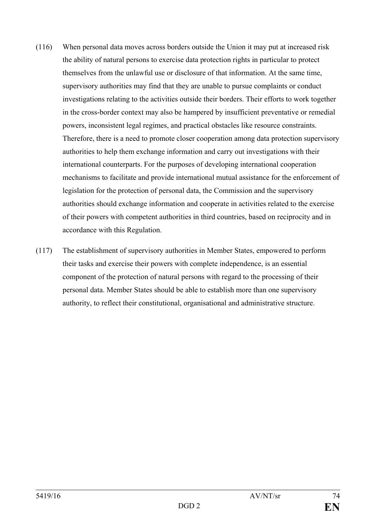- (116) When personal data moves across borders outside the Union it may put at increased risk the ability of natural persons to exercise data protection rights in particular to protect themselves from the unlawful use or disclosure of that information. At the same time, supervisory authorities may find that they are unable to pursue complaints or conduct investigations relating to the activities outside their borders. Their efforts to work together in the cross-border context may also be hampered by insufficient preventative or remedial powers, inconsistent legal regimes, and practical obstacles like resource constraints. Therefore, there is a need to promote closer cooperation among data protection supervisory authorities to help them exchange information and carry out investigations with their international counterparts. For the purposes of developing international cooperation mechanisms to facilitate and provide international mutual assistance for the enforcement of legislation for the protection of personal data, the Commission and the supervisory authorities should exchange information and cooperate in activities related to the exercise of their powers with competent authorities in third countries, based on reciprocity and in accordance with this Regulation.
- (117) The establishment of supervisory authorities in Member States, empowered to perform their tasks and exercise their powers with complete independence, is an essential component of the protection of natural persons with regard to the processing of their personal data. Member States should be able to establish more than one supervisory authority, to reflect their constitutional, organisational and administrative structure.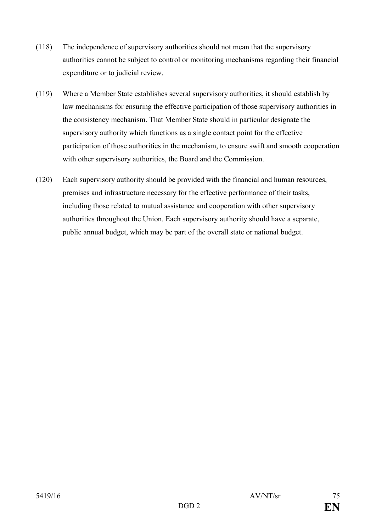- (118) The independence of supervisory authorities should not mean that the supervisory authorities cannot be subject to control or monitoring mechanisms regarding their financial expenditure or to judicial review.
- (119) Where a Member State establishes several supervisory authorities, it should establish by law mechanisms for ensuring the effective participation of those supervisory authorities in the consistency mechanism. That Member State should in particular designate the supervisory authority which functions as a single contact point for the effective participation of those authorities in the mechanism, to ensure swift and smooth cooperation with other supervisory authorities, the Board and the Commission.
- (120) Each supervisory authority should be provided with the financial and human resources, premises and infrastructure necessary for the effective performance of their tasks, including those related to mutual assistance and cooperation with other supervisory authorities throughout the Union. Each supervisory authority should have a separate, public annual budget, which may be part of the overall state or national budget.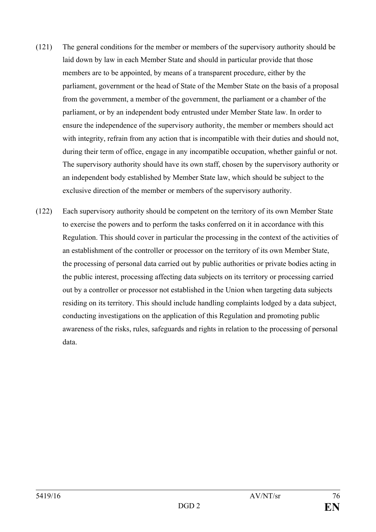- (121) The general conditions for the member or members of the supervisory authority should be laid down by law in each Member State and should in particular provide that those members are to be appointed, by means of a transparent procedure, either by the parliament, government or the head of State of the Member State on the basis of a proposal from the government, a member of the government, the parliament or a chamber of the parliament, or by an independent body entrusted under Member State law. In order to ensure the independence of the supervisory authority, the member or members should act with integrity, refrain from any action that is incompatible with their duties and should not, during their term of office, engage in any incompatible occupation, whether gainful or not. The supervisory authority should have its own staff, chosen by the supervisory authority or an independent body established by Member State law, which should be subject to the exclusive direction of the member or members of the supervisory authority.
- (122) Each supervisory authority should be competent on the territory of its own Member State to exercise the powers and to perform the tasks conferred on it in accordance with this Regulation. This should cover in particular the processing in the context of the activities of an establishment of the controller or processor on the territory of its own Member State, the processing of personal data carried out by public authorities or private bodies acting in the public interest, processing affecting data subjects on its territory or processing carried out by a controller or processor not established in the Union when targeting data subjects residing on its territory. This should include handling complaints lodged by a data subject, conducting investigations on the application of this Regulation and promoting public awareness of the risks, rules, safeguards and rights in relation to the processing of personal data.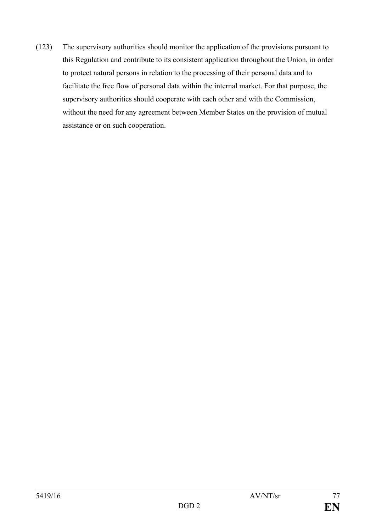(123) The supervisory authorities should monitor the application of the provisions pursuant to this Regulation and contribute to its consistent application throughout the Union, in order to protect natural persons in relation to the processing of their personal data and to facilitate the free flow of personal data within the internal market. For that purpose, the supervisory authorities should cooperate with each other and with the Commission, without the need for any agreement between Member States on the provision of mutual assistance or on such cooperation.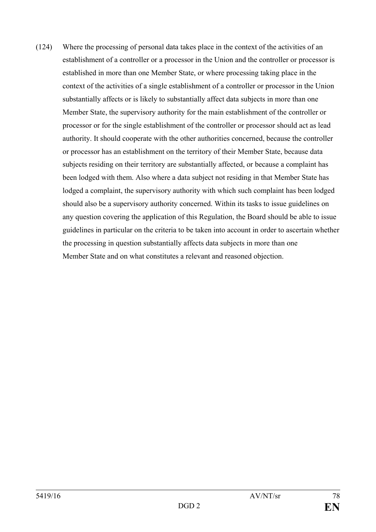(124) Where the processing of personal data takes place in the context of the activities of an establishment of a controller or a processor in the Union and the controller or processor is established in more than one Member State, or where processing taking place in the context of the activities of a single establishment of a controller or processor in the Union substantially affects or is likely to substantially affect data subjects in more than one Member State, the supervisory authority for the main establishment of the controller or processor or for the single establishment of the controller or processor should act as lead authority. It should cooperate with the other authorities concerned, because the controller or processor has an establishment on the territory of their Member State, because data subjects residing on their territory are substantially affected, or because a complaint has been lodged with them. Also where a data subject not residing in that Member State has lodged a complaint, the supervisory authority with which such complaint has been lodged should also be a supervisory authority concerned. Within its tasks to issue guidelines on any question covering the application of this Regulation, the Board should be able to issue guidelines in particular on the criteria to be taken into account in order to ascertain whether the processing in question substantially affects data subjects in more than one Member State and on what constitutes a relevant and reasoned objection.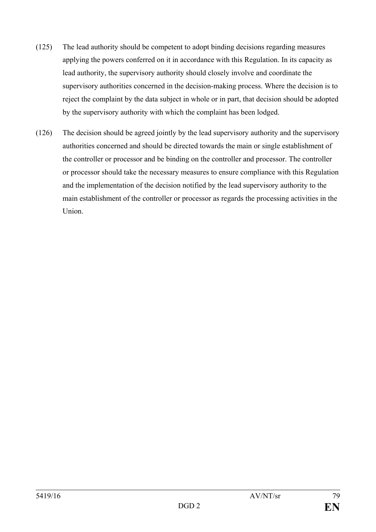- (125) The lead authority should be competent to adopt binding decisions regarding measures applying the powers conferred on it in accordance with this Regulation. In its capacity as lead authority, the supervisory authority should closely involve and coordinate the supervisory authorities concerned in the decision-making process. Where the decision is to reject the complaint by the data subject in whole or in part, that decision should be adopted by the supervisory authority with which the complaint has been lodged.
- (126) The decision should be agreed jointly by the lead supervisory authority and the supervisory authorities concerned and should be directed towards the main or single establishment of the controller or processor and be binding on the controller and processor. The controller or processor should take the necessary measures to ensure compliance with this Regulation and the implementation of the decision notified by the lead supervisory authority to the main establishment of the controller or processor as regards the processing activities in the Union.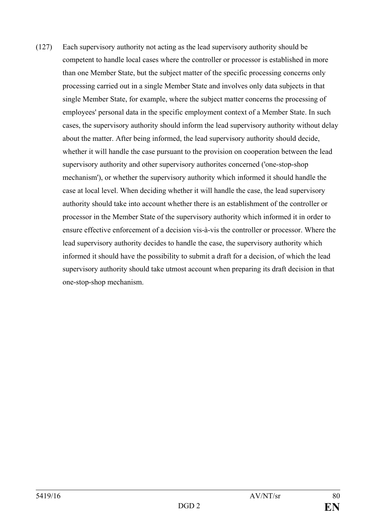(127) Each supervisory authority not acting as the lead supervisory authority should be competent to handle local cases where the controller or processor is established in more than one Member State, but the subject matter of the specific processing concerns only processing carried out in a single Member State and involves only data subjects in that single Member State, for example, where the subject matter concerns the processing of employees' personal data in the specific employment context of a Member State. In such cases, the supervisory authority should inform the lead supervisory authority without delay about the matter. After being informed, the lead supervisory authority should decide, whether it will handle the case pursuant to the provision on cooperation between the lead supervisory authority and other supervisory authorites concerned ('one-stop-shop mechanism'), or whether the supervisory authority which informed it should handle the case at local level. When deciding whether it will handle the case, the lead supervisory authority should take into account whether there is an establishment of the controller or processor in the Member State of the supervisory authority which informed it in order to ensure effective enforcement of a decision vis-à-vis the controller or processor. Where the lead supervisory authority decides to handle the case, the supervisory authority which informed it should have the possibility to submit a draft for a decision, of which the lead supervisory authority should take utmost account when preparing its draft decision in that one-stop-shop mechanism.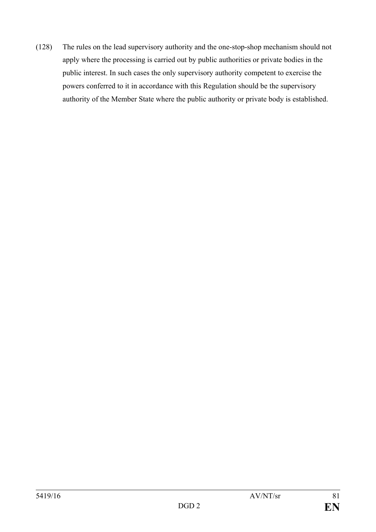(128) The rules on the lead supervisory authority and the one-stop-shop mechanism should not apply where the processing is carried out by public authorities or private bodies in the public interest. In such cases the only supervisory authority competent to exercise the powers conferred to it in accordance with this Regulation should be the supervisory authority of the Member State where the public authority or private body is established.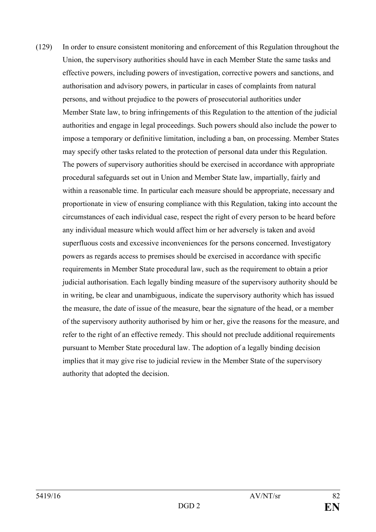(129) In order to ensure consistent monitoring and enforcement of this Regulation throughout the Union, the supervisory authorities should have in each Member State the same tasks and effective powers, including powers of investigation, corrective powers and sanctions, and authorisation and advisory powers, in particular in cases of complaints from natural persons, and without prejudice to the powers of prosecutorial authorities under Member State law, to bring infringements of this Regulation to the attention of the judicial authorities and engage in legal proceedings. Such powers should also include the power to impose a temporary or definitive limitation, including a ban, on processing. Member States may specify other tasks related to the protection of personal data under this Regulation. The powers of supervisory authorities should be exercised in accordance with appropriate procedural safeguards set out in Union and Member State law, impartially, fairly and within a reasonable time. In particular each measure should be appropriate, necessary and proportionate in view of ensuring compliance with this Regulation, taking into account the circumstances of each individual case, respect the right of every person to be heard before any individual measure which would affect him or her adversely is taken and avoid superfluous costs and excessive inconveniences for the persons concerned. Investigatory powers as regards access to premises should be exercised in accordance with specific requirements in Member State procedural law, such as the requirement to obtain a prior judicial authorisation. Each legally binding measure of the supervisory authority should be in writing, be clear and unambiguous, indicate the supervisory authority which has issued the measure, the date of issue of the measure, bear the signature of the head, or a member of the supervisory authority authorised by him or her, give the reasons for the measure, and refer to the right of an effective remedy. This should not preclude additional requirements pursuant to Member State procedural law. The adoption of a legally binding decision implies that it may give rise to judicial review in the Member State of the supervisory authority that adopted the decision.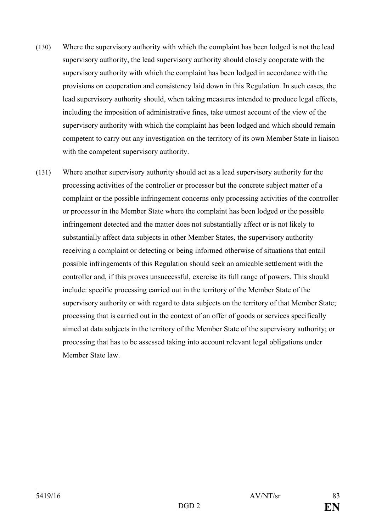- (130) Where the supervisory authority with which the complaint has been lodged is not the lead supervisory authority, the lead supervisory authority should closely cooperate with the supervisory authority with which the complaint has been lodged in accordance with the provisions on cooperation and consistency laid down in this Regulation. In such cases, the lead supervisory authority should, when taking measures intended to produce legal effects, including the imposition of administrative fines, take utmost account of the view of the supervisory authority with which the complaint has been lodged and which should remain competent to carry out any investigation on the territory of its own Member State in liaison with the competent supervisory authority.
- (131) Where another supervisory authority should act as a lead supervisory authority for the processing activities of the controller or processor but the concrete subject matter of a complaint or the possible infringement concerns only processing activities of the controller or processor in the Member State where the complaint has been lodged or the possible infringement detected and the matter does not substantially affect or is not likely to substantially affect data subjects in other Member States, the supervisory authority receiving a complaint or detecting or being informed otherwise of situations that entail possible infringements of this Regulation should seek an amicable settlement with the controller and, if this proves unsuccessful, exercise its full range of powers. This should include: specific processing carried out in the territory of the Member State of the supervisory authority or with regard to data subjects on the territory of that Member State; processing that is carried out in the context of an offer of goods or services specifically aimed at data subjects in the territory of the Member State of the supervisory authority; or processing that has to be assessed taking into account relevant legal obligations under Member State law.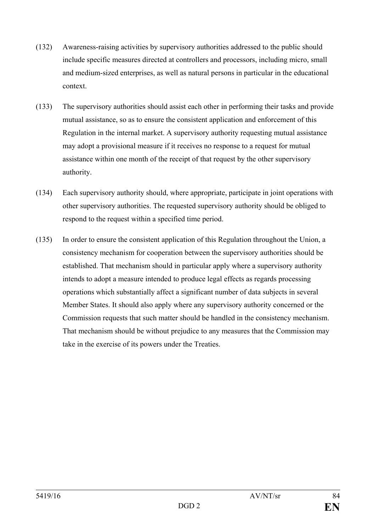- (132) Awareness-raising activities by supervisory authorities addressed to the public should include specific measures directed at controllers and processors, including micro, small and medium-sized enterprises, as well as natural persons in particular in the educational context.
- (133) The supervisory authorities should assist each other in performing their tasks and provide mutual assistance, so as to ensure the consistent application and enforcement of this Regulation in the internal market. A supervisory authority requesting mutual assistance may adopt a provisional measure if it receives no response to a request for mutual assistance within one month of the receipt of that request by the other supervisory authority.
- (134) Each supervisory authority should, where appropriate, participate in joint operations with other supervisory authorities. The requested supervisory authority should be obliged to respond to the request within a specified time period.
- (135) In order to ensure the consistent application of this Regulation throughout the Union, a consistency mechanism for cooperation between the supervisory authorities should be established. That mechanism should in particular apply where a supervisory authority intends to adopt a measure intended to produce legal effects as regards processing operations which substantially affect a significant number of data subjects in several Member States. It should also apply where any supervisory authority concerned or the Commission requests that such matter should be handled in the consistency mechanism. That mechanism should be without prejudice to any measures that the Commission may take in the exercise of its powers under the Treaties.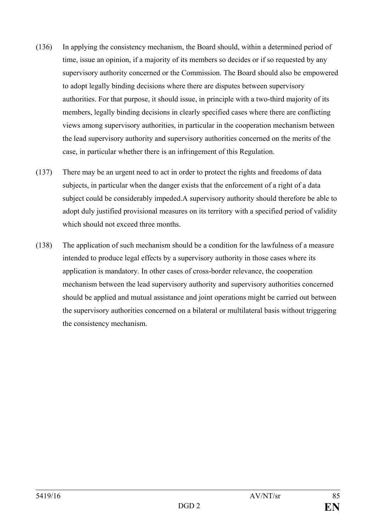- (136) In applying the consistency mechanism, the Board should, within a determined period of time, issue an opinion, if a majority of its members so decides or if so requested by any supervisory authority concerned or the Commission. The Board should also be empowered to adopt legally binding decisions where there are disputes between supervisory authorities. For that purpose, it should issue, in principle with a two-third majority of its members, legally binding decisions in clearly specified cases where there are conflicting views among supervisory authorities, in particular in the cooperation mechanism between the lead supervisory authority and supervisory authorities concerned on the merits of the case, in particular whether there is an infringement of this Regulation.
- (137) There may be an urgent need to act in order to protect the rights and freedoms of data subjects, in particular when the danger exists that the enforcement of a right of a data subject could be considerably impeded.A supervisory authority should therefore be able to adopt duly justified provisional measures on its territory with a specified period of validity which should not exceed three months.
- (138) The application of such mechanism should be a condition for the lawfulness of a measure intended to produce legal effects by a supervisory authority in those cases where its application is mandatory. In other cases of cross-border relevance, the cooperation mechanism between the lead supervisory authority and supervisory authorities concerned should be applied and mutual assistance and joint operations might be carried out between the supervisory authorities concerned on a bilateral or multilateral basis without triggering the consistency mechanism.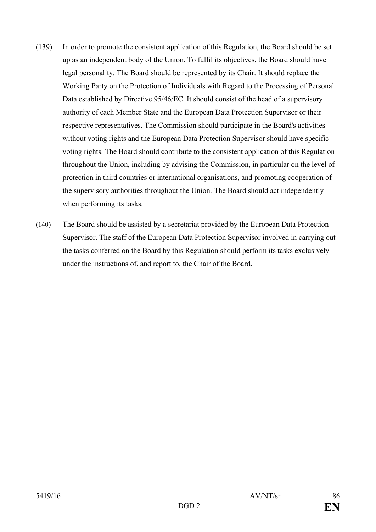- (139) In order to promote the consistent application of this Regulation, the Board should be set up as an independent body of the Union. To fulfil its objectives, the Board should have legal personality. The Board should be represented by its Chair. It should replace the Working Party on the Protection of Individuals with Regard to the Processing of Personal Data established by Directive 95/46/EC. It should consist of the head of a supervisory authority of each Member State and the European Data Protection Supervisor or their respective representatives. The Commission should participate in the Board's activities without voting rights and the European Data Protection Supervisor should have specific voting rights. The Board should contribute to the consistent application of this Regulation throughout the Union, including by advising the Commission, in particular on the level of protection in third countries or international organisations, and promoting cooperation of the supervisory authorities throughout the Union. The Board should act independently when performing its tasks.
- (140) The Board should be assisted by a secretariat provided by the European Data Protection Supervisor. The staff of the European Data Protection Supervisor involved in carrying out the tasks conferred on the Board by this Regulation should perform its tasks exclusively under the instructions of, and report to, the Chair of the Board.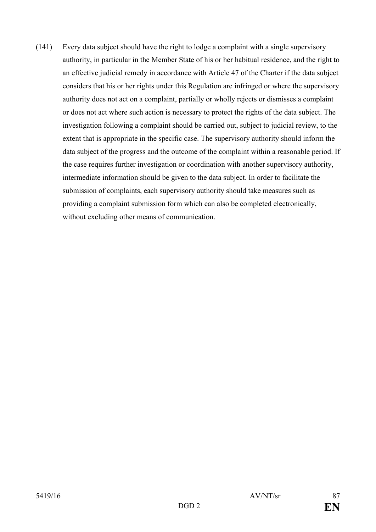(141) Every data subject should have the right to lodge a complaint with a single supervisory authority, in particular in the Member State of his or her habitual residence, and the right to an effective judicial remedy in accordance with Article 47 of the Charter if the data subject considers that his or her rights under this Regulation are infringed or where the supervisory authority does not act on a complaint, partially or wholly rejects or dismisses a complaint or does not act where such action is necessary to protect the rights of the data subject. The investigation following a complaint should be carried out, subject to judicial review, to the extent that is appropriate in the specific case. The supervisory authority should inform the data subject of the progress and the outcome of the complaint within a reasonable period. If the case requires further investigation or coordination with another supervisory authority, intermediate information should be given to the data subject. In order to facilitate the submission of complaints, each supervisory authority should take measures such as providing a complaint submission form which can also be completed electronically, without excluding other means of communication.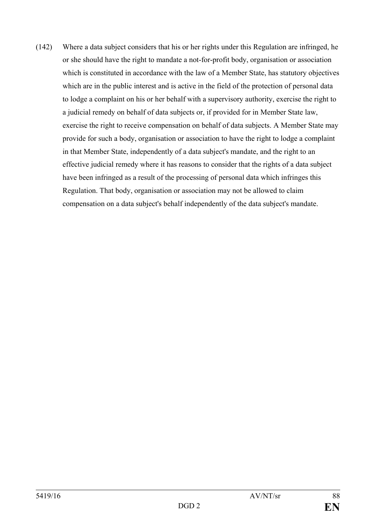(142) Where a data subject considers that his or her rights under this Regulation are infringed, he or she should have the right to mandate a not-for-profit body, organisation or association which is constituted in accordance with the law of a Member State, has statutory objectives which are in the public interest and is active in the field of the protection of personal data to lodge a complaint on his or her behalf with a supervisory authority, exercise the right to a judicial remedy on behalf of data subjects or, if provided for in Member State law, exercise the right to receive compensation on behalf of data subjects. A Member State may provide for such a body, organisation or association to have the right to lodge a complaint in that Member State, independently of a data subject's mandate, and the right to an effective judicial remedy where it has reasons to consider that the rights of a data subject have been infringed as a result of the processing of personal data which infringes this Regulation. That body, organisation or association may not be allowed to claim compensation on a data subject's behalf independently of the data subject's mandate.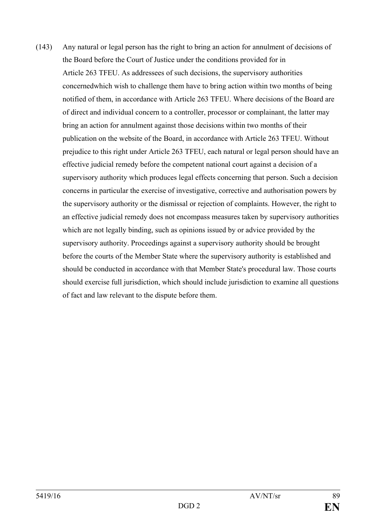(143) Any natural or legal person has the right to bring an action for annulment of decisions of the Board before the Court of Justice under the conditions provided for in Article 263 TFEU. As addressees of such decisions, the supervisory authorities concernedwhich wish to challenge them have to bring action within two months of being notified of them, in accordance with Article 263 TFEU. Where decisions of the Board are of direct and individual concern to a controller, processor or complainant, the latter may bring an action for annulment against those decisions within two months of their publication on the website of the Board, in accordance with Article 263 TFEU. Without prejudice to this right under Article 263 TFEU, each natural or legal person should have an effective judicial remedy before the competent national court against a decision of a supervisory authority which produces legal effects concerning that person. Such a decision concerns in particular the exercise of investigative, corrective and authorisation powers by the supervisory authority or the dismissal or rejection of complaints. However, the right to an effective judicial remedy does not encompass measures taken by supervisory authorities which are not legally binding, such as opinions issued by or advice provided by the supervisory authority. Proceedings against a supervisory authority should be brought before the courts of the Member State where the supervisory authority is established and should be conducted in accordance with that Member State's procedural law. Those courts should exercise full jurisdiction, which should include jurisdiction to examine all questions of fact and law relevant to the dispute before them.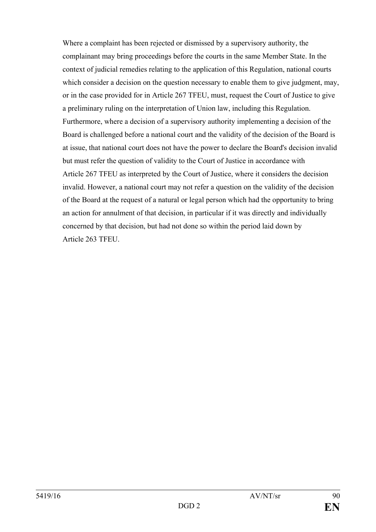Where a complaint has been rejected or dismissed by a supervisory authority, the complainant may bring proceedings before the courts in the same Member State. In the context of judicial remedies relating to the application of this Regulation, national courts which consider a decision on the question necessary to enable them to give judgment, may, or in the case provided for in Article 267 TFEU, must, request the Court of Justice to give a preliminary ruling on the interpretation of Union law, including this Regulation. Furthermore, where a decision of a supervisory authority implementing a decision of the Board is challenged before a national court and the validity of the decision of the Board is at issue, that national court does not have the power to declare the Board's decision invalid but must refer the question of validity to the Court of Justice in accordance with Article 267 TFEU as interpreted by the Court of Justice, where it considers the decision invalid. However, a national court may not refer a question on the validity of the decision of the Board at the request of a natural or legal person which had the opportunity to bring an action for annulment of that decision, in particular if it was directly and individually concerned by that decision, but had not done so within the period laid down by Article 263 TFEU.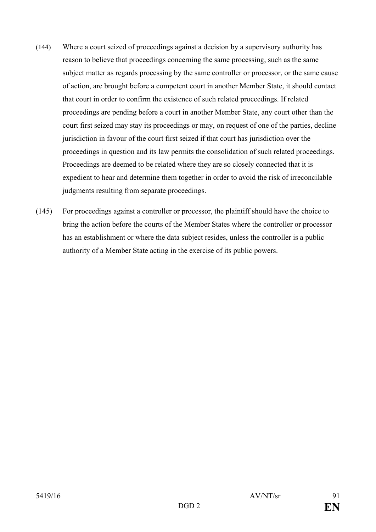- (144) Where a court seized of proceedings against a decision by a supervisory authority has reason to believe that proceedings concerning the same processing, such as the same subject matter as regards processing by the same controller or processor, or the same cause of action, are brought before a competent court in another Member State, it should contact that court in order to confirm the existence of such related proceedings. If related proceedings are pending before a court in another Member State, any court other than the court first seized may stay its proceedings or may, on request of one of the parties, decline jurisdiction in favour of the court first seized if that court has jurisdiction over the proceedings in question and its law permits the consolidation of such related proceedings. Proceedings are deemed to be related where they are so closely connected that it is expedient to hear and determine them together in order to avoid the risk of irreconcilable judgments resulting from separate proceedings.
- (145) For proceedings against a controller or processor, the plaintiff should have the choice to bring the action before the courts of the Member States where the controller or processor has an establishment or where the data subject resides, unless the controller is a public authority of a Member State acting in the exercise of its public powers.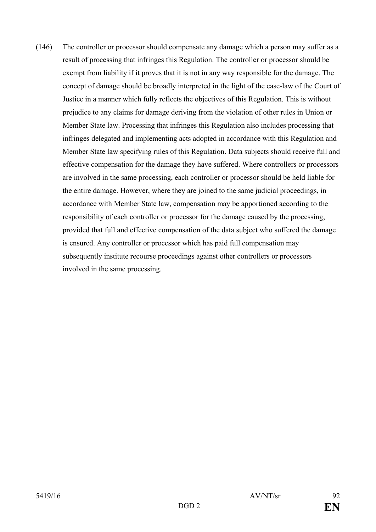(146) The controller or processor should compensate any damage which a person may suffer as a result of processing that infringes this Regulation. The controller or processor should be exempt from liability if it proves that it is not in any way responsible for the damage. The concept of damage should be broadly interpreted in the light of the case-law of the Court of Justice in a manner which fully reflects the objectives of this Regulation. This is without prejudice to any claims for damage deriving from the violation of other rules in Union or Member State law. Processing that infringes this Regulation also includes processing that infringes delegated and implementing acts adopted in accordance with this Regulation and Member State law specifying rules of this Regulation. Data subjects should receive full and effective compensation for the damage they have suffered. Where controllers or processors are involved in the same processing, each controller or processor should be held liable for the entire damage. However, where they are joined to the same judicial proceedings, in accordance with Member State law, compensation may be apportioned according to the responsibility of each controller or processor for the damage caused by the processing, provided that full and effective compensation of the data subject who suffered the damage is ensured. Any controller or processor which has paid full compensation may subsequently institute recourse proceedings against other controllers or processors involved in the same processing.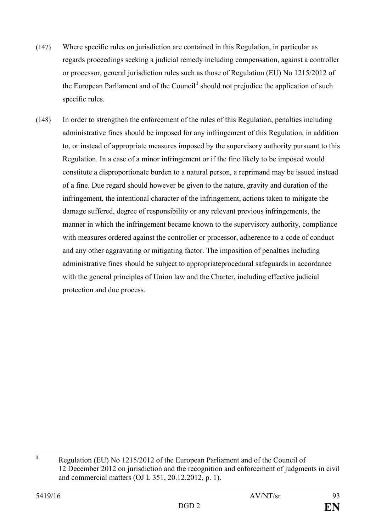- (147) Where specific rules on jurisdiction are contained in this Regulation, in particular as regards proceedings seeking a judicial remedy including compensation, against a controller or processor, general jurisdiction rules such as those of Regulation (EU) No 1215/2012 of the European Parliament and of the Council**[1](#page-93-0)** should not prejudice the application of such specific rules.
- (148) In order to strengthen the enforcement of the rules of this Regulation, penalties including administrative fines should be imposed for any infringement of this Regulation, in addition to, or instead of appropriate measures imposed by the supervisory authority pursuant to this Regulation. In a case of a minor infringement or if the fine likely to be imposed would constitute a disproportionate burden to a natural person, a reprimand may be issued instead of a fine. Due regard should however be given to the nature, gravity and duration of the infringement, the intentional character of the infringement, actions taken to mitigate the damage suffered, degree of responsibility or any relevant previous infringements, the manner in which the infringement became known to the supervisory authority, compliance with measures ordered against the controller or processor, adherence to a code of conduct and any other aggravating or mitigating factor. The imposition of penalties including administrative fines should be subject to appropriateprocedural safeguards in accordance with the general principles of Union law and the Charter, including effective judicial protection and due process.

<span id="page-93-0"></span> $\mathbf{1}$ **<sup>1</sup>** Regulation (EU) No 1215/2012 of the European Parliament and of the Council of 12 December 2012 on jurisdiction and the recognition and enforcement of judgments in civil and commercial matters (OJ L 351, 20.12.2012, p. 1).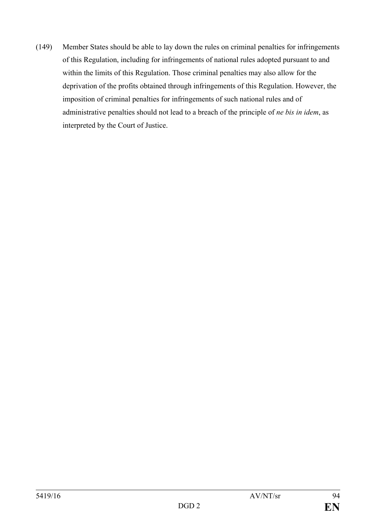(149) Member States should be able to lay down the rules on criminal penalties for infringements of this Regulation, including for infringements of national rules adopted pursuant to and within the limits of this Regulation. Those criminal penalties may also allow for the deprivation of the profits obtained through infringements of this Regulation. However, the imposition of criminal penalties for infringements of such national rules and of administrative penalties should not lead to a breach of the principle of *ne bis in idem*, as interpreted by the Court of Justice.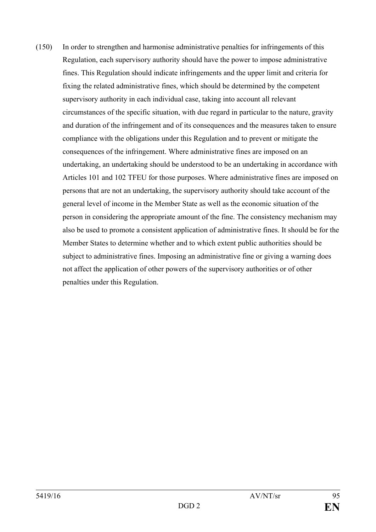(150) In order to strengthen and harmonise administrative penalties for infringements of this Regulation, each supervisory authority should have the power to impose administrative fines. This Regulation should indicate infringements and the upper limit and criteria for fixing the related administrative fines, which should be determined by the competent supervisory authority in each individual case, taking into account all relevant circumstances of the specific situation, with due regard in particular to the nature, gravity and duration of the infringement and of its consequences and the measures taken to ensure compliance with the obligations under this Regulation and to prevent or mitigate the consequences of the infringement. Where administrative fines are imposed on an undertaking, an undertaking should be understood to be an undertaking in accordance with Articles 101 and 102 TFEU for those purposes. Where administrative fines are imposed on persons that are not an undertaking, the supervisory authority should take account of the general level of income in the Member State as well as the economic situation of the person in considering the appropriate amount of the fine. The consistency mechanism may also be used to promote a consistent application of administrative fines. It should be for the Member States to determine whether and to which extent public authorities should be subject to administrative fines. Imposing an administrative fine or giving a warning does not affect the application of other powers of the supervisory authorities or of other penalties under this Regulation.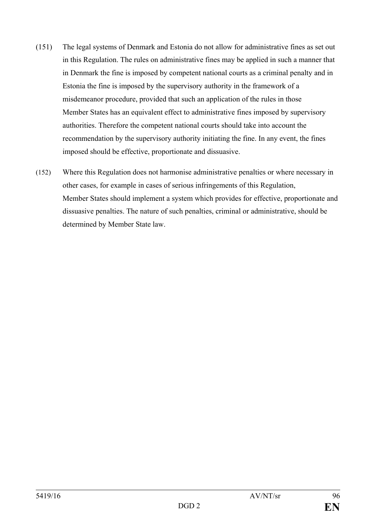- (151) The legal systems of Denmark and Estonia do not allow for administrative fines as set out in this Regulation. The rules on administrative fines may be applied in such a manner that in Denmark the fine is imposed by competent national courts as a criminal penalty and in Estonia the fine is imposed by the supervisory authority in the framework of a misdemeanor procedure, provided that such an application of the rules in those Member States has an equivalent effect to administrative fines imposed by supervisory authorities. Therefore the competent national courts should take into account the recommendation by the supervisory authority initiating the fine. In any event, the fines imposed should be effective, proportionate and dissuasive.
- (152) Where this Regulation does not harmonise administrative penalties or where necessary in other cases, for example in cases of serious infringements of this Regulation, Member States should implement a system which provides for effective, proportionate and dissuasive penalties. The nature of such penalties, criminal or administrative, should be determined by Member State law.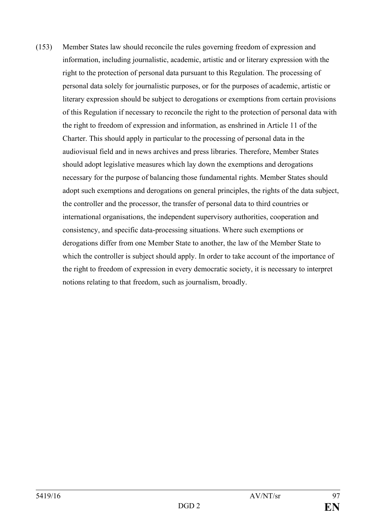(153) Member States law should reconcile the rules governing freedom of expression and information, including journalistic, academic, artistic and or literary expression with the right to the protection of personal data pursuant to this Regulation. The processing of personal data solely for journalistic purposes, or for the purposes of academic, artistic or literary expression should be subject to derogations or exemptions from certain provisions of this Regulation if necessary to reconcile the right to the protection of personal data with the right to freedom of expression and information, as enshrined in Article 11 of the Charter. This should apply in particular to the processing of personal data in the audiovisual field and in news archives and press libraries. Therefore, Member States should adopt legislative measures which lay down the exemptions and derogations necessary for the purpose of balancing those fundamental rights. Member States should adopt such exemptions and derogations on general principles, the rights of the data subject, the controller and the processor, the transfer of personal data to third countries or international organisations, the independent supervisory authorities, cooperation and consistency, and specific data-processing situations. Where such exemptions or derogations differ from one Member State to another, the law of the Member State to which the controller is subject should apply. In order to take account of the importance of the right to freedom of expression in every democratic society, it is necessary to interpret notions relating to that freedom, such as journalism, broadly.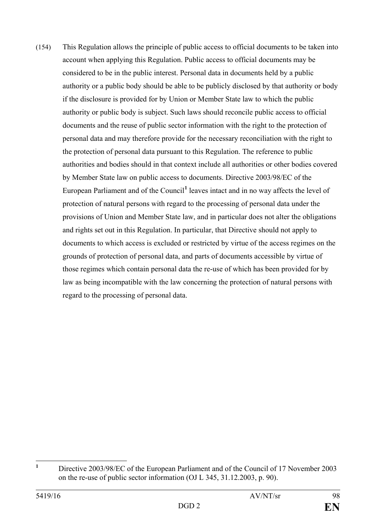(154) This Regulation allows the principle of public access to official documents to be taken into account when applying this Regulation. Public access to official documents may be considered to be in the public interest. Personal data in documents held by a public authority or a public body should be able to be publicly disclosed by that authority or body if the disclosure is provided for by Union or Member State law to which the public authority or public body is subject. Such laws should reconcile public access to official documents and the reuse of public sector information with the right to the protection of personal data and may therefore provide for the necessary reconciliation with the right to the protection of personal data pursuant to this Regulation. The reference to public authorities and bodies should in that context include all authorities or other bodies covered by Member State law on public access to documents. Directive 2003/98/EC of the European Parliament and of the Council**[1](#page-98-0)** leaves intact and in no way affects the level of protection of natural persons with regard to the processing of personal data under the provisions of Union and Member State law, and in particular does not alter the obligations and rights set out in this Regulation. In particular, that Directive should not apply to documents to which access is excluded or restricted by virtue of the access regimes on the grounds of protection of personal data, and parts of documents accessible by virtue of those regimes which contain personal data the re-use of which has been provided for by law as being incompatible with the law concerning the protection of natural persons with regard to the processing of personal data.

<span id="page-98-0"></span> $\mathbf{1}$ **<sup>1</sup>** Directive 2003/98/EC of the European Parliament and of the Council of 17 November 2003 on the re-use of public sector information (OJ L 345, 31.12.2003, p. 90).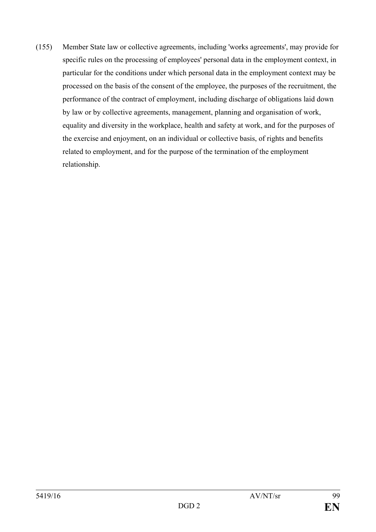(155) Member State law or collective agreements, including 'works agreements', may provide for specific rules on the processing of employees' personal data in the employment context, in particular for the conditions under which personal data in the employment context may be processed on the basis of the consent of the employee, the purposes of the recruitment, the performance of the contract of employment, including discharge of obligations laid down by law or by collective agreements, management, planning and organisation of work, equality and diversity in the workplace, health and safety at work, and for the purposes of the exercise and enjoyment, on an individual or collective basis, of rights and benefits related to employment, and for the purpose of the termination of the employment relationship.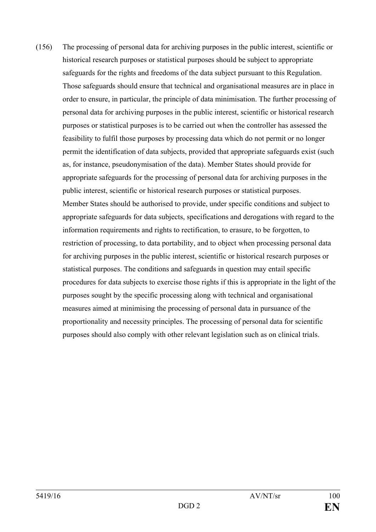(156) The processing of personal data for archiving purposes in the public interest, scientific or historical research purposes or statistical purposes should be subject to appropriate safeguards for the rights and freedoms of the data subject pursuant to this Regulation. Those safeguards should ensure that technical and organisational measures are in place in order to ensure, in particular, the principle of data minimisation. The further processing of personal data for archiving purposes in the public interest, scientific or historical research purposes or statistical purposes is to be carried out when the controller has assessed the feasibility to fulfil those purposes by processing data which do not permit or no longer permit the identification of data subjects, provided that appropriate safeguards exist (such as, for instance, pseudonymisation of the data). Member States should provide for appropriate safeguards for the processing of personal data for archiving purposes in the public interest, scientific or historical research purposes or statistical purposes. Member States should be authorised to provide, under specific conditions and subject to appropriate safeguards for data subjects, specifications and derogations with regard to the information requirements and rights to rectification, to erasure, to be forgotten, to restriction of processing, to data portability, and to object when processing personal data for archiving purposes in the public interest, scientific or historical research purposes or statistical purposes. The conditions and safeguards in question may entail specific procedures for data subjects to exercise those rights if this is appropriate in the light of the purposes sought by the specific processing along with technical and organisational measures aimed at minimising the processing of personal data in pursuance of the proportionality and necessity principles. The processing of personal data for scientific purposes should also comply with other relevant legislation such as on clinical trials.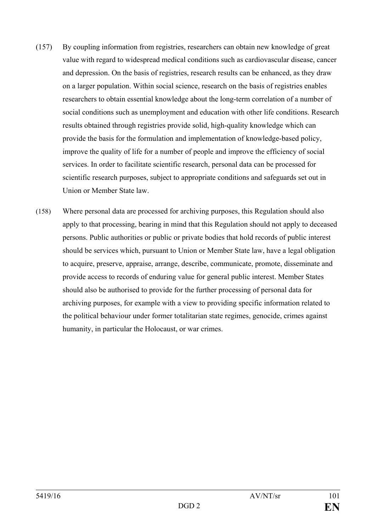- (157) By coupling information from registries, researchers can obtain new knowledge of great value with regard to widespread medical conditions such as cardiovascular disease, cancer and depression. On the basis of registries, research results can be enhanced, as they draw on a larger population. Within social science, research on the basis of registries enables researchers to obtain essential knowledge about the long-term correlation of a number of social conditions such as unemployment and education with other life conditions. Research results obtained through registries provide solid, high-quality knowledge which can provide the basis for the formulation and implementation of knowledge-based policy, improve the quality of life for a number of people and improve the efficiency of social services. In order to facilitate scientific research, personal data can be processed for scientific research purposes, subject to appropriate conditions and safeguards set out in Union or Member State law.
- (158) Where personal data are processed for archiving purposes, this Regulation should also apply to that processing, bearing in mind that this Regulation should not apply to deceased persons. Public authorities or public or private bodies that hold records of public interest should be services which, pursuant to Union or Member State law, have a legal obligation to acquire, preserve, appraise, arrange, describe, communicate, promote, disseminate and provide access to records of enduring value for general public interest. Member States should also be authorised to provide for the further processing of personal data for archiving purposes, for example with a view to providing specific information related to the political behaviour under former totalitarian state regimes, genocide, crimes against humanity, in particular the Holocaust, or war crimes.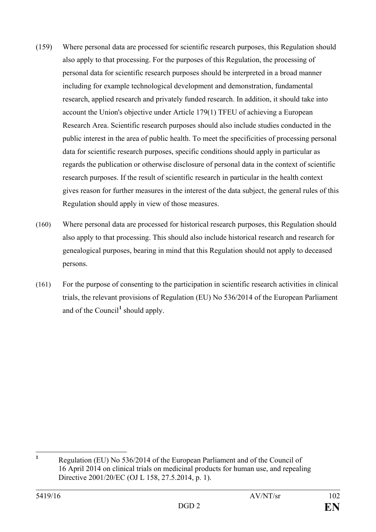- (159) Where personal data are processed for scientific research purposes, this Regulation should also apply to that processing. For the purposes of this Regulation, the processing of personal data for scientific research purposes should be interpreted in a broad manner including for example technological development and demonstration, fundamental research, applied research and privately funded research. In addition, it should take into account the Union's objective under Article 179(1) TFEU of achieving a European Research Area. Scientific research purposes should also include studies conducted in the public interest in the area of public health. To meet the specificities of processing personal data for scientific research purposes, specific conditions should apply in particular as regards the publication or otherwise disclosure of personal data in the context of scientific research purposes. If the result of scientific research in particular in the health context gives reason for further measures in the interest of the data subject, the general rules of this Regulation should apply in view of those measures.
- (160) Where personal data are processed for historical research purposes, this Regulation should also apply to that processing. This should also include historical research and research for genealogical purposes, bearing in mind that this Regulation should not apply to deceased persons.
- (161) For the purpose of consenting to the participation in scientific research activities in clinical trials, the relevant provisions of Regulation (EU) No 536/2014 of the European Parliament and of the Council<sup>[1](#page-102-0)</sup> should apply.

<span id="page-102-0"></span> $\mathbf{1}$ **<sup>1</sup>** Regulation (EU) No 536/2014 of the European Parliament and of the Council of 16 April 2014 on clinical trials on medicinal products for human use, and repealing Directive 2001/20/EC (OJ L 158, 27.5.2014, p. 1).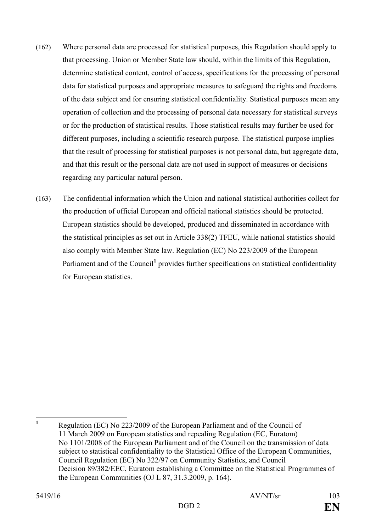- (162) Where personal data are processed for statistical purposes, this Regulation should apply to that processing. Union or Member State law should, within the limits of this Regulation, determine statistical content, control of access, specifications for the processing of personal data for statistical purposes and appropriate measures to safeguard the rights and freedoms of the data subject and for ensuring statistical confidentiality. Statistical purposes mean any operation of collection and the processing of personal data necessary for statistical surveys or for the production of statistical results. Those statistical results may further be used for different purposes, including a scientific research purpose. The statistical purpose implies that the result of processing for statistical purposes is not personal data, but aggregate data, and that this result or the personal data are not used in support of measures or decisions regarding any particular natural person.
- (163) The confidential information which the Union and national statistical authorities collect for the production of official European and official national statistics should be protected. European statistics should be developed, produced and disseminated in accordance with the statistical principles as set out in Article 338(2) TFEU, while national statistics should also comply with Member State law. Regulation (EC) No 223/2009 of the European Parliament and of the Council<sup>[1](#page-103-0)</sup> provides further specifications on statistical confidentiality for European statistics.

<span id="page-103-0"></span> **1** Regulation (EC) No 223/2009 of the European Parliament and of the Council of 11 March 2009 on European statistics and repealing Regulation (EC, Euratom) No 1101/2008 of the European Parliament and of the Council on the transmission of data subject to statistical confidentiality to the Statistical Office of the European Communities, Council Regulation (EC) No 322/97 on Community Statistics, and Council Decision 89/382/EEC, Euratom establishing a Committee on the Statistical Programmes of the European Communities (OJ L 87, 31.3.2009, p. 164).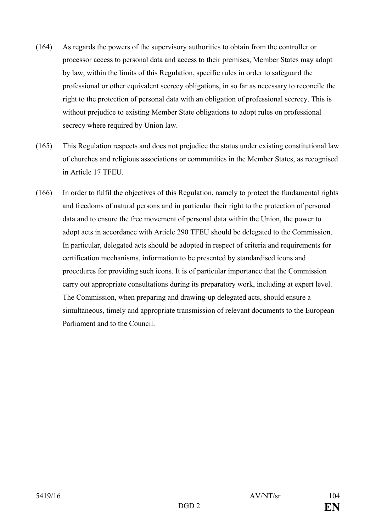- (164) As regards the powers of the supervisory authorities to obtain from the controller or processor access to personal data and access to their premises, Member States may adopt by law, within the limits of this Regulation, specific rules in order to safeguard the professional or other equivalent secrecy obligations, in so far as necessary to reconcile the right to the protection of personal data with an obligation of professional secrecy. This is without prejudice to existing Member State obligations to adopt rules on professional secrecy where required by Union law.
- (165) This Regulation respects and does not prejudice the status under existing constitutional law of churches and religious associations or communities in the Member States, as recognised in Article 17 TFEU.
- (166) In order to fulfil the objectives of this Regulation, namely to protect the fundamental rights and freedoms of natural persons and in particular their right to the protection of personal data and to ensure the free movement of personal data within the Union, the power to adopt acts in accordance with Article 290 TFEU should be delegated to the Commission. In particular, delegated acts should be adopted in respect of criteria and requirements for certification mechanisms, information to be presented by standardised icons and procedures for providing such icons. It is of particular importance that the Commission carry out appropriate consultations during its preparatory work, including at expert level. The Commission, when preparing and drawing-up delegated acts, should ensure a simultaneous, timely and appropriate transmission of relevant documents to the European Parliament and to the Council.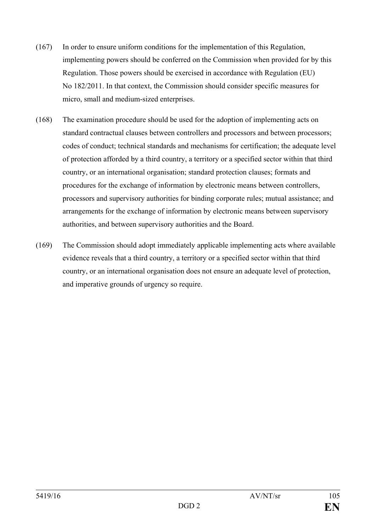- (167) In order to ensure uniform conditions for the implementation of this Regulation, implementing powers should be conferred on the Commission when provided for by this Regulation. Those powers should be exercised in accordance with Regulation (EU) No 182/2011. In that context, the Commission should consider specific measures for micro, small and medium-sized enterprises.
- (168) The examination procedure should be used for the adoption of implementing acts on standard contractual clauses between controllers and processors and between processors; codes of conduct; technical standards and mechanisms for certification; the adequate level of protection afforded by a third country, a territory or a specified sector within that third country, or an international organisation; standard protection clauses; formats and procedures for the exchange of information by electronic means between controllers, processors and supervisory authorities for binding corporate rules; mutual assistance; and arrangements for the exchange of information by electronic means between supervisory authorities, and between supervisory authorities and the Board.
- (169) The Commission should adopt immediately applicable implementing acts where available evidence reveals that a third country, a territory or a specified sector within that third country, or an international organisation does not ensure an adequate level of protection, and imperative grounds of urgency so require.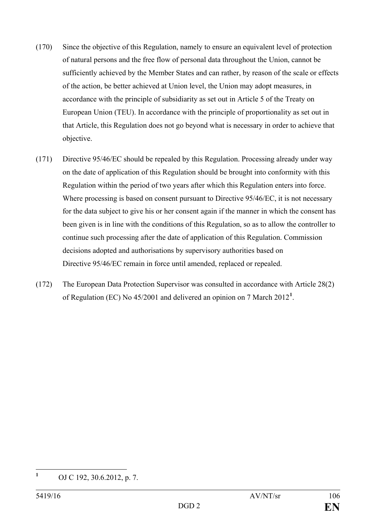- (170) Since the objective of this Regulation, namely to ensure an equivalent level of protection of natural persons and the free flow of personal data throughout the Union, cannot be sufficiently achieved by the Member States and can rather, by reason of the scale or effects of the action, be better achieved at Union level, the Union may adopt measures, in accordance with the principle of subsidiarity as set out in Article 5 of the Treaty on European Union (TEU). In accordance with the principle of proportionality as set out in that Article, this Regulation does not go beyond what is necessary in order to achieve that objective.
- (171) Directive 95/46/EC should be repealed by this Regulation. Processing already under way on the date of application of this Regulation should be brought into conformity with this Regulation within the period of two years after which this Regulation enters into force. Where processing is based on consent pursuant to Directive 95/46/EC, it is not necessary for the data subject to give his or her consent again if the manner in which the consent has been given is in line with the conditions of this Regulation, so as to allow the controller to continue such processing after the date of application of this Regulation. Commission decisions adopted and authorisations by supervisory authorities based on Directive 95/46/EC remain in force until amended, replaced or repealed.
- (172) The European Data Protection Supervisor was consulted in accordance with Article 28(2) of Regulation (EC) No 45/2001 and delivered an opinion on 7 March 2012**[1](#page-106-0)** .

<span id="page-106-0"></span> $\mathbf{1}$ **<sup>1</sup>** OJ C 192, 30.6.2012, p. 7.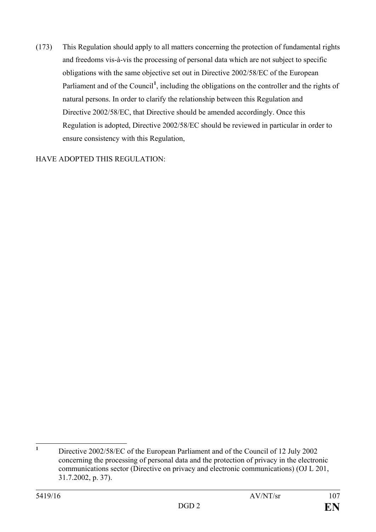(173) This Regulation should apply to all matters concerning the protection of fundamental rights and freedoms vis-à-vis the processing of personal data which are not subject to specific obligations with the same objective set out in Directive 2002/58/EC of the European Parliament and of the Council<sup>[1](#page-107-0)</sup>, including the obligations on the controller and the rights of natural persons. In order to clarify the relationship between this Regulation and Directive 2002/58/EC, that Directive should be amended accordingly. Once this Regulation is adopted, Directive 2002/58/EC should be reviewed in particular in order to ensure consistency with this Regulation,

HAVE ADOPTED THIS REGULATION:

<span id="page-107-0"></span> $\mathbf{1}$ **<sup>1</sup>** Directive 2002/58/EC of the European Parliament and of the Council of 12 July 2002 concerning the processing of personal data and the protection of privacy in the electronic communications sector (Directive on privacy and electronic communications) (OJ L 201, 31.7.2002, p. 37).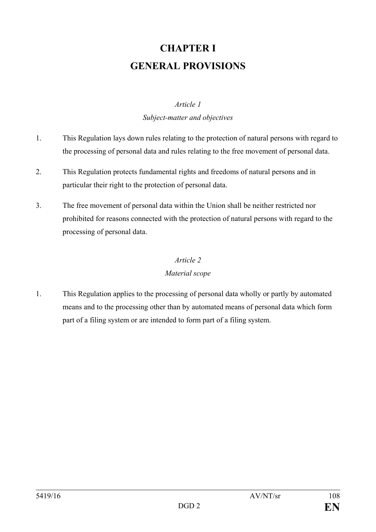# **CHAPTER I GENERAL PROVISIONS**

#### *Article 1*

#### *Subject-matter and objectives*

- 1. This Regulation lays down rules relating to the protection of natural persons with regard to the processing of personal data and rules relating to the free movement of personal data.
- 2. This Regulation protects fundamental rights and freedoms of natural persons and in particular their right to the protection of personal data.
- 3. The free movement of personal data within the Union shall be neither restricted nor prohibited for reasons connected with the protection of natural persons with regard to the processing of personal data.

#### *Article 2*

#### *Material scope*

1. This Regulation applies to the processing of personal data wholly or partly by automated means and to the processing other than by automated means of personal data which form part of a filing system or are intended to form part of a filing system.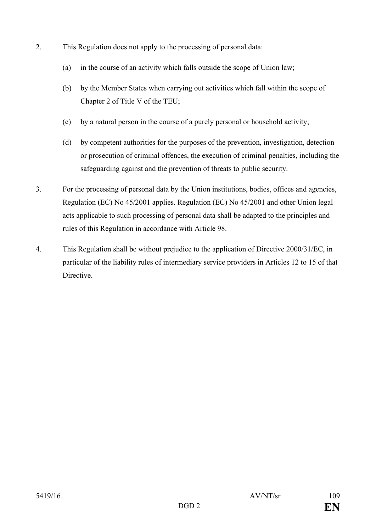- 2. This Regulation does not apply to the processing of personal data:
	- (a) in the course of an activity which falls outside the scope of Union law;
	- (b) by the Member States when carrying out activities which fall within the scope of Chapter 2 of Title V of the TEU;
	- (c) by a natural person in the course of a purely personal or household activity;
	- (d) by competent authorities for the purposes of the prevention, investigation, detection or prosecution of criminal offences, the execution of criminal penalties, including the safeguarding against and the prevention of threats to public security.
- 3. For the processing of personal data by the Union institutions, bodies, offices and agencies, Regulation (EC) No 45/2001 applies. Regulation (EC) No 45/2001 and other Union legal acts applicable to such processing of personal data shall be adapted to the principles and rules of this Regulation in accordance with Article 98.
- 4. This Regulation shall be without prejudice to the application of Directive 2000/31/EC, in particular of the liability rules of intermediary service providers in Articles 12 to 15 of that Directive.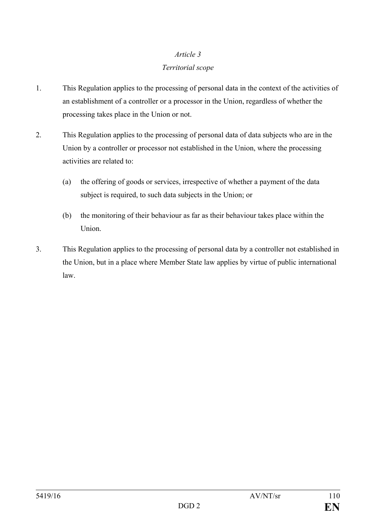#### *Territorial scope*

- 1. This Regulation applies to the processing of personal data in the context of the activities of an establishment of a controller or a processor in the Union, regardless of whether the processing takes place in the Union or not.
- 2. This Regulation applies to the processing of personal data of data subjects who are in the Union by a controller or processor not established in the Union, where the processing activities are related to:
	- (a) the offering of goods or services, irrespective of whether a payment of the data subject is required, to such data subjects in the Union; or
	- (b) the monitoring of their behaviour as far as their behaviour takes place within the Union.
- 3. This Regulation applies to the processing of personal data by a controller not established in the Union, but in a place where Member State law applies by virtue of public international law.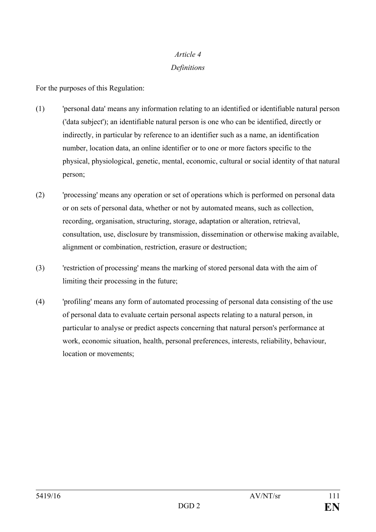# *Article 4 Definitions*

For the purposes of this Regulation:

- (1) 'personal data' means any information relating to an identified or identifiable natural person ('data subject'); an identifiable natural person is one who can be identified, directly or indirectly, in particular by reference to an identifier such as a name, an identification number, location data, an online identifier or to one or more factors specific to the physical, physiological, genetic, mental, economic, cultural or social identity of that natural person;
- (2) 'processing' means any operation or set of operations which is performed on personal data or on sets of personal data, whether or not by automated means, such as collection, recording, organisation, structuring, storage, adaptation or alteration, retrieval, consultation, use, disclosure by transmission, dissemination or otherwise making available, alignment or combination, restriction, erasure or destruction;
- (3) 'restriction of processing' means the marking of stored personal data with the aim of limiting their processing in the future;
- (4) 'profiling' means any form of automated processing of personal data consisting of the use of personal data to evaluate certain personal aspects relating to a natural person, in particular to analyse or predict aspects concerning that natural person's performance at work, economic situation, health, personal preferences, interests, reliability, behaviour, location or movements;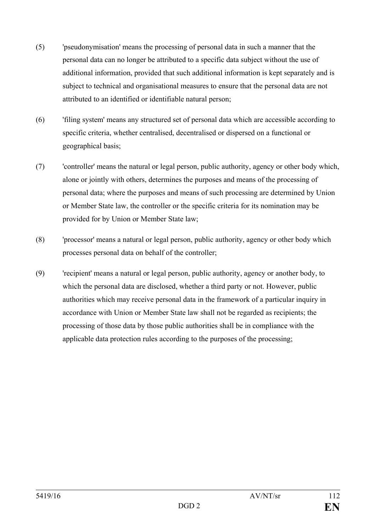- (5) 'pseudonymisation' means the processing of personal data in such a manner that the personal data can no longer be attributed to a specific data subject without the use of additional information, provided that such additional information is kept separately and is subject to technical and organisational measures to ensure that the personal data are not attributed to an identified or identifiable natural person;
- (6) 'filing system' means any structured set of personal data which are accessible according to specific criteria, whether centralised, decentralised or dispersed on a functional or geographical basis;
- (7) 'controller' means the natural or legal person, public authority, agency or other body which, alone or jointly with others, determines the purposes and means of the processing of personal data; where the purposes and means of such processing are determined by Union or Member State law, the controller or the specific criteria for its nomination may be provided for by Union or Member State law;
- (8) 'processor' means a natural or legal person, public authority, agency or other body which processes personal data on behalf of the controller;
- (9) 'recipient' means a natural or legal person, public authority, agency or another body, to which the personal data are disclosed, whether a third party or not. However, public authorities which may receive personal data in the framework of a particular inquiry in accordance with Union or Member State law shall not be regarded as recipients; the processing of those data by those public authorities shall be in compliance with the applicable data protection rules according to the purposes of the processing;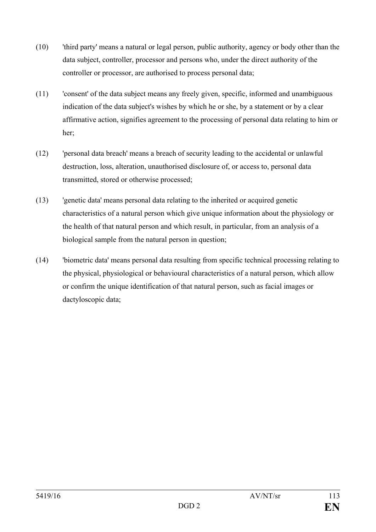- (10) 'third party' means a natural or legal person, public authority, agency or body other than the data subject, controller, processor and persons who, under the direct authority of the controller or processor, are authorised to process personal data;
- (11) 'consent' of the data subject means any freely given, specific, informed and unambiguous indication of the data subject's wishes by which he or she, by a statement or by a clear affirmative action, signifies agreement to the processing of personal data relating to him or her;
- (12) 'personal data breach' means a breach of security leading to the accidental or unlawful destruction, loss, alteration, unauthorised disclosure of, or access to, personal data transmitted, stored or otherwise processed;
- (13) 'genetic data' means personal data relating to the inherited or acquired genetic characteristics of a natural person which give unique information about the physiology or the health of that natural person and which result, in particular, from an analysis of a biological sample from the natural person in question;
- (14) 'biometric data' means personal data resulting from specific technical processing relating to the physical, physiological or behavioural characteristics of a natural person, which allow or confirm the unique identification of that natural person, such as facial images or dactyloscopic data;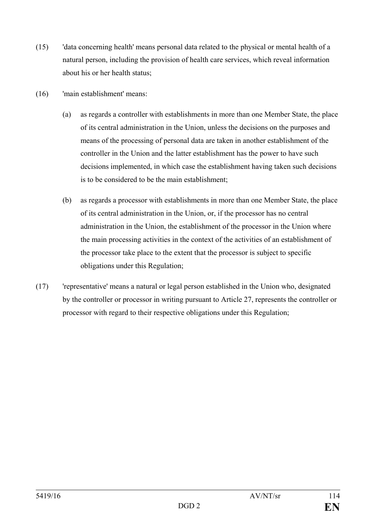- (15) 'data concerning health' means personal data related to the physical or mental health of a natural person, including the provision of health care services, which reveal information about his or her health status;
- (16) 'main establishment' means:
	- (a) as regards a controller with establishments in more than one Member State, the place of its central administration in the Union, unless the decisions on the purposes and means of the processing of personal data are taken in another establishment of the controller in the Union and the latter establishment has the power to have such decisions implemented, in which case the establishment having taken such decisions is to be considered to be the main establishment;
	- (b) as regards a processor with establishments in more than one Member State, the place of its central administration in the Union, or, if the processor has no central administration in the Union, the establishment of the processor in the Union where the main processing activities in the context of the activities of an establishment of the processor take place to the extent that the processor is subject to specific obligations under this Regulation;
- (17) 'representative' means a natural or legal person established in the Union who, designated by the controller or processor in writing pursuant to Article 27, represents the controller or processor with regard to their respective obligations under this Regulation;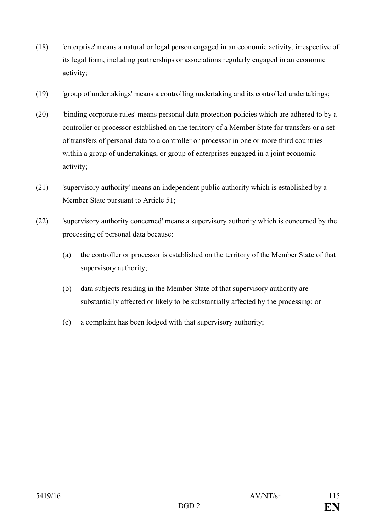- (18) 'enterprise' means a natural or legal person engaged in an economic activity, irrespective of its legal form, including partnerships or associations regularly engaged in an economic activity;
- (19) 'group of undertakings' means a controlling undertaking and its controlled undertakings;
- (20) 'binding corporate rules' means personal data protection policies which are adhered to by a controller or processor established on the territory of a Member State for transfers or a set of transfers of personal data to a controller or processor in one or more third countries within a group of undertakings, or group of enterprises engaged in a joint economic activity;
- (21) 'supervisory authority' means an independent public authority which is established by a Member State pursuant to Article 51;
- (22) 'supervisory authority concerned' means a supervisory authority which is concerned by the processing of personal data because:
	- (a) the controller or processor is established on the territory of the Member State of that supervisory authority;
	- (b) data subjects residing in the Member State of that supervisory authority are substantially affected or likely to be substantially affected by the processing; or
	- (c) a complaint has been lodged with that supervisory authority;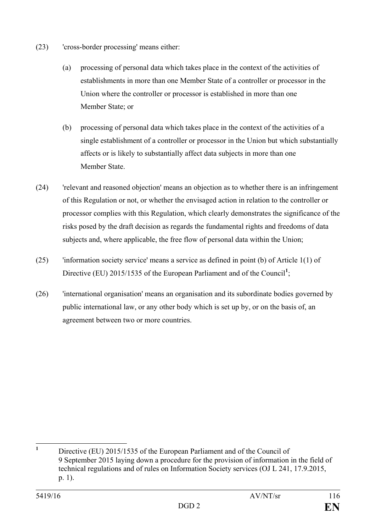- (23) 'cross-border processing' means either:
	- (a) processing of personal data which takes place in the context of the activities of establishments in more than one Member State of a controller or processor in the Union where the controller or processor is established in more than one Member State; or
	- (b) processing of personal data which takes place in the context of the activities of a single establishment of a controller or processor in the Union but which substantially affects or is likely to substantially affect data subjects in more than one Member State.
- (24) 'relevant and reasoned objection' means an objection as to whether there is an infringement of this Regulation or not, or whether the envisaged action in relation to the controller or processor complies with this Regulation, which clearly demonstrates the significance of the risks posed by the draft decision as regards the fundamental rights and freedoms of data subjects and, where applicable, the free flow of personal data within the Union;
- (25) 'information society service' means a service as defined in point (b) of Article 1(1) of Directive (EU) 20[1](#page-116-0)5/1535 of the European Parliament and of the Council<sup>1</sup>;
- (26) 'international organisation' means an organisation and its subordinate bodies governed by public international law, or any other body which is set up by, or on the basis of, an agreement between two or more countries.

<span id="page-116-0"></span> $\mathbf{1}$ **<sup>1</sup>** Directive (EU) 2015/1535 of the European Parliament and of the Council of 9 September 2015 laying down a procedure for the provision of information in the field of technical regulations and of rules on Information Society services (OJ L 241, 17.9.2015, p. 1).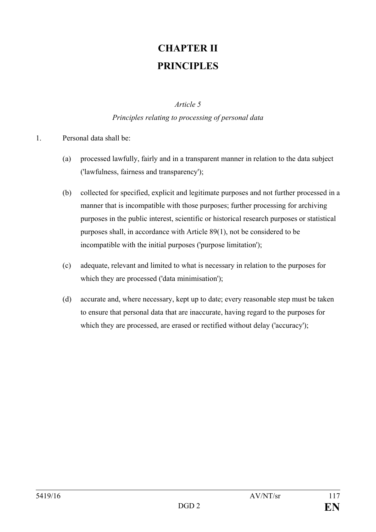# **CHAPTER II PRINCIPLES**

#### *Article 5*

#### *Principles relating to processing of personal data*

- 1. Personal data shall be:
	- (a) processed lawfully, fairly and in a transparent manner in relation to the data subject ('lawfulness, fairness and transparency');
	- (b) collected for specified, explicit and legitimate purposes and not further processed in a manner that is incompatible with those purposes; further processing for archiving purposes in the public interest, scientific or historical research purposes or statistical purposes shall, in accordance with Article 89(1), not be considered to be incompatible with the initial purposes ('purpose limitation');
	- (c) adequate, relevant and limited to what is necessary in relation to the purposes for which they are processed ('data minimisation');
	- (d) accurate and, where necessary, kept up to date; every reasonable step must be taken to ensure that personal data that are inaccurate, having regard to the purposes for which they are processed, are erased or rectified without delay ('accuracy');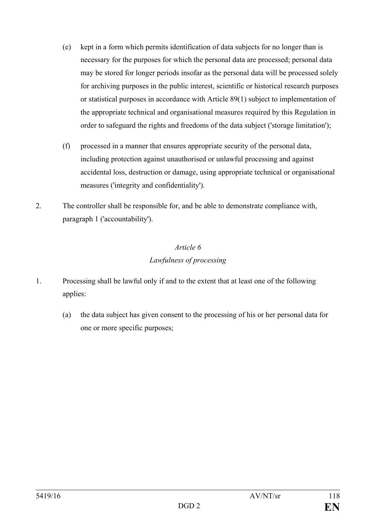- (e) kept in a form which permits identification of data subjects for no longer than is necessary for the purposes for which the personal data are processed; personal data may be stored for longer periods insofar as the personal data will be processed solely for archiving purposes in the public interest, scientific or historical research purposes or statistical purposes in accordance with Article 89(1) subject to implementation of the appropriate technical and organisational measures required by this Regulation in order to safeguard the rights and freedoms of the data subject ('storage limitation');
- (f) processed in a manner that ensures appropriate security of the personal data, including protection against unauthorised or unlawful processing and against accidental loss, destruction or damage, using appropriate technical or organisational measures ('integrity and confidentiality').
- 2. The controller shall be responsible for, and be able to demonstrate compliance with, paragraph 1 ('accountability').

## *Article 6 Lawfulness of processing*

- 1. Processing shall be lawful only if and to the extent that at least one of the following applies:
	- (a) the data subject has given consent to the processing of his or her personal data for one or more specific purposes;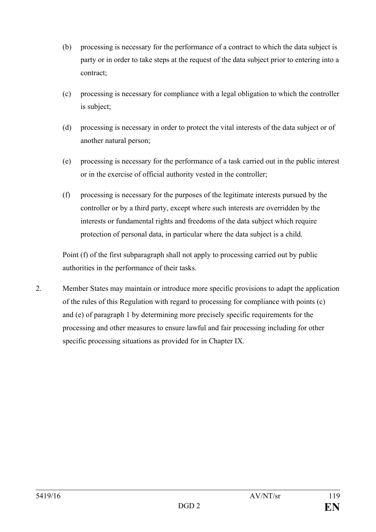- (b) processing is necessary for the performance of a contract to which the data subject is party or in order to take steps at the request of the data subject prior to entering into a contract;
- (c) processing is necessary for compliance with a legal obligation to which the controller is subject;
- (d) processing is necessary in order to protect the vital interests of the data subject or of another natural person;
- (e) processing is necessary for the performance of a task carried out in the public interest or in the exercise of official authority vested in the controller;
- (f) processing is necessary for the purposes of the legitimate interests pursued by the controller or by a third party, except where such interests are overridden by the interests or fundamental rights and freedoms of the data subject which require protection of personal data, in particular where the data subject is a child.

Point (f) of the first subparagraph shall not apply to processing carried out by public authorities in the performance of their tasks.

2. Member States may maintain or introduce more specific provisions to adapt the application of the rules of this Regulation with regard to processing for compliance with points (c) and (e) of paragraph 1 by determining more precisely specific requirements for the processing and other measures to ensure lawful and fair processing including for other specific processing situations as provided for in Chapter IX.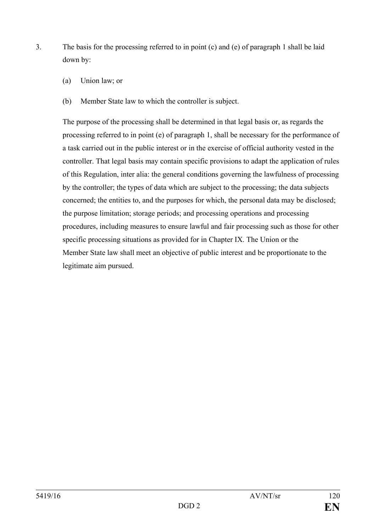- 3. The basis for the processing referred to in point (c) and (e) of paragraph 1 shall be laid down by:
	- (a) Union law; or
	- (b) Member State law to which the controller is subject.

The purpose of the processing shall be determined in that legal basis or, as regards the processing referred to in point (e) of paragraph 1, shall be necessary for the performance of a task carried out in the public interest or in the exercise of official authority vested in the controller. That legal basis may contain specific provisions to adapt the application of rules of this Regulation, inter alia: the general conditions governing the lawfulness of processing by the controller; the types of data which are subject to the processing; the data subjects concerned; the entities to, and the purposes for which, the personal data may be disclosed; the purpose limitation; storage periods; and processing operations and processing procedures, including measures to ensure lawful and fair processing such as those for other specific processing situations as provided for in Chapter IX. The Union or the Member State law shall meet an objective of public interest and be proportionate to the legitimate aim pursued.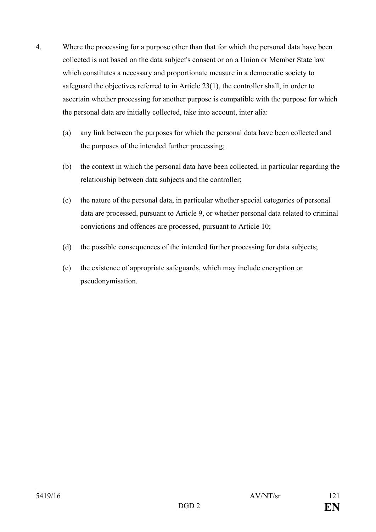- 4. Where the processing for a purpose other than that for which the personal data have been collected is not based on the data subject's consent or on a Union or Member State law which constitutes a necessary and proportionate measure in a democratic society to safeguard the objectives referred to in Article 23(1), the controller shall, in order to ascertain whether processing for another purpose is compatible with the purpose for which the personal data are initially collected, take into account, inter alia:
	- (a) any link between the purposes for which the personal data have been collected and the purposes of the intended further processing;
	- (b) the context in which the personal data have been collected, in particular regarding the relationship between data subjects and the controller;
	- (c) the nature of the personal data, in particular whether special categories of personal data are processed, pursuant to Article 9, or whether personal data related to criminal convictions and offences are processed, pursuant to Article 10;
	- (d) the possible consequences of the intended further processing for data subjects;
	- (e) the existence of appropriate safeguards, which may include encryption or pseudonymisation.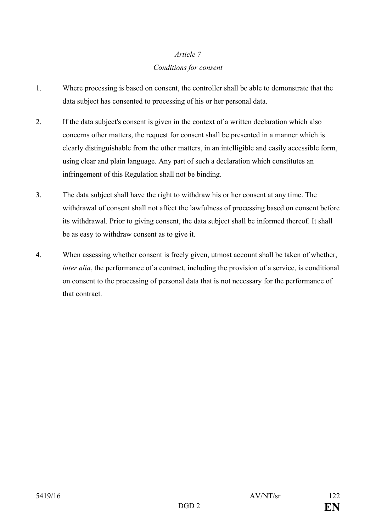# *Article 7 Conditions for consent*

- 1. Where processing is based on consent, the controller shall be able to demonstrate that the data subject has consented to processing of his or her personal data.
- 2. If the data subject's consent is given in the context of a written declaration which also concerns other matters, the request for consent shall be presented in a manner which is clearly distinguishable from the other matters, in an intelligible and easily accessible form, using clear and plain language. Any part of such a declaration which constitutes an infringement of this Regulation shall not be binding.
- 3. The data subject shall have the right to withdraw his or her consent at any time. The withdrawal of consent shall not affect the lawfulness of processing based on consent before its withdrawal. Prior to giving consent, the data subject shall be informed thereof. It shall be as easy to withdraw consent as to give it.
- 4. When assessing whether consent is freely given, utmost account shall be taken of whether, *inter alia*, the performance of a contract, including the provision of a service, is conditional on consent to the processing of personal data that is not necessary for the performance of that contract.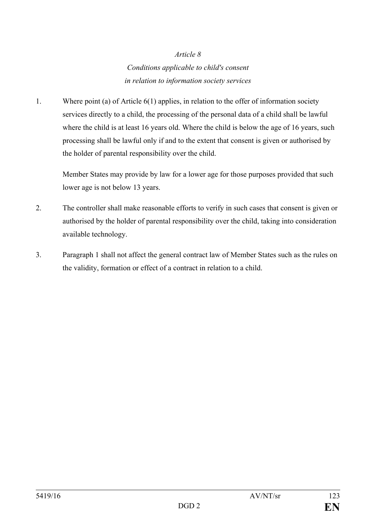## *Conditions applicable to child's consent in relation to information society services*

1. Where point (a) of Article 6(1) applies, in relation to the offer of information society services directly to a child, the processing of the personal data of a child shall be lawful where the child is at least 16 years old. Where the child is below the age of 16 years, such processing shall be lawful only if and to the extent that consent is given or authorised by the holder of parental responsibility over the child.

Member States may provide by law for a lower age for those purposes provided that such lower age is not below 13 years.

- 2. The controller shall make reasonable efforts to verify in such cases that consent is given or authorised by the holder of parental responsibility over the child, taking into consideration available technology.
- 3. Paragraph 1 shall not affect the general contract law of Member States such as the rules on the validity, formation or effect of a contract in relation to a child.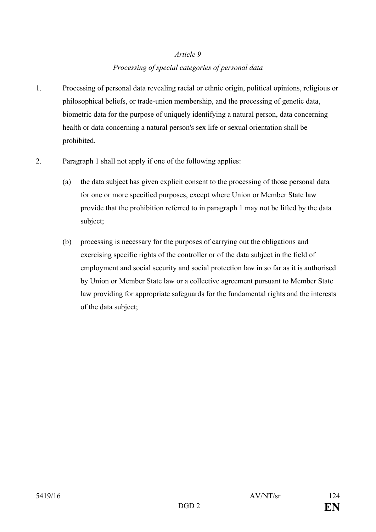## *Processing of special categories of personal data*

- 1. Processing of personal data revealing racial or ethnic origin, political opinions, religious or philosophical beliefs, or trade-union membership, and the processing of genetic data, biometric data for the purpose of uniquely identifying a natural person, data concerning health or data concerning a natural person's sex life or sexual orientation shall be prohibited.
- 2. Paragraph 1 shall not apply if one of the following applies:
	- (a) the data subject has given explicit consent to the processing of those personal data for one or more specified purposes, except where Union or Member State law provide that the prohibition referred to in paragraph 1 may not be lifted by the data subject;
	- (b) processing is necessary for the purposes of carrying out the obligations and exercising specific rights of the controller or of the data subject in the field of employment and social security and social protection law in so far as it is authorised by Union or Member State law or a collective agreement pursuant to Member State law providing for appropriate safeguards for the fundamental rights and the interests of the data subject;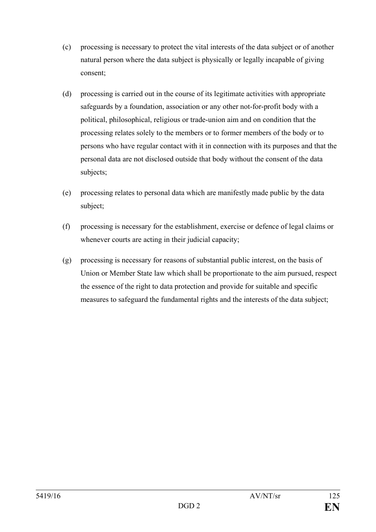- (c) processing is necessary to protect the vital interests of the data subject or of another natural person where the data subject is physically or legally incapable of giving consent;
- (d) processing is carried out in the course of its legitimate activities with appropriate safeguards by a foundation, association or any other not-for-profit body with a political, philosophical, religious or trade-union aim and on condition that the processing relates solely to the members or to former members of the body or to persons who have regular contact with it in connection with its purposes and that the personal data are not disclosed outside that body without the consent of the data subjects;
- (e) processing relates to personal data which are manifestly made public by the data subject;
- (f) processing is necessary for the establishment, exercise or defence of legal claims or whenever courts are acting in their judicial capacity;
- (g) processing is necessary for reasons of substantial public interest, on the basis of Union or Member State law which shall be proportionate to the aim pursued, respect the essence of the right to data protection and provide for suitable and specific measures to safeguard the fundamental rights and the interests of the data subject;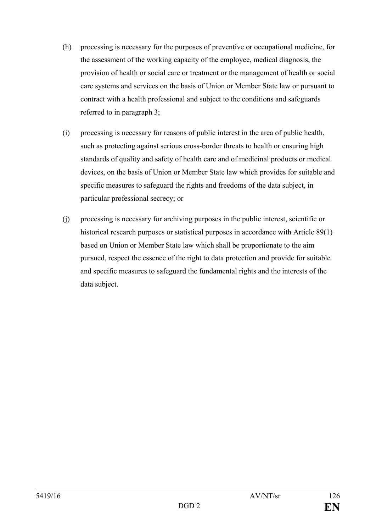- (h) processing is necessary for the purposes of preventive or occupational medicine, for the assessment of the working capacity of the employee, medical diagnosis, the provision of health or social care or treatment or the management of health or social care systems and services on the basis of Union or Member State law or pursuant to contract with a health professional and subject to the conditions and safeguards referred to in paragraph 3;
- (i) processing is necessary for reasons of public interest in the area of public health, such as protecting against serious cross-border threats to health or ensuring high standards of quality and safety of health care and of medicinal products or medical devices, on the basis of Union or Member State law which provides for suitable and specific measures to safeguard the rights and freedoms of the data subject, in particular professional secrecy; or
- (j) processing is necessary for archiving purposes in the public interest, scientific or historical research purposes or statistical purposes in accordance with Article 89(1) based on Union or Member State law which shall be proportionate to the aim pursued, respect the essence of the right to data protection and provide for suitable and specific measures to safeguard the fundamental rights and the interests of the data subject.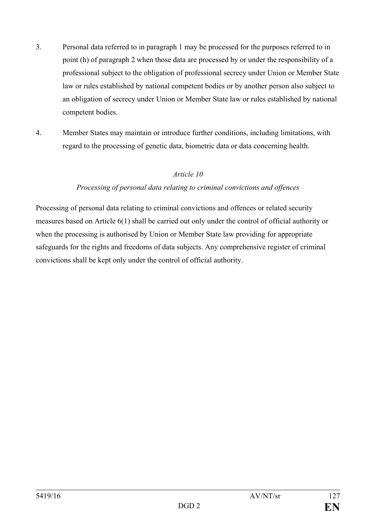- 3. Personal data referred to in paragraph 1 may be processed for the purposes referred to in point (h) of paragraph 2 when those data are processed by or under the responsibility of a professional subject to the obligation of professional secrecy under Union or Member State law or rules established by national competent bodies or by another person also subject to an obligation of secrecy under Union or Member State law or rules established by national competent bodies.
- 4. Member States may maintain or introduce further conditions, including limitations, with regard to the processing of genetic data, biometric data or data concerning health.

#### *Processing of personal data relating to criminal convictions and offences*

Processing of personal data relating to criminal convictions and offences or related security measures based on Article 6(1) shall be carried out only under the control of official authority or when the processing is authorised by Union or Member State law providing for appropriate safeguards for the rights and freedoms of data subjects. Any comprehensive register of criminal convictions shall be kept only under the control of official authority.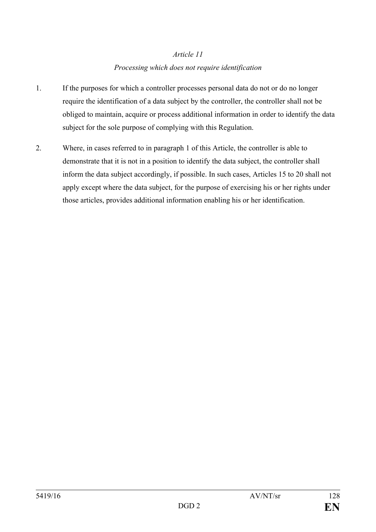#### *Processing which does not require identification*

- 1. If the purposes for which a controller processes personal data do not or do no longer require the identification of a data subject by the controller, the controller shall not be obliged to maintain, acquire or process additional information in order to identify the data subject for the sole purpose of complying with this Regulation.
- 2. Where, in cases referred to in paragraph 1 of this Article, the controller is able to demonstrate that it is not in a position to identify the data subject, the controller shall inform the data subject accordingly, if possible. In such cases, Articles 15 to 20 shall not apply except where the data subject, for the purpose of exercising his or her rights under those articles, provides additional information enabling his or her identification.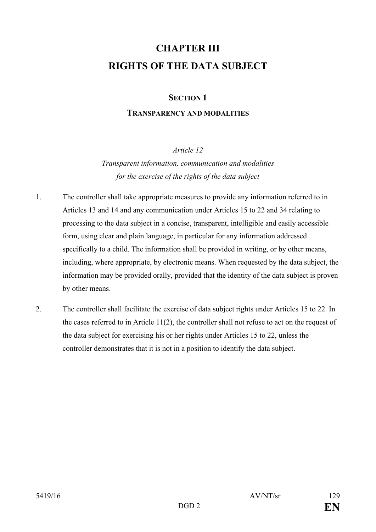# **CHAPTER III RIGHTS OF THE DATA SUBJECT**

#### **SECTION 1**

#### **TRANSPARENCY AND MODALITIES**

#### *Article 12*

*Transparent information, communication and modalities for the exercise of the rights of the data subject*

- 1. The controller shall take appropriate measures to provide any information referred to in Articles 13 and 14 and any communication under Articles 15 to 22 and 34 relating to processing to the data subject in a concise, transparent, intelligible and easily accessible form, using clear and plain language, in particular for any information addressed specifically to a child. The information shall be provided in writing, or by other means, including, where appropriate, by electronic means. When requested by the data subject, the information may be provided orally, provided that the identity of the data subject is proven by other means.
- 2. The controller shall facilitate the exercise of data subject rights under Articles 15 to 22. In the cases referred to in Article 11(2), the controller shall not refuse to act on the request of the data subject for exercising his or her rights under Articles 15 to 22, unless the controller demonstrates that it is not in a position to identify the data subject.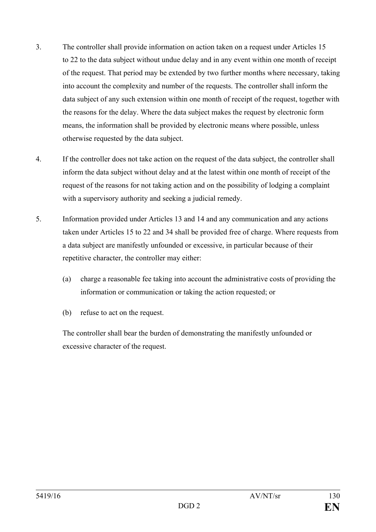- 3. The controller shall provide information on action taken on a request under Articles 15 to 22 to the data subject without undue delay and in any event within one month of receipt of the request. That period may be extended by two further months where necessary, taking into account the complexity and number of the requests. The controller shall inform the data subject of any such extension within one month of receipt of the request, together with the reasons for the delay. Where the data subject makes the request by electronic form means, the information shall be provided by electronic means where possible, unless otherwise requested by the data subject.
- 4. If the controller does not take action on the request of the data subject, the controller shall inform the data subject without delay and at the latest within one month of receipt of the request of the reasons for not taking action and on the possibility of lodging a complaint with a supervisory authority and seeking a judicial remedy.
- 5. Information provided under Articles 13 and 14 and any communication and any actions taken under Articles 15 to 22 and 34 shall be provided free of charge. Where requests from a data subject are manifestly unfounded or excessive, in particular because of their repetitive character, the controller may either:
	- (a) charge a reasonable fee taking into account the administrative costs of providing the information or communication or taking the action requested; or
	- (b) refuse to act on the request.

The controller shall bear the burden of demonstrating the manifestly unfounded or excessive character of the request.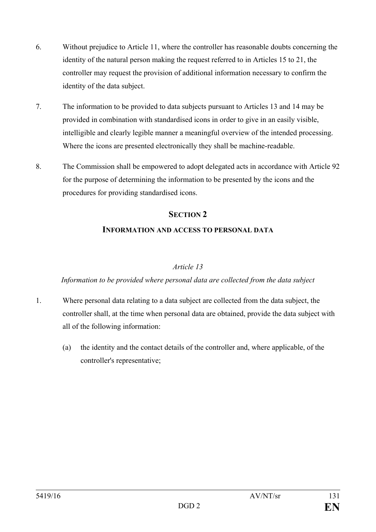- 6. Without prejudice to Article 11, where the controller has reasonable doubts concerning the identity of the natural person making the request referred to in Articles 15 to 21, the controller may request the provision of additional information necessary to confirm the identity of the data subject.
- 7. The information to be provided to data subjects pursuant to Articles 13 and 14 may be provided in combination with standardised icons in order to give in an easily visible, intelligible and clearly legible manner a meaningful overview of the intended processing. Where the icons are presented electronically they shall be machine-readable.
- 8. The Commission shall be empowered to adopt delegated acts in accordance with Article 92 for the purpose of determining the information to be presented by the icons and the procedures for providing standardised icons.

## **SECTION 2**

## **INFORMATION AND ACCESS TO PERSONAL DATA**

## *Article 13*

#### *Information to be provided where personal data are collected from the data subject*

- 1. Where personal data relating to a data subject are collected from the data subject, the controller shall, at the time when personal data are obtained, provide the data subject with all of the following information:
	- (a) the identity and the contact details of the controller and, where applicable, of the controller's representative;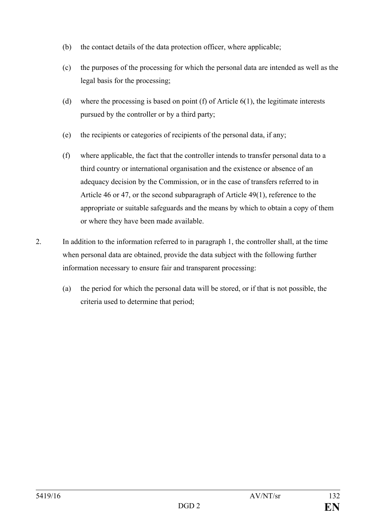- (b) the contact details of the data protection officer, where applicable;
- (c) the purposes of the processing for which the personal data are intended as well as the legal basis for the processing;
- (d) where the processing is based on point (f) of Article 6(1), the legitimate interests pursued by the controller or by a third party;
- (e) the recipients or categories of recipients of the personal data, if any;
- (f) where applicable, the fact that the controller intends to transfer personal data to a third country or international organisation and the existence or absence of an adequacy decision by the Commission, or in the case of transfers referred to in Article 46 or 47, or the second subparagraph of Article 49(1), reference to the appropriate or suitable safeguards and the means by which to obtain a copy of them or where they have been made available.
- 2. In addition to the information referred to in paragraph 1, the controller shall, at the time when personal data are obtained, provide the data subject with the following further information necessary to ensure fair and transparent processing:
	- (a) the period for which the personal data will be stored, or if that is not possible, the criteria used to determine that period;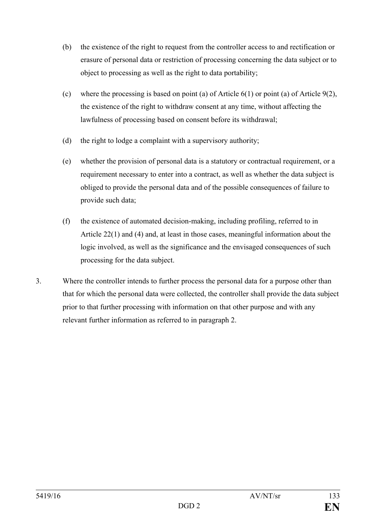- (b) the existence of the right to request from the controller access to and rectification or erasure of personal data or restriction of processing concerning the data subject or to object to processing as well as the right to data portability;
- (c) where the processing is based on point (a) of Article  $6(1)$  or point (a) of Article  $9(2)$ , the existence of the right to withdraw consent at any time, without affecting the lawfulness of processing based on consent before its withdrawal;
- (d) the right to lodge a complaint with a supervisory authority;
- (e) whether the provision of personal data is a statutory or contractual requirement, or a requirement necessary to enter into a contract, as well as whether the data subject is obliged to provide the personal data and of the possible consequences of failure to provide such data;
- (f) the existence of automated decision-making, including profiling, referred to in Article 22(1) and (4) and, at least in those cases, meaningful information about the logic involved, as well as the significance and the envisaged consequences of such processing for the data subject.
- 3. Where the controller intends to further process the personal data for a purpose other than that for which the personal data were collected, the controller shall provide the data subject prior to that further processing with information on that other purpose and with any relevant further information as referred to in paragraph 2.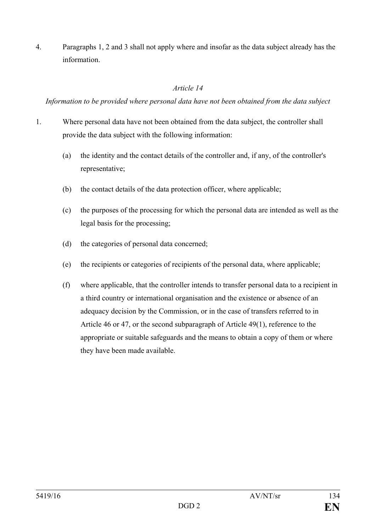4. Paragraphs 1, 2 and 3 shall not apply where and insofar as the data subject already has the information.

### *Article 14*

#### *Information to be provided where personal data have not been obtained from the data subject*

- 1. Where personal data have not been obtained from the data subject, the controller shall provide the data subject with the following information:
	- (a) the identity and the contact details of the controller and, if any, of the controller's representative;
	- (b) the contact details of the data protection officer, where applicable;
	- (c) the purposes of the processing for which the personal data are intended as well as the legal basis for the processing;
	- (d) the categories of personal data concerned;
	- (e) the recipients or categories of recipients of the personal data, where applicable;
	- (f) where applicable, that the controller intends to transfer personal data to a recipient in a third country or international organisation and the existence or absence of an adequacy decision by the Commission, or in the case of transfers referred to in Article 46 or 47, or the second subparagraph of Article 49(1), reference to the appropriate or suitable safeguards and the means to obtain a copy of them or where they have been made available.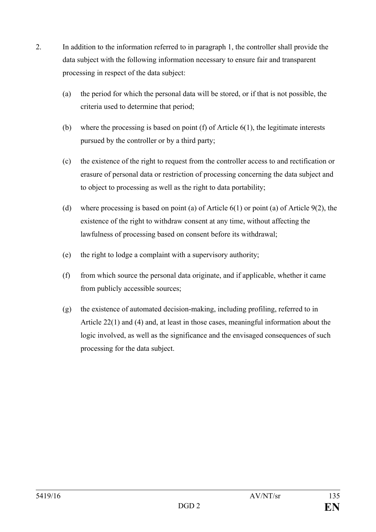- 2. In addition to the information referred to in paragraph 1, the controller shall provide the data subject with the following information necessary to ensure fair and transparent processing in respect of the data subject:
	- (a) the period for which the personal data will be stored, or if that is not possible, the criteria used to determine that period;
	- (b) where the processing is based on point (f) of Article 6(1), the legitimate interests pursued by the controller or by a third party;
	- (c) the existence of the right to request from the controller access to and rectification or erasure of personal data or restriction of processing concerning the data subject and to object to processing as well as the right to data portability;
	- (d) where processing is based on point (a) of Article 6(1) or point (a) of Article 9(2), the existence of the right to withdraw consent at any time, without affecting the lawfulness of processing based on consent before its withdrawal;
	- (e) the right to lodge a complaint with a supervisory authority;
	- (f) from which source the personal data originate, and if applicable, whether it came from publicly accessible sources;
	- (g) the existence of automated decision-making, including profiling, referred to in Article 22(1) and (4) and, at least in those cases, meaningful information about the logic involved, as well as the significance and the envisaged consequences of such processing for the data subject.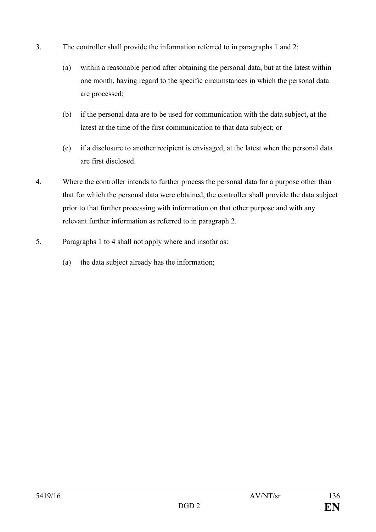- 3. The controller shall provide the information referred to in paragraphs 1 and 2:
	- (a) within a reasonable period after obtaining the personal data, but at the latest within one month, having regard to the specific circumstances in which the personal data are processed;
	- (b) if the personal data are to be used for communication with the data subject, at the latest at the time of the first communication to that data subject; or
	- (c) if a disclosure to another recipient is envisaged, at the latest when the personal data are first disclosed.
- 4. Where the controller intends to further process the personal data for a purpose other than that for which the personal data were obtained, the controller shall provide the data subject prior to that further processing with information on that other purpose and with any relevant further information as referred to in paragraph 2.
- 5. Paragraphs 1 to 4 shall not apply where and insofar as:
	- (a) the data subject already has the information;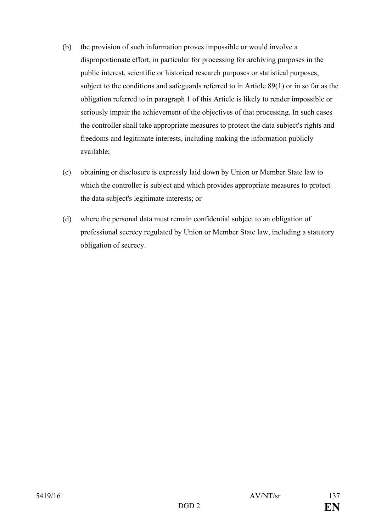- (b) the provision of such information proves impossible or would involve a disproportionate effort, in particular for processing for archiving purposes in the public interest, scientific or historical research purposes or statistical purposes, subject to the conditions and safeguards referred to in Article 89(1) or in so far as the obligation referred to in paragraph 1 of this Article is likely to render impossible or seriously impair the achievement of the objectives of that processing. In such cases the controller shall take appropriate measures to protect the data subject's rights and freedoms and legitimate interests, including making the information publicly available;
- (c) obtaining or disclosure is expressly laid down by Union or Member State law to which the controller is subject and which provides appropriate measures to protect the data subject's legitimate interests; or
- (d) where the personal data must remain confidential subject to an obligation of professional secrecy regulated by Union or Member State law, including a statutory obligation of secrecy.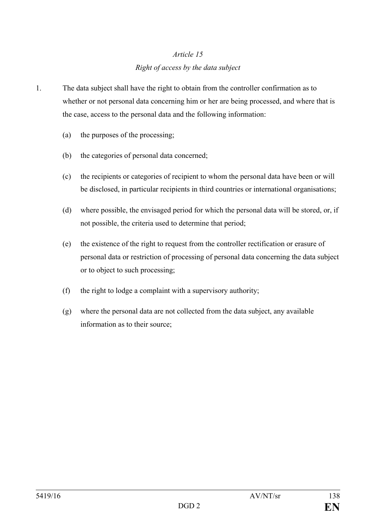# *Article 15 Right of access by the data subject*

- 1. The data subject shall have the right to obtain from the controller confirmation as to whether or not personal data concerning him or her are being processed, and where that is the case, access to the personal data and the following information:
	- (a) the purposes of the processing;
	- (b) the categories of personal data concerned;
	- (c) the recipients or categories of recipient to whom the personal data have been or will be disclosed, in particular recipients in third countries or international organisations;
	- (d) where possible, the envisaged period for which the personal data will be stored, or, if not possible, the criteria used to determine that period;
	- (e) the existence of the right to request from the controller rectification or erasure of personal data or restriction of processing of personal data concerning the data subject or to object to such processing;
	- (f) the right to lodge a complaint with a supervisory authority;
	- (g) where the personal data are not collected from the data subject, any available information as to their source;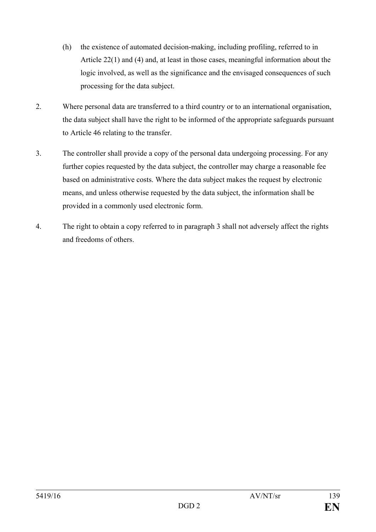- (h) the existence of automated decision-making, including profiling, referred to in Article 22(1) and (4) and, at least in those cases, meaningful information about the logic involved, as well as the significance and the envisaged consequences of such processing for the data subject.
- 2. Where personal data are transferred to a third country or to an international organisation, the data subject shall have the right to be informed of the appropriate safeguards pursuant to Article 46 relating to the transfer.
- 3. The controller shall provide a copy of the personal data undergoing processing. For any further copies requested by the data subject, the controller may charge a reasonable fee based on administrative costs. Where the data subject makes the request by electronic means, and unless otherwise requested by the data subject, the information shall be provided in a commonly used electronic form.
- 4. The right to obtain a copy referred to in paragraph 3 shall not adversely affect the rights and freedoms of others.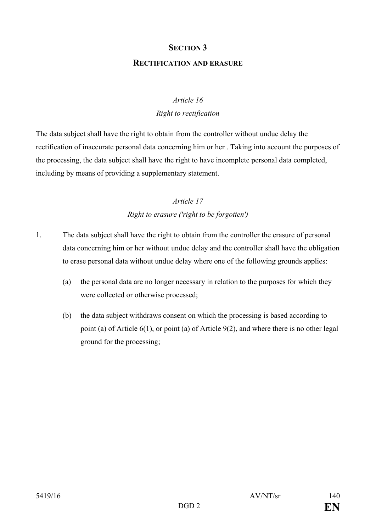### **SECTION 3**

#### **RECTIFICATION AND ERASURE**

## *Article 16 Right to rectification*

The data subject shall have the right to obtain from the controller without undue delay the rectification of inaccurate personal data concerning him or her . Taking into account the purposes of the processing, the data subject shall have the right to have incomplete personal data completed, including by means of providing a supplementary statement.

## *Article 17 Right to erasure ('right to be forgotten')*

- 1. The data subject shall have the right to obtain from the controller the erasure of personal data concerning him or her without undue delay and the controller shall have the obligation to erase personal data without undue delay where one of the following grounds applies:
	- (a) the personal data are no longer necessary in relation to the purposes for which they were collected or otherwise processed;
	- (b) the data subject withdraws consent on which the processing is based according to point (a) of Article 6(1), or point (a) of Article 9(2), and where there is no other legal ground for the processing;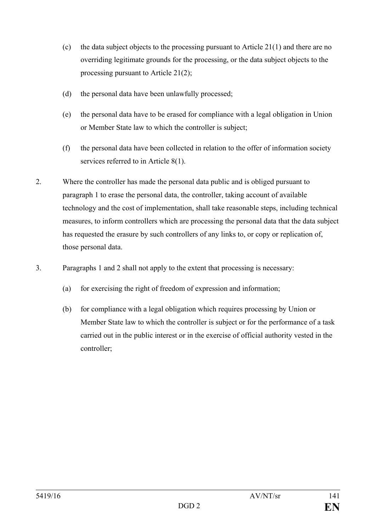- (c) the data subject objects to the processing pursuant to Article 21(1) and there are no overriding legitimate grounds for the processing, or the data subject objects to the processing pursuant to Article 21(2);
- (d) the personal data have been unlawfully processed;
- (e) the personal data have to be erased for compliance with a legal obligation in Union or Member State law to which the controller is subject;
- (f) the personal data have been collected in relation to the offer of information society services referred to in Article 8(1).
- 2. Where the controller has made the personal data public and is obliged pursuant to paragraph 1 to erase the personal data, the controller, taking account of available technology and the cost of implementation, shall take reasonable steps, including technical measures, to inform controllers which are processing the personal data that the data subject has requested the erasure by such controllers of any links to, or copy or replication of, those personal data.
- 3. Paragraphs 1 and 2 shall not apply to the extent that processing is necessary:
	- (a) for exercising the right of freedom of expression and information;
	- (b) for compliance with a legal obligation which requires processing by Union or Member State law to which the controller is subject or for the performance of a task carried out in the public interest or in the exercise of official authority vested in the controller;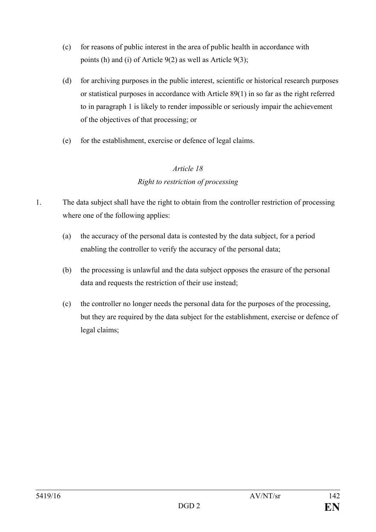- (c) for reasons of public interest in the area of public health in accordance with points (h) and (i) of Article 9(2) as well as Article 9(3);
- (d) for archiving purposes in the public interest, scientific or historical research purposes or statistical purposes in accordance with Article 89(1) in so far as the right referred to in paragraph 1 is likely to render impossible or seriously impair the achievement of the objectives of that processing; or
- (e) for the establishment, exercise or defence of legal claims.

# *Article 18 Right to restriction of processing*

- 1. The data subject shall have the right to obtain from the controller restriction of processing where one of the following applies:
	- (a) the accuracy of the personal data is contested by the data subject, for a period enabling the controller to verify the accuracy of the personal data;
	- (b) the processing is unlawful and the data subject opposes the erasure of the personal data and requests the restriction of their use instead;
	- (c) the controller no longer needs the personal data for the purposes of the processing, but they are required by the data subject for the establishment, exercise or defence of legal claims;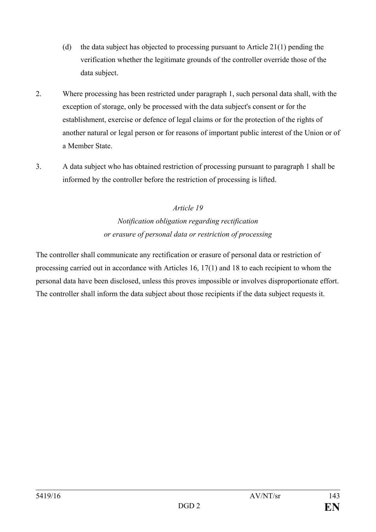- (d) the data subject has objected to processing pursuant to Article 21(1) pending the verification whether the legitimate grounds of the controller override those of the data subject.
- 2. Where processing has been restricted under paragraph 1, such personal data shall, with the exception of storage, only be processed with the data subject's consent or for the establishment, exercise or defence of legal claims or for the protection of the rights of another natural or legal person or for reasons of important public interest of the Union or of a Member State.
- 3. A data subject who has obtained restriction of processing pursuant to paragraph 1 shall be informed by the controller before the restriction of processing is lifted.

# *Article 19 Notification obligation regarding rectification or erasure of personal data or restriction of processing*

The controller shall communicate any rectification or erasure of personal data or restriction of processing carried out in accordance with Articles 16, 17(1) and 18 to each recipient to whom the personal data have been disclosed, unless this proves impossible or involves disproportionate effort. The controller shall inform the data subject about those recipients if the data subject requests it.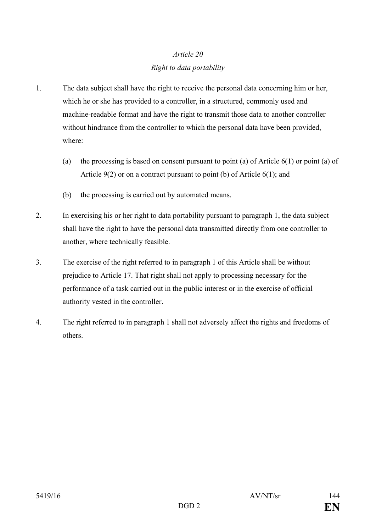## *Article 20 Right to data portability*

- 1. The data subject shall have the right to receive the personal data concerning him or her, which he or she has provided to a controller, in a structured, commonly used and machine-readable format and have the right to transmit those data to another controller without hindrance from the controller to which the personal data have been provided, where:
	- (a) the processing is based on consent pursuant to point (a) of Article  $6(1)$  or point (a) of Article 9(2) or on a contract pursuant to point (b) of Article 6(1); and
	- (b) the processing is carried out by automated means.
- 2. In exercising his or her right to data portability pursuant to paragraph 1, the data subject shall have the right to have the personal data transmitted directly from one controller to another, where technically feasible.
- 3. The exercise of the right referred to in paragraph 1 of this Article shall be without prejudice to Article 17. That right shall not apply to processing necessary for the performance of a task carried out in the public interest or in the exercise of official authority vested in the controller.
- 4. The right referred to in paragraph 1 shall not adversely affect the rights and freedoms of others.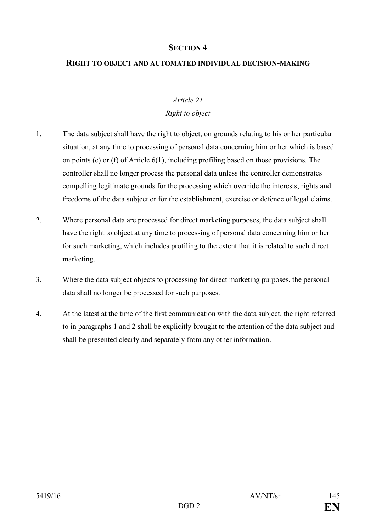#### **SECTION 4**

#### **RIGHT TO OBJECT AND AUTOMATED INDIVIDUAL DECISION-MAKING**

#### *Article 21*

#### *Right to object*

- 1. The data subject shall have the right to object, on grounds relating to his or her particular situation, at any time to processing of personal data concerning him or her which is based on points (e) or (f) of Article 6(1), including profiling based on those provisions. The controller shall no longer process the personal data unless the controller demonstrates compelling legitimate grounds for the processing which override the interests, rights and freedoms of the data subject or for the establishment, exercise or defence of legal claims.
- 2. Where personal data are processed for direct marketing purposes, the data subject shall have the right to object at any time to processing of personal data concerning him or her for such marketing, which includes profiling to the extent that it is related to such direct marketing.
- 3. Where the data subject objects to processing for direct marketing purposes, the personal data shall no longer be processed for such purposes.
- 4. At the latest at the time of the first communication with the data subject, the right referred to in paragraphs 1 and 2 shall be explicitly brought to the attention of the data subject and shall be presented clearly and separately from any other information.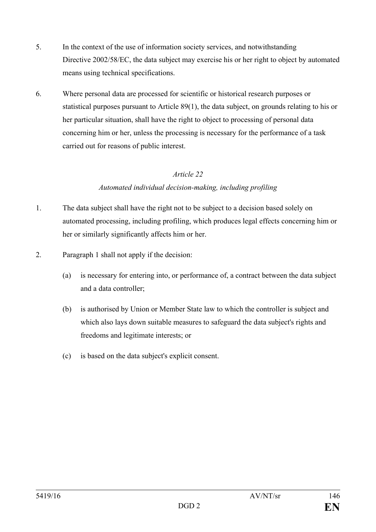- 5. In the context of the use of information society services, and notwithstanding Directive 2002/58/EC, the data subject may exercise his or her right to object by automated means using technical specifications.
- 6. Where personal data are processed for scientific or historical research purposes or statistical purposes pursuant to Article 89(1), the data subject, on grounds relating to his or her particular situation, shall have the right to object to processing of personal data concerning him or her, unless the processing is necessary for the performance of a task carried out for reasons of public interest.

#### *Article 22*

#### *Automated individual decision-making, including profiling*

- 1. The data subject shall have the right not to be subject to a decision based solely on automated processing, including profiling, which produces legal effects concerning him or her or similarly significantly affects him or her.
- 2. Paragraph 1 shall not apply if the decision:
	- (a) is necessary for entering into, or performance of, a contract between the data subject and a data controller;
	- (b) is authorised by Union or Member State law to which the controller is subject and which also lays down suitable measures to safeguard the data subject's rights and freedoms and legitimate interests; or
	- (c) is based on the data subject's explicit consent.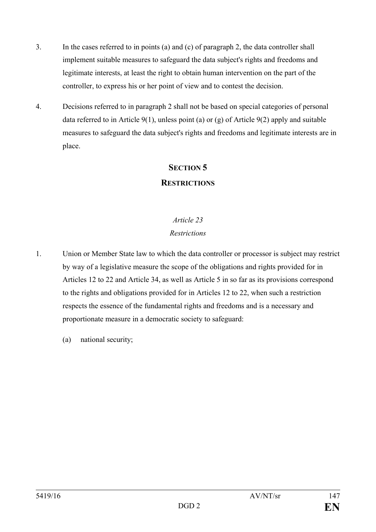- 3. In the cases referred to in points (a) and (c) of paragraph 2, the data controller shall implement suitable measures to safeguard the data subject's rights and freedoms and legitimate interests, at least the right to obtain human intervention on the part of the controller, to express his or her point of view and to contest the decision.
- 4. Decisions referred to in paragraph 2 shall not be based on special categories of personal data referred to in Article 9(1), unless point (a) or (g) of Article 9(2) apply and suitable measures to safeguard the data subject's rights and freedoms and legitimate interests are in place.

#### **SECTION 5**

#### **RESTRICTIONS**

#### *Article 23 Restrictions*

- 1. Union or Member State law to which the data controller or processor is subject may restrict by way of a legislative measure the scope of the obligations and rights provided for in Articles 12 to 22 and Article 34, as well as Article 5 in so far as its provisions correspond to the rights and obligations provided for in Articles 12 to 22, when such a restriction respects the essence of the fundamental rights and freedoms and is a necessary and proportionate measure in a democratic society to safeguard:
	- (a) national security;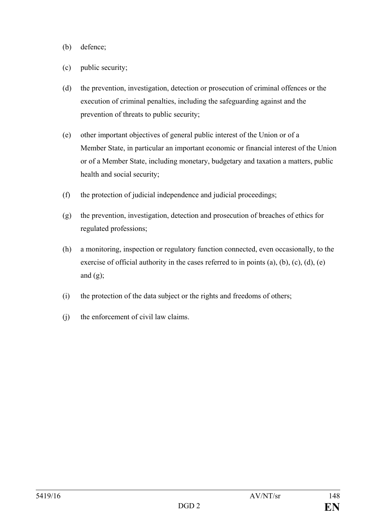- (b) defence;
- (c) public security;
- (d) the prevention, investigation, detection or prosecution of criminal offences or the execution of criminal penalties, including the safeguarding against and the prevention of threats to public security;
- (e) other important objectives of general public interest of the Union or of a Member State, in particular an important economic or financial interest of the Union or of a Member State, including monetary, budgetary and taxation a matters, public health and social security;
- (f) the protection of judicial independence and judicial proceedings;
- (g) the prevention, investigation, detection and prosecution of breaches of ethics for regulated professions;
- (h) a monitoring, inspection or regulatory function connected, even occasionally, to the exercise of official authority in the cases referred to in points  $(a)$ ,  $(b)$ ,  $(c)$ ,  $(d)$ ,  $(e)$ and  $(g)$ ;
- (i) the protection of the data subject or the rights and freedoms of others;
- (j) the enforcement of civil law claims.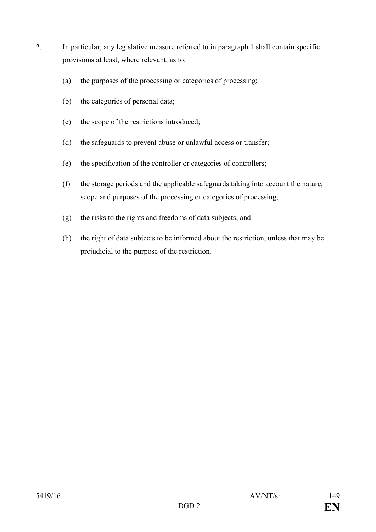- 2. In particular, any legislative measure referred to in paragraph 1 shall contain specific provisions at least, where relevant, as to:
	- (a) the purposes of the processing or categories of processing;
	- (b) the categories of personal data;
	- (c) the scope of the restrictions introduced;
	- (d) the safeguards to prevent abuse or unlawful access or transfer;
	- (e) the specification of the controller or categories of controllers;
	- (f) the storage periods and the applicable safeguards taking into account the nature, scope and purposes of the processing or categories of processing;
	- (g) the risks to the rights and freedoms of data subjects; and
	- (h) the right of data subjects to be informed about the restriction, unless that may be prejudicial to the purpose of the restriction.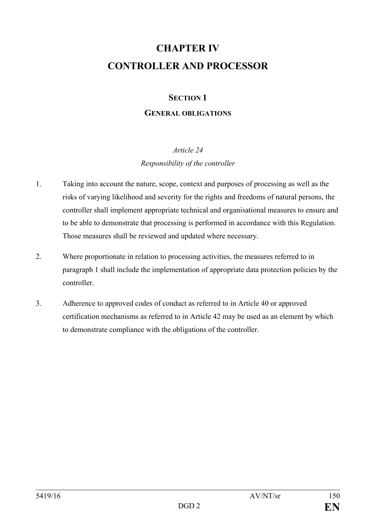# **CHAPTER IV CONTROLLER AND PROCESSOR**

#### **SECTION 1**

#### **GENERAL OBLIGATIONS**

# *Article 24 Responsibility of the controller*

- 1. Taking into account the nature, scope, context and purposes of processing as well as the risks of varying likelihood and severity for the rights and freedoms of natural persons, the controller shall implement appropriate technical and organisational measures to ensure and to be able to demonstrate that processing is performed in accordance with this Regulation. Those measures shall be reviewed and updated where necessary.
- 2. Where proportionate in relation to processing activities, the measures referred to in paragraph 1 shall include the implementation of appropriate data protection policies by the controller.
- 3. Adherence to approved codes of conduct as referred to in Article 40 or approved certification mechanisms as referred to in Article 42 may be used as an element by which to demonstrate compliance with the obligations of the controller.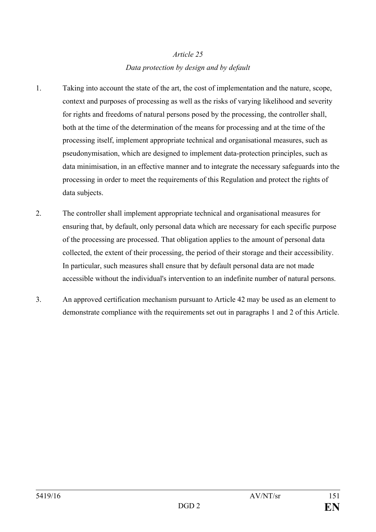## *Article 25 Data protection by design and by default*

- 1. Taking into account the state of the art, the cost of implementation and the nature, scope, context and purposes of processing as well as the risks of varying likelihood and severity for rights and freedoms of natural persons posed by the processing, the controller shall, both at the time of the determination of the means for processing and at the time of the processing itself, implement appropriate technical and organisational measures, such as pseudonymisation, which are designed to implement data-protection principles, such as data minimisation, in an effective manner and to integrate the necessary safeguards into the processing in order to meet the requirements of this Regulation and protect the rights of data subjects.
- 2. The controller shall implement appropriate technical and organisational measures for ensuring that, by default, only personal data which are necessary for each specific purpose of the processing are processed. That obligation applies to the amount of personal data collected, the extent of their processing, the period of their storage and their accessibility. In particular, such measures shall ensure that by default personal data are not made accessible without the individual's intervention to an indefinite number of natural persons.
- 3. An approved certification mechanism pursuant to Article 42 may be used as an element to demonstrate compliance with the requirements set out in paragraphs 1 and 2 of this Article.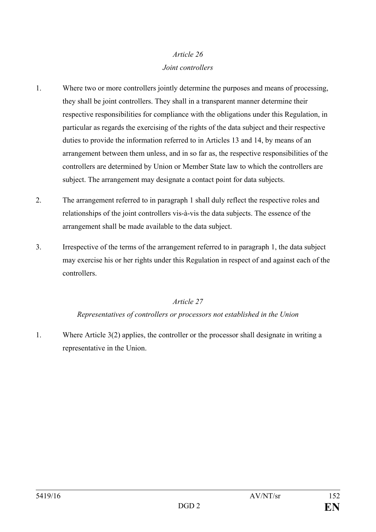# *Article 26 Joint controllers*

- 1. Where two or more controllers jointly determine the purposes and means of processing, they shall be joint controllers. They shall in a transparent manner determine their respective responsibilities for compliance with the obligations under this Regulation, in particular as regards the exercising of the rights of the data subject and their respective duties to provide the information referred to in Articles 13 and 14, by means of an arrangement between them unless, and in so far as, the respective responsibilities of the controllers are determined by Union or Member State law to which the controllers are subject. The arrangement may designate a contact point for data subjects.
- 2. The arrangement referred to in paragraph 1 shall duly reflect the respective roles and relationships of the joint controllers vis-à-vis the data subjects. The essence of the arrangement shall be made available to the data subject.
- 3. Irrespective of the terms of the arrangement referred to in paragraph 1, the data subject may exercise his or her rights under this Regulation in respect of and against each of the controllers.

#### *Article 27*

#### *Representatives of controllers or processors not established in the Union*

1. Where Article 3(2) applies, the controller or the processor shall designate in writing a representative in the Union.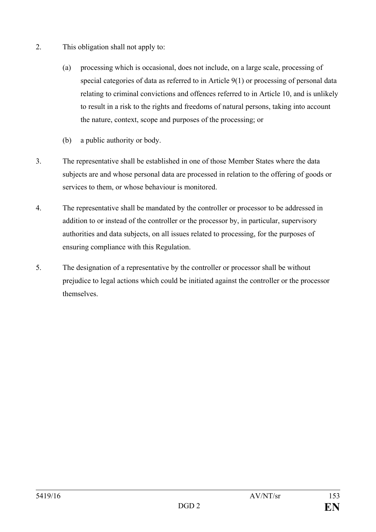- 2. This obligation shall not apply to:
	- (a) processing which is occasional, does not include, on a large scale, processing of special categories of data as referred to in Article 9(1) or processing of personal data relating to criminal convictions and offences referred to in Article 10, and is unlikely to result in a risk to the rights and freedoms of natural persons, taking into account the nature, context, scope and purposes of the processing; or
	- (b) a public authority or body.
- 3. The representative shall be established in one of those Member States where the data subjects are and whose personal data are processed in relation to the offering of goods or services to them, or whose behaviour is monitored.
- 4. The representative shall be mandated by the controller or processor to be addressed in addition to or instead of the controller or the processor by, in particular, supervisory authorities and data subjects, on all issues related to processing, for the purposes of ensuring compliance with this Regulation.
- 5. The designation of a representative by the controller or processor shall be without prejudice to legal actions which could be initiated against the controller or the processor themselves.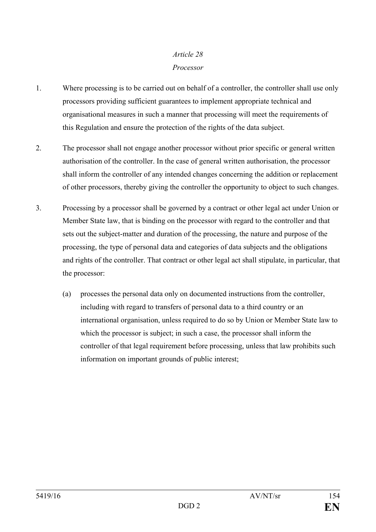# *Article 28*

#### *Processor*

- 1. Where processing is to be carried out on behalf of a controller, the controller shall use only processors providing sufficient guarantees to implement appropriate technical and organisational measures in such a manner that processing will meet the requirements of this Regulation and ensure the protection of the rights of the data subject.
- 2. The processor shall not engage another processor without prior specific or general written authorisation of the controller. In the case of general written authorisation, the processor shall inform the controller of any intended changes concerning the addition or replacement of other processors, thereby giving the controller the opportunity to object to such changes.
- 3. Processing by a processor shall be governed by a contract or other legal act under Union or Member State law, that is binding on the processor with regard to the controller and that sets out the subject-matter and duration of the processing, the nature and purpose of the processing, the type of personal data and categories of data subjects and the obligations and rights of the controller. That contract or other legal act shall stipulate, in particular, that the processor:
	- (a) processes the personal data only on documented instructions from the controller, including with regard to transfers of personal data to a third country or an international organisation, unless required to do so by Union or Member State law to which the processor is subject; in such a case, the processor shall inform the controller of that legal requirement before processing, unless that law prohibits such information on important grounds of public interest;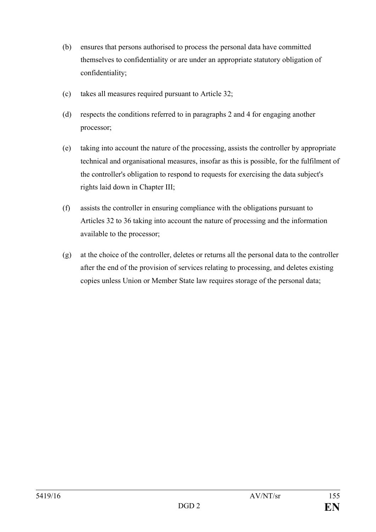- (b) ensures that persons authorised to process the personal data have committed themselves to confidentiality or are under an appropriate statutory obligation of confidentiality;
- (c) takes all measures required pursuant to Article 32;
- (d) respects the conditions referred to in paragraphs 2 and 4 for engaging another processor;
- (e) taking into account the nature of the processing, assists the controller by appropriate technical and organisational measures, insofar as this is possible, for the fulfilment of the controller's obligation to respond to requests for exercising the data subject's rights laid down in Chapter III;
- (f) assists the controller in ensuring compliance with the obligations pursuant to Articles 32 to 36 taking into account the nature of processing and the information available to the processor;
- (g) at the choice of the controller, deletes or returns all the personal data to the controller after the end of the provision of services relating to processing, and deletes existing copies unless Union or Member State law requires storage of the personal data;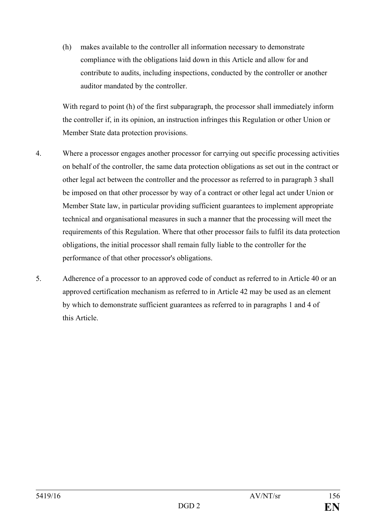(h) makes available to the controller all information necessary to demonstrate compliance with the obligations laid down in this Article and allow for and contribute to audits, including inspections, conducted by the controller or another auditor mandated by the controller.

With regard to point (h) of the first subparagraph, the processor shall immediately inform the controller if, in its opinion, an instruction infringes this Regulation or other Union or Member State data protection provisions.

- 4. Where a processor engages another processor for carrying out specific processing activities on behalf of the controller, the same data protection obligations as set out in the contract or other legal act between the controller and the processor as referred to in paragraph 3 shall be imposed on that other processor by way of a contract or other legal act under Union or Member State law, in particular providing sufficient guarantees to implement appropriate technical and organisational measures in such a manner that the processing will meet the requirements of this Regulation. Where that other processor fails to fulfil its data protection obligations, the initial processor shall remain fully liable to the controller for the performance of that other processor's obligations.
- 5. Adherence of a processor to an approved code of conduct as referred to in Article 40 or an approved certification mechanism as referred to in Article 42 may be used as an element by which to demonstrate sufficient guarantees as referred to in paragraphs 1 and 4 of this Article.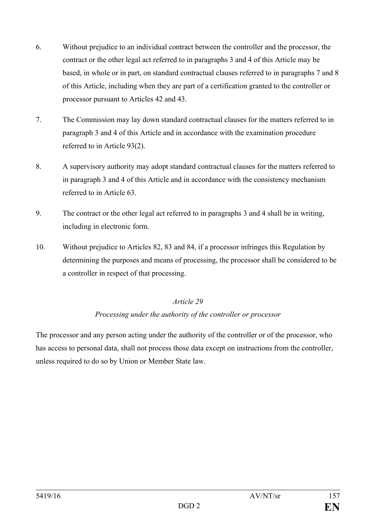- 6. Without prejudice to an individual contract between the controller and the processor, the contract or the other legal act referred to in paragraphs 3 and 4 of this Article may be based, in whole or in part, on standard contractual clauses referred to in paragraphs 7 and 8 of this Article, including when they are part of a certification granted to the controller or processor pursuant to Articles 42 and 43.
- 7. The Commission may lay down standard contractual clauses for the matters referred to in paragraph 3 and 4 of this Article and in accordance with the examination procedure referred to in Article 93(2).
- 8. A supervisory authority may adopt standard contractual clauses for the matters referred to in paragraph 3 and 4 of this Article and in accordance with the consistency mechanism referred to in Article 63.
- 9. The contract or the other legal act referred to in paragraphs 3 and 4 shall be in writing, including in electronic form.
- 10. Without prejudice to Articles 82, 83 and 84, if a processor infringes this Regulation by determining the purposes and means of processing, the processor shall be considered to be a controller in respect of that processing.

#### *Article 29*

#### *Processing under the authority of the controller or processor*

The processor and any person acting under the authority of the controller or of the processor, who has access to personal data, shall not process those data except on instructions from the controller, unless required to do so by Union or Member State law.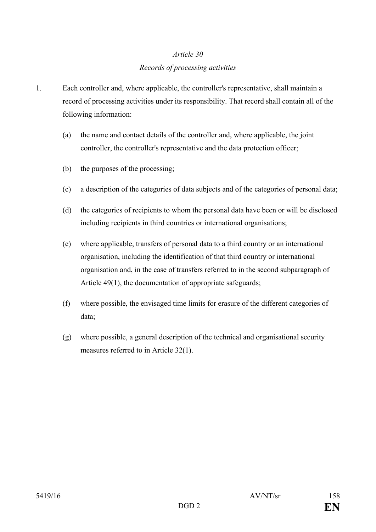# *Article 30 Records of processing activities*

- 1. Each controller and, where applicable, the controller's representative, shall maintain a record of processing activities under its responsibility. That record shall contain all of the following information:
	- (a) the name and contact details of the controller and, where applicable, the joint controller, the controller's representative and the data protection officer;
	- (b) the purposes of the processing;
	- (c) a description of the categories of data subjects and of the categories of personal data;
	- (d) the categories of recipients to whom the personal data have been or will be disclosed including recipients in third countries or international organisations;
	- (e) where applicable, transfers of personal data to a third country or an international organisation, including the identification of that third country or international organisation and, in the case of transfers referred to in the second subparagraph of Article 49(1), the documentation of appropriate safeguards;
	- (f) where possible, the envisaged time limits for erasure of the different categories of data;
	- (g) where possible, a general description of the technical and organisational security measures referred to in Article 32(1).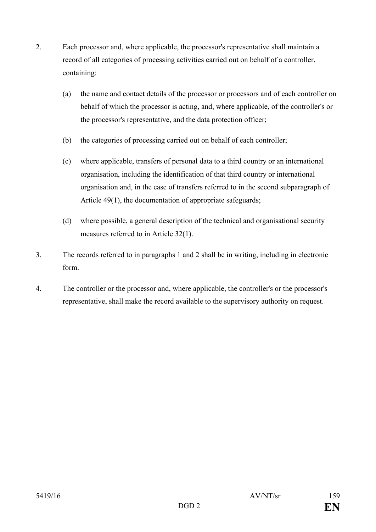- 2. Each processor and, where applicable, the processor's representative shall maintain a record of all categories of processing activities carried out on behalf of a controller, containing:
	- (a) the name and contact details of the processor or processors and of each controller on behalf of which the processor is acting, and, where applicable, of the controller's or the processor's representative, and the data protection officer;
	- (b) the categories of processing carried out on behalf of each controller;
	- (c) where applicable, transfers of personal data to a third country or an international organisation, including the identification of that third country or international organisation and, in the case of transfers referred to in the second subparagraph of Article 49(1), the documentation of appropriate safeguards;
	- (d) where possible, a general description of the technical and organisational security measures referred to in Article 32(1).
- 3. The records referred to in paragraphs 1 and 2 shall be in writing, including in electronic form.
- 4. The controller or the processor and, where applicable, the controller's or the processor's representative, shall make the record available to the supervisory authority on request.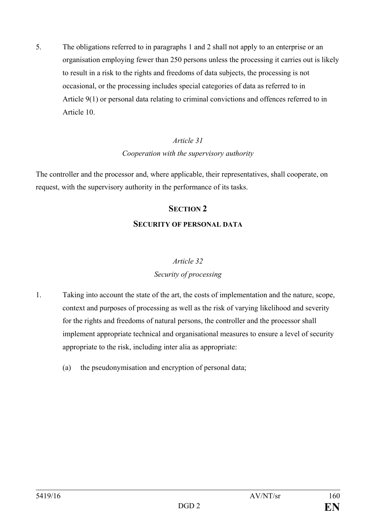5. The obligations referred to in paragraphs 1 and 2 shall not apply to an enterprise or an organisation employing fewer than 250 persons unless the processing it carries out is likely to result in a risk to the rights and freedoms of data subjects, the processing is not occasional, or the processing includes special categories of data as referred to in Article 9(1) or personal data relating to criminal convictions and offences referred to in Article 10.

# *Article 31 Cooperation with the supervisory authority*

The controller and the processor and, where applicable, their representatives, shall cooperate, on request, with the supervisory authority in the performance of its tasks.

# **SECTION 2 SECURITY OF PERSONAL DATA**

#### *Article 32*

#### *Security of processing*

- 1. Taking into account the state of the art, the costs of implementation and the nature, scope, context and purposes of processing as well as the risk of varying likelihood and severity for the rights and freedoms of natural persons, the controller and the processor shall implement appropriate technical and organisational measures to ensure a level of security appropriate to the risk, including inter alia as appropriate:
	- (a) the pseudonymisation and encryption of personal data;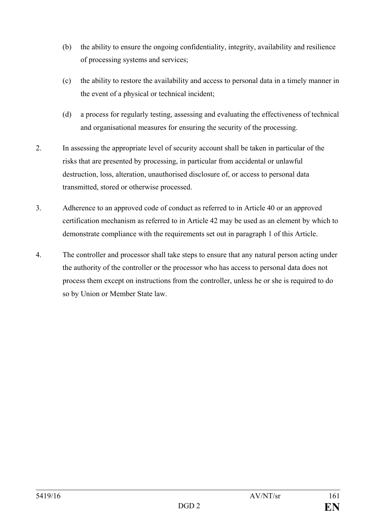- (b) the ability to ensure the ongoing confidentiality, integrity, availability and resilience of processing systems and services;
- (c) the ability to restore the availability and access to personal data in a timely manner in the event of a physical or technical incident;
- (d) a process for regularly testing, assessing and evaluating the effectiveness of technical and organisational measures for ensuring the security of the processing.
- 2. In assessing the appropriate level of security account shall be taken in particular of the risks that are presented by processing, in particular from accidental or unlawful destruction, loss, alteration, unauthorised disclosure of, or access to personal data transmitted, stored or otherwise processed.
- 3. Adherence to an approved code of conduct as referred to in Article 40 or an approved certification mechanism as referred to in Article 42 may be used as an element by which to demonstrate compliance with the requirements set out in paragraph 1 of this Article.
- 4. The controller and processor shall take steps to ensure that any natural person acting under the authority of the controller or the processor who has access to personal data does not process them except on instructions from the controller, unless he or she is required to do so by Union or Member State law.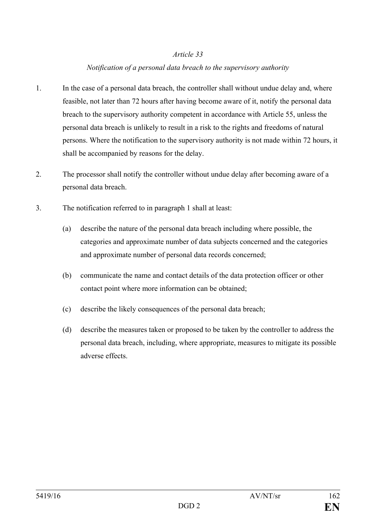#### *Article 33*

#### *Notification of a personal data breach to the supervisory authority*

- 1. In the case of a personal data breach, the controller shall without undue delay and, where feasible, not later than 72 hours after having become aware of it, notify the personal data breach to the supervisory authority competent in accordance with Article 55, unless the personal data breach is unlikely to result in a risk to the rights and freedoms of natural persons. Where the notification to the supervisory authority is not made within 72 hours, it shall be accompanied by reasons for the delay.
- 2. The processor shall notify the controller without undue delay after becoming aware of a personal data breach.
- 3. The notification referred to in paragraph 1 shall at least:
	- (a) describe the nature of the personal data breach including where possible, the categories and approximate number of data subjects concerned and the categories and approximate number of personal data records concerned;
	- (b) communicate the name and contact details of the data protection officer or other contact point where more information can be obtained;
	- (c) describe the likely consequences of the personal data breach;
	- (d) describe the measures taken or proposed to be taken by the controller to address the personal data breach, including, where appropriate, measures to mitigate its possible adverse effects.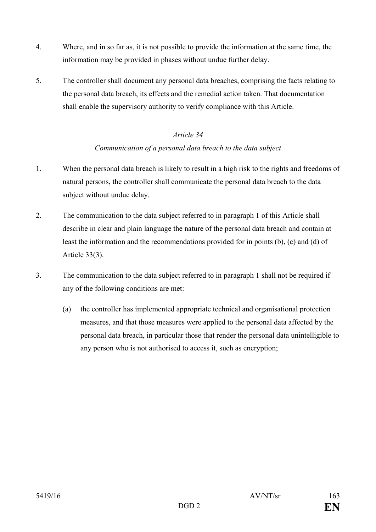- 4. Where, and in so far as, it is not possible to provide the information at the same time, the information may be provided in phases without undue further delay.
- 5. The controller shall document any personal data breaches, comprising the facts relating to the personal data breach, its effects and the remedial action taken. That documentation shall enable the supervisory authority to verify compliance with this Article.

#### *Article 34 Communication of a personal data breach to the data subject*

- 1. When the personal data breach is likely to result in a high risk to the rights and freedoms of natural persons, the controller shall communicate the personal data breach to the data subject without undue delay.
- 2. The communication to the data subject referred to in paragraph 1 of this Article shall describe in clear and plain language the nature of the personal data breach and contain at least the information and the recommendations provided for in points (b), (c) and (d) of Article 33(3).
- 3. The communication to the data subject referred to in paragraph 1 shall not be required if any of the following conditions are met:
	- (a) the controller has implemented appropriate technical and organisational protection measures, and that those measures were applied to the personal data affected by the personal data breach, in particular those that render the personal data unintelligible to any person who is not authorised to access it, such as encryption;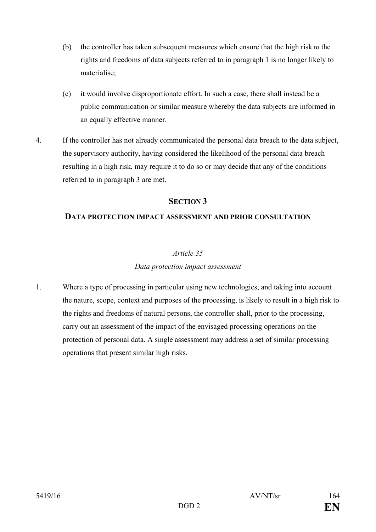- (b) the controller has taken subsequent measures which ensure that the high risk to the rights and freedoms of data subjects referred to in paragraph 1 is no longer likely to materialise;
- (c) it would involve disproportionate effort. In such a case, there shall instead be a public communication or similar measure whereby the data subjects are informed in an equally effective manner.
- 4. If the controller has not already communicated the personal data breach to the data subject, the supervisory authority, having considered the likelihood of the personal data breach resulting in a high risk, may require it to do so or may decide that any of the conditions referred to in paragraph 3 are met.

#### **SECTION 3**

#### **DATA PROTECTION IMPACT ASSESSMENT AND PRIOR CONSULTATION**

#### *Article 35*

#### *Data protection impact assessment*

1. Where a type of processing in particular using new technologies, and taking into account the nature, scope, context and purposes of the processing, is likely to result in a high risk to the rights and freedoms of natural persons, the controller shall, prior to the processing, carry out an assessment of the impact of the envisaged processing operations on the protection of personal data. A single assessment may address a set of similar processing operations that present similar high risks.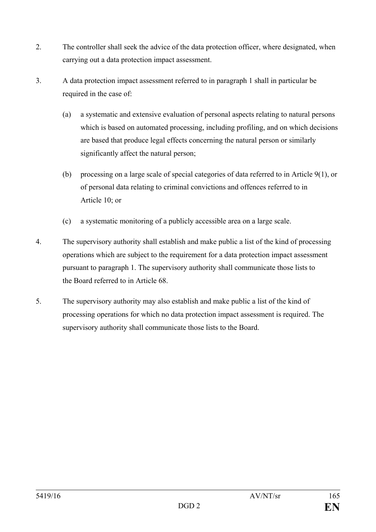- 2. The controller shall seek the advice of the data protection officer, where designated, when carrying out a data protection impact assessment.
- 3. A data protection impact assessment referred to in paragraph 1 shall in particular be required in the case of:
	- (a) a systematic and extensive evaluation of personal aspects relating to natural persons which is based on automated processing, including profiling, and on which decisions are based that produce legal effects concerning the natural person or similarly significantly affect the natural person;
	- (b) processing on a large scale of special categories of data referred to in Article 9(1), or of personal data relating to criminal convictions and offences referred to in Article 10; or
	- (c) a systematic monitoring of a publicly accessible area on a large scale.
- 4. The supervisory authority shall establish and make public a list of the kind of processing operations which are subject to the requirement for a data protection impact assessment pursuant to paragraph 1. The supervisory authority shall communicate those lists to the Board referred to in Article 68.
- 5. The supervisory authority may also establish and make public a list of the kind of processing operations for which no data protection impact assessment is required. The supervisory authority shall communicate those lists to the Board.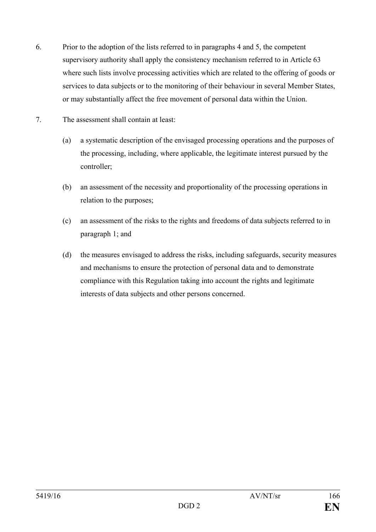- 6. Prior to the adoption of the lists referred to in paragraphs 4 and 5, the competent supervisory authority shall apply the consistency mechanism referred to in Article 63 where such lists involve processing activities which are related to the offering of goods or services to data subjects or to the monitoring of their behaviour in several Member States, or may substantially affect the free movement of personal data within the Union.
- 7. The assessment shall contain at least:
	- (a) a systematic description of the envisaged processing operations and the purposes of the processing, including, where applicable, the legitimate interest pursued by the controller;
	- (b) an assessment of the necessity and proportionality of the processing operations in relation to the purposes;
	- (c) an assessment of the risks to the rights and freedoms of data subjects referred to in paragraph 1; and
	- (d) the measures envisaged to address the risks, including safeguards, security measures and mechanisms to ensure the protection of personal data and to demonstrate compliance with this Regulation taking into account the rights and legitimate interests of data subjects and other persons concerned.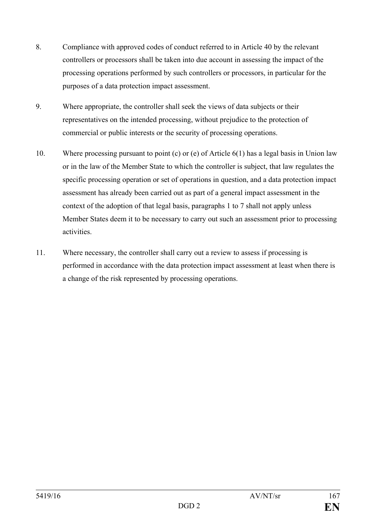- 8. Compliance with approved codes of conduct referred to in Article 40 by the relevant controllers or processors shall be taken into due account in assessing the impact of the processing operations performed by such controllers or processors, in particular for the purposes of a data protection impact assessment.
- 9. Where appropriate, the controller shall seek the views of data subjects or their representatives on the intended processing, without prejudice to the protection of commercial or public interests or the security of processing operations.
- 10. Where processing pursuant to point (c) or (e) of Article 6(1) has a legal basis in Union law or in the law of the Member State to which the controller is subject, that law regulates the specific processing operation or set of operations in question, and a data protection impact assessment has already been carried out as part of a general impact assessment in the context of the adoption of that legal basis, paragraphs 1 to 7 shall not apply unless Member States deem it to be necessary to carry out such an assessment prior to processing activities.
- 11. Where necessary, the controller shall carry out a review to assess if processing is performed in accordance with the data protection impact assessment at least when there is a change of the risk represented by processing operations.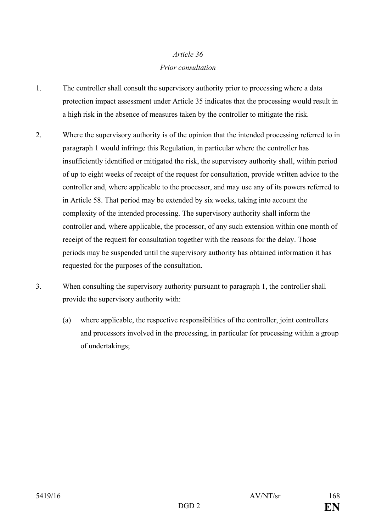# *Article 36 Prior consultation*

- 1. The controller shall consult the supervisory authority prior to processing where a data protection impact assessment under Article 35 indicates that the processing would result in a high risk in the absence of measures taken by the controller to mitigate the risk.
- 2. Where the supervisory authority is of the opinion that the intended processing referred to in paragraph 1 would infringe this Regulation, in particular where the controller has insufficiently identified or mitigated the risk, the supervisory authority shall, within period of up to eight weeks of receipt of the request for consultation, provide written advice to the controller and, where applicable to the processor, and may use any of its powers referred to in Article 58. That period may be extended by six weeks, taking into account the complexity of the intended processing. The supervisory authority shall inform the controller and, where applicable, the processor, of any such extension within one month of receipt of the request for consultation together with the reasons for the delay. Those periods may be suspended until the supervisory authority has obtained information it has requested for the purposes of the consultation.
- 3. When consulting the supervisory authority pursuant to paragraph 1, the controller shall provide the supervisory authority with:
	- (a) where applicable, the respective responsibilities of the controller, joint controllers and processors involved in the processing, in particular for processing within a group of undertakings;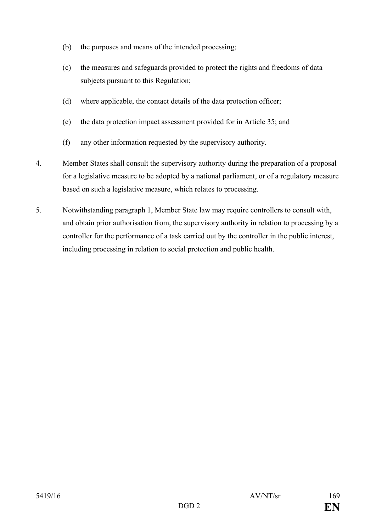- (b) the purposes and means of the intended processing;
- (c) the measures and safeguards provided to protect the rights and freedoms of data subjects pursuant to this Regulation;
- (d) where applicable, the contact details of the data protection officer;
- (e) the data protection impact assessment provided for in Article 35; and
- (f) any other information requested by the supervisory authority.
- 4. Member States shall consult the supervisory authority during the preparation of a proposal for a legislative measure to be adopted by a national parliament, or of a regulatory measure based on such a legislative measure, which relates to processing.
- 5. Notwithstanding paragraph 1, Member State law may require controllers to consult with, and obtain prior authorisation from, the supervisory authority in relation to processing by a controller for the performance of a task carried out by the controller in the public interest, including processing in relation to social protection and public health.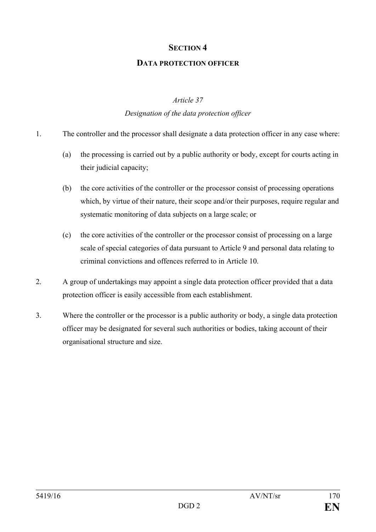#### **SECTION 4**

#### **DATA PROTECTION OFFICER**

#### *Article 37*

#### *Designation of the data protection officer*

- 1. The controller and the processor shall designate a data protection officer in any case where:
	- (a) the processing is carried out by a public authority or body, except for courts acting in their judicial capacity;
	- (b) the core activities of the controller or the processor consist of processing operations which, by virtue of their nature, their scope and/or their purposes, require regular and systematic monitoring of data subjects on a large scale; or
	- (c) the core activities of the controller or the processor consist of processing on a large scale of special categories of data pursuant to Article 9 and personal data relating to criminal convictions and offences referred to in Article 10.
- 2. A group of undertakings may appoint a single data protection officer provided that a data protection officer is easily accessible from each establishment.
- 3. Where the controller or the processor is a public authority or body, a single data protection officer may be designated for several such authorities or bodies, taking account of their organisational structure and size.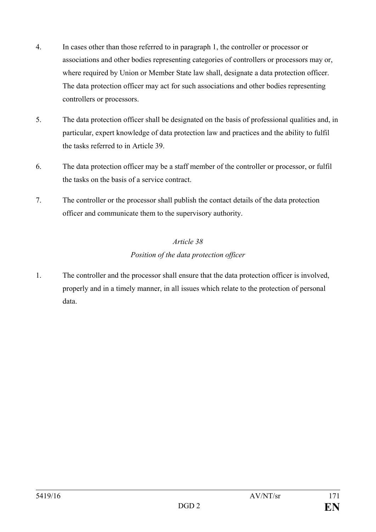- 4. In cases other than those referred to in paragraph 1, the controller or processor or associations and other bodies representing categories of controllers or processors may or, where required by Union or Member State law shall, designate a data protection officer. The data protection officer may act for such associations and other bodies representing controllers or processors.
- 5. The data protection officer shall be designated on the basis of professional qualities and, in particular, expert knowledge of data protection law and practices and the ability to fulfil the tasks referred to in Article 39.
- 6. The data protection officer may be a staff member of the controller or processor, or fulfil the tasks on the basis of a service contract.
- 7. The controller or the processor shall publish the contact details of the data protection officer and communicate them to the supervisory authority.

### *Article 38 Position of the data protection officer*

1. The controller and the processor shall ensure that the data protection officer is involved, properly and in a timely manner, in all issues which relate to the protection of personal data.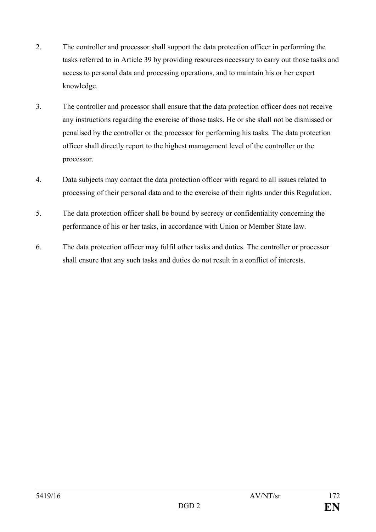- 2. The controller and processor shall support the data protection officer in performing the tasks referred to in Article 39 by providing resources necessary to carry out those tasks and access to personal data and processing operations, and to maintain his or her expert knowledge.
- 3. The controller and processor shall ensure that the data protection officer does not receive any instructions regarding the exercise of those tasks. He or she shall not be dismissed or penalised by the controller or the processor for performing his tasks. The data protection officer shall directly report to the highest management level of the controller or the processor.
- 4. Data subjects may contact the data protection officer with regard to all issues related to processing of their personal data and to the exercise of their rights under this Regulation.
- 5. The data protection officer shall be bound by secrecy or confidentiality concerning the performance of his or her tasks, in accordance with Union or Member State law.
- 6. The data protection officer may fulfil other tasks and duties. The controller or processor shall ensure that any such tasks and duties do not result in a conflict of interests.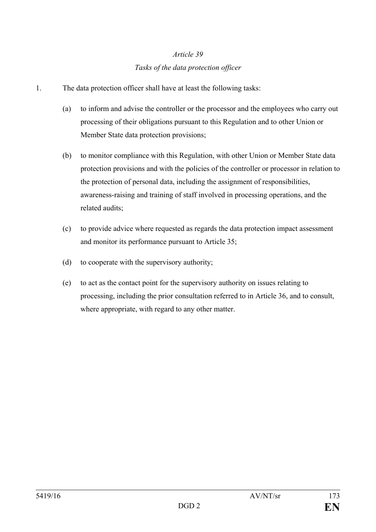# *Article 39 Tasks of the data protection officer*

- 1. The data protection officer shall have at least the following tasks:
	- (a) to inform and advise the controller or the processor and the employees who carry out processing of their obligations pursuant to this Regulation and to other Union or Member State data protection provisions;
	- (b) to monitor compliance with this Regulation, with other Union or Member State data protection provisions and with the policies of the controller or processor in relation to the protection of personal data, including the assignment of responsibilities, awareness-raising and training of staff involved in processing operations, and the related audits;
	- (c) to provide advice where requested as regards the data protection impact assessment and monitor its performance pursuant to Article 35;
	- (d) to cooperate with the supervisory authority;
	- (e) to act as the contact point for the supervisory authority on issues relating to processing, including the prior consultation referred to in Article 36, and to consult, where appropriate, with regard to any other matter.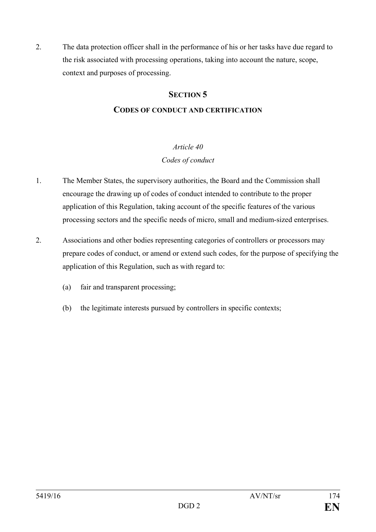2. The data protection officer shall in the performance of his or her tasks have due regard to the risk associated with processing operations, taking into account the nature, scope, context and purposes of processing.

#### **SECTION 5**

#### **CODES OF CONDUCT AND CERTIFICATION**

# *Article 40*

#### *Codes of conduct*

- 1. The Member States, the supervisory authorities, the Board and the Commission shall encourage the drawing up of codes of conduct intended to contribute to the proper application of this Regulation, taking account of the specific features of the various processing sectors and the specific needs of micro, small and medium-sized enterprises.
- 2. Associations and other bodies representing categories of controllers or processors may prepare codes of conduct, or amend or extend such codes, for the purpose of specifying the application of this Regulation, such as with regard to:
	- (a) fair and transparent processing;
	- (b) the legitimate interests pursued by controllers in specific contexts;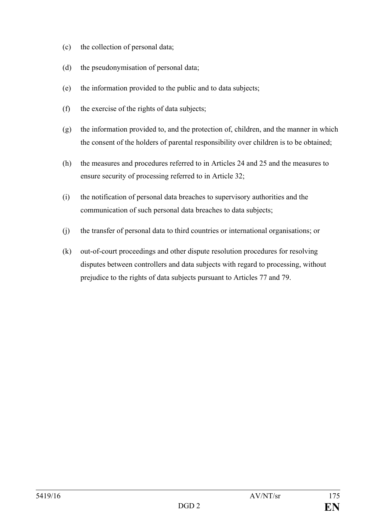- (c) the collection of personal data;
- (d) the pseudonymisation of personal data;
- (e) the information provided to the public and to data subjects;
- (f) the exercise of the rights of data subjects;
- (g) the information provided to, and the protection of, children, and the manner in which the consent of the holders of parental responsibility over children is to be obtained;
- (h) the measures and procedures referred to in Articles 24 and 25 and the measures to ensure security of processing referred to in Article 32;
- (i) the notification of personal data breaches to supervisory authorities and the communication of such personal data breaches to data subjects;
- (j) the transfer of personal data to third countries or international organisations; or
- (k) out-of-court proceedings and other dispute resolution procedures for resolving disputes between controllers and data subjects with regard to processing, without prejudice to the rights of data subjects pursuant to Articles 77 and 79.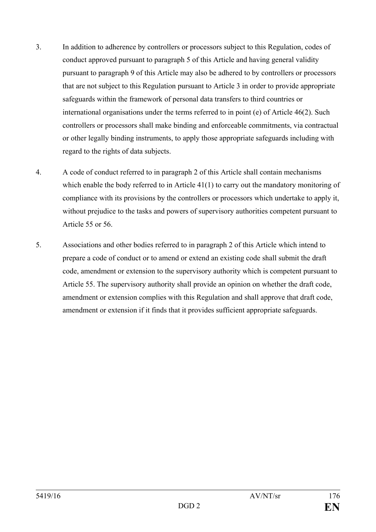- 3. In addition to adherence by controllers or processors subject to this Regulation, codes of conduct approved pursuant to paragraph 5 of this Article and having general validity pursuant to paragraph 9 of this Article may also be adhered to by controllers or processors that are not subject to this Regulation pursuant to Article 3 in order to provide appropriate safeguards within the framework of personal data transfers to third countries or international organisations under the terms referred to in point (e) of Article 46(2). Such controllers or processors shall make binding and enforceable commitments, via contractual or other legally binding instruments, to apply those appropriate safeguards including with regard to the rights of data subjects.
- 4. A code of conduct referred to in paragraph 2 of this Article shall contain mechanisms which enable the body referred to in Article 41(1) to carry out the mandatory monitoring of compliance with its provisions by the controllers or processors which undertake to apply it, without prejudice to the tasks and powers of supervisory authorities competent pursuant to Article 55 or 56.
- 5. Associations and other bodies referred to in paragraph 2 of this Article which intend to prepare a code of conduct or to amend or extend an existing code shall submit the draft code, amendment or extension to the supervisory authority which is competent pursuant to Article 55. The supervisory authority shall provide an opinion on whether the draft code, amendment or extension complies with this Regulation and shall approve that draft code, amendment or extension if it finds that it provides sufficient appropriate safeguards.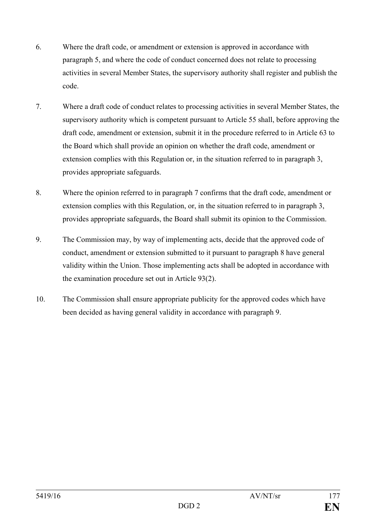- 6. Where the draft code, or amendment or extension is approved in accordance with paragraph 5, and where the code of conduct concerned does not relate to processing activities in several Member States, the supervisory authority shall register and publish the code.
- 7. Where a draft code of conduct relates to processing activities in several Member States, the supervisory authority which is competent pursuant to Article 55 shall, before approving the draft code, amendment or extension, submit it in the procedure referred to in Article 63 to the Board which shall provide an opinion on whether the draft code, amendment or extension complies with this Regulation or, in the situation referred to in paragraph 3, provides appropriate safeguards.
- 8. Where the opinion referred to in paragraph 7 confirms that the draft code, amendment or extension complies with this Regulation, or, in the situation referred to in paragraph 3, provides appropriate safeguards, the Board shall submit its opinion to the Commission.
- 9. The Commission may, by way of implementing acts, decide that the approved code of conduct, amendment or extension submitted to it pursuant to paragraph 8 have general validity within the Union. Those implementing acts shall be adopted in accordance with the examination procedure set out in Article 93(2).
- 10. The Commission shall ensure appropriate publicity for the approved codes which have been decided as having general validity in accordance with paragraph 9.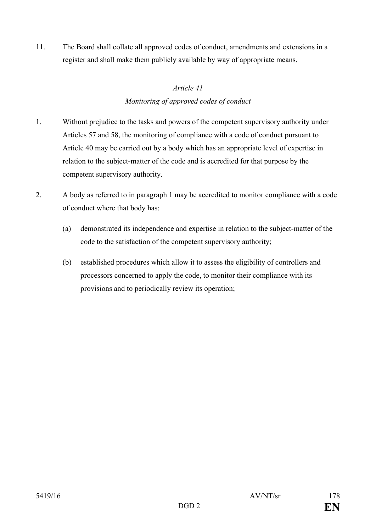11. The Board shall collate all approved codes of conduct, amendments and extensions in a register and shall make them publicly available by way of appropriate means.

#### *Article 41*

#### *Monitoring of approved codes of conduct*

- 1. Without prejudice to the tasks and powers of the competent supervisory authority under Articles 57 and 58, the monitoring of compliance with a code of conduct pursuant to Article 40 may be carried out by a body which has an appropriate level of expertise in relation to the subject-matter of the code and is accredited for that purpose by the competent supervisory authority.
- 2. A body as referred to in paragraph 1 may be accredited to monitor compliance with a code of conduct where that body has:
	- (a) demonstrated its independence and expertise in relation to the subject-matter of the code to the satisfaction of the competent supervisory authority;
	- (b) established procedures which allow it to assess the eligibility of controllers and processors concerned to apply the code, to monitor their compliance with its provisions and to periodically review its operation;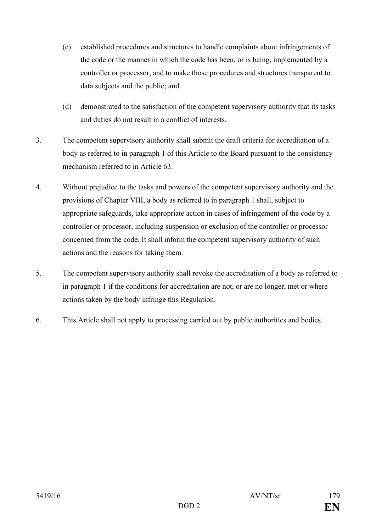- (c) established procedures and structures to handle complaints about infringements of the code or the manner in which the code has been, or is being, implemented by a controller or processor, and to make those procedures and structures transparent to data subjects and the public; and
- (d) demonstrated to the satisfaction of the competent supervisory authority that its tasks and duties do not result in a conflict of interests.
- 3. The competent supervisory authority shall submit the draft criteria for accreditation of a body as referred to in paragraph 1 of this Article to the Board pursuant to the consistency mechanism referred to in Article 63.
- 4. Without prejudice to the tasks and powers of the competent supervisory authority and the provisions of Chapter VIII, a body as referred to in paragraph 1 shall, subject to appropriate safeguards, take appropriate action in cases of infringement of the code by a controller or processor, including suspension or exclusion of the controller or processor concerned from the code. It shall inform the competent supervisory authority of such actions and the reasons for taking them.
- 5. The competent supervisory authority shall revoke the accreditation of a body as referred to in paragraph 1 if the conditions for accreditation are not, or are no longer, met or where actions taken by the body infringe this Regulation.
- 6. This Article shall not apply to processing carried out by public authorities and bodies.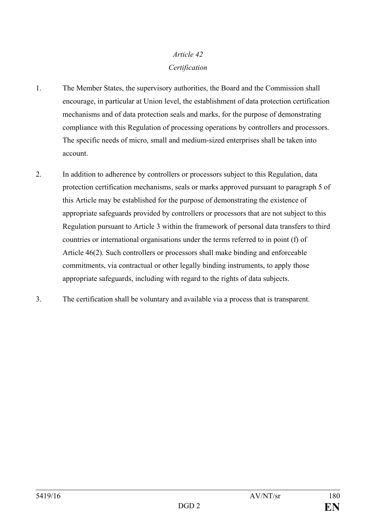# *Article 42 Certification*

- 1. The Member States, the supervisory authorities, the Board and the Commission shall encourage, in particular at Union level, the establishment of data protection certification mechanisms and of data protection seals and marks, for the purpose of demonstrating compliance with this Regulation of processing operations by controllers and processors. The specific needs of micro, small and medium-sized enterprises shall be taken into account.
- 2. In addition to adherence by controllers or processors subject to this Regulation, data protection certification mechanisms, seals or marks approved pursuant to paragraph 5 of this Article may be established for the purpose of demonstrating the existence of appropriate safeguards provided by controllers or processors that are not subject to this Regulation pursuant to Article 3 within the framework of personal data transfers to third countries or international organisations under the terms referred to in point (f) of Article 46(2). Such controllers or processors shall make binding and enforceable commitments, via contractual or other legally binding instruments, to apply those appropriate safeguards, including with regard to the rights of data subjects.
- 3. The certification shall be voluntary and available via a process that is transparent.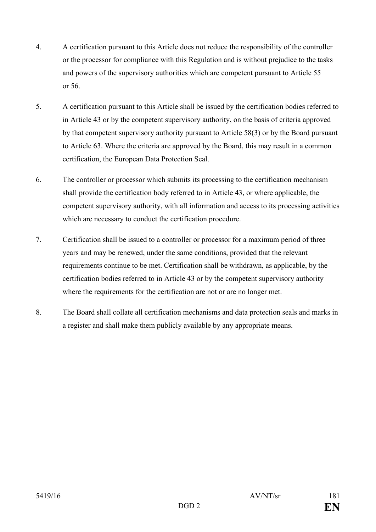- 4. A certification pursuant to this Article does not reduce the responsibility of the controller or the processor for compliance with this Regulation and is without prejudice to the tasks and powers of the supervisory authorities which are competent pursuant to Article 55 or 56.
- 5. A certification pursuant to this Article shall be issued by the certification bodies referred to in Article 43 or by the competent supervisory authority, on the basis of criteria approved by that competent supervisory authority pursuant to Article 58(3) or by the Board pursuant to Article 63. Where the criteria are approved by the Board, this may result in a common certification, the European Data Protection Seal.
- 6. The controller or processor which submits its processing to the certification mechanism shall provide the certification body referred to in Article 43, or where applicable, the competent supervisory authority, with all information and access to its processing activities which are necessary to conduct the certification procedure.
- 7. Certification shall be issued to a controller or processor for a maximum period of three years and may be renewed, under the same conditions, provided that the relevant requirements continue to be met. Certification shall be withdrawn, as applicable, by the certification bodies referred to in Article 43 or by the competent supervisory authority where the requirements for the certification are not or are no longer met.
- 8. The Board shall collate all certification mechanisms and data protection seals and marks in a register and shall make them publicly available by any appropriate means.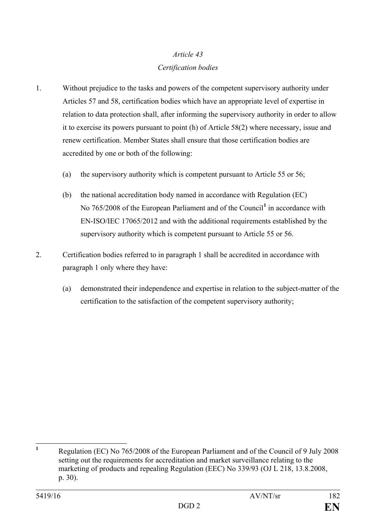# *Article 43 Certification bodies*

- 1. Without prejudice to the tasks and powers of the competent supervisory authority under Articles 57 and 58, certification bodies which have an appropriate level of expertise in relation to data protection shall, after informing the supervisory authority in order to allow it to exercise its powers pursuant to point (h) of Article 58(2) where necessary, issue and renew certification. Member States shall ensure that those certification bodies are accredited by one or both of the following:
	- (a) the supervisory authority which is competent pursuant to Article 55 or 56;
	- (b) the national accreditation body named in accordance with Regulation (EC) No 765/2008 of the European Parliament and of the Council**[1](#page-182-0)** in accordance with EN-ISO/IEC 17065/2012 and with the additional requirements established by the supervisory authority which is competent pursuant to Article 55 or 56.
- 2. Certification bodies referred to in paragraph 1 shall be accredited in accordance with paragraph 1 only where they have:
	- (a) demonstrated their independence and expertise in relation to the subject-matter of the certification to the satisfaction of the competent supervisory authority;

<span id="page-182-0"></span> $\mathbf{1}$ **<sup>1</sup>** Regulation (EC) No 765/2008 of the European Parliament and of the Council of 9 July 2008 setting out the requirements for accreditation and market surveillance relating to the marketing of products and repealing Regulation (EEC) No 339/93 (OJ L 218, 13.8.2008, p. 30).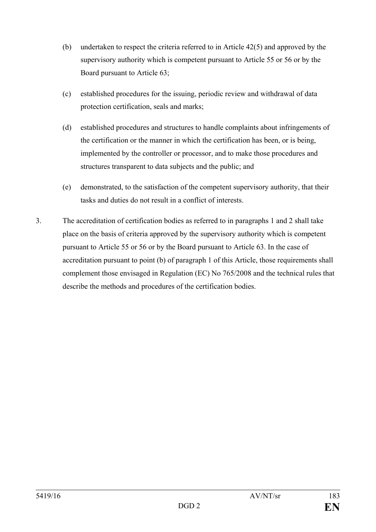- (b) undertaken to respect the criteria referred to in Article 42(5) and approved by the supervisory authority which is competent pursuant to Article 55 or 56 or by the Board pursuant to Article 63;
- (c) established procedures for the issuing, periodic review and withdrawal of data protection certification, seals and marks;
- (d) established procedures and structures to handle complaints about infringements of the certification or the manner in which the certification has been, or is being, implemented by the controller or processor, and to make those procedures and structures transparent to data subjects and the public; and
- (e) demonstrated, to the satisfaction of the competent supervisory authority, that their tasks and duties do not result in a conflict of interests.
- 3. The accreditation of certification bodies as referred to in paragraphs 1 and 2 shall take place on the basis of criteria approved by the supervisory authority which is competent pursuant to Article 55 or 56 or by the Board pursuant to Article 63. In the case of accreditation pursuant to point (b) of paragraph 1 of this Article, those requirements shall complement those envisaged in Regulation (EC) No 765/2008 and the technical rules that describe the methods and procedures of the certification bodies.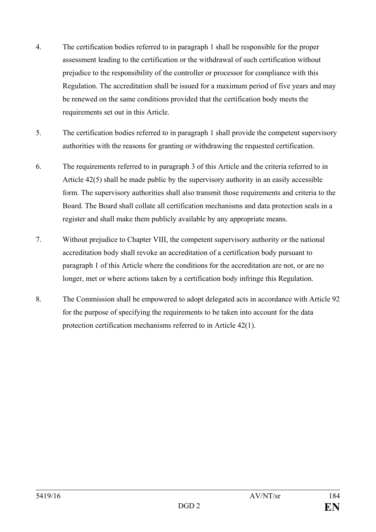- 4. The certification bodies referred to in paragraph 1 shall be responsible for the proper assessment leading to the certification or the withdrawal of such certification without prejudice to the responsibility of the controller or processor for compliance with this Regulation. The accreditation shall be issued for a maximum period of five years and may be renewed on the same conditions provided that the certification body meets the requirements set out in this Article.
- 5. The certification bodies referred to in paragraph 1 shall provide the competent supervisory authorities with the reasons for granting or withdrawing the requested certification.
- 6. The requirements referred to in paragraph 3 of this Article and the criteria referred to in Article 42(5) shall be made public by the supervisory authority in an easily accessible form. The supervisory authorities shall also transmit those requirements and criteria to the Board. The Board shall collate all certification mechanisms and data protection seals in a register and shall make them publicly available by any appropriate means.
- 7. Without prejudice to Chapter VIII, the competent supervisory authority or the national accreditation body shall revoke an accreditation of a certification body pursuant to paragraph 1 of this Article where the conditions for the accreditation are not, or are no longer, met or where actions taken by a certification body infringe this Regulation.
- 8. The Commission shall be empowered to adopt delegated acts in accordance with Article 92 for the purpose of specifying the requirements to be taken into account for the data protection certification mechanisms referred to in Article 42(1).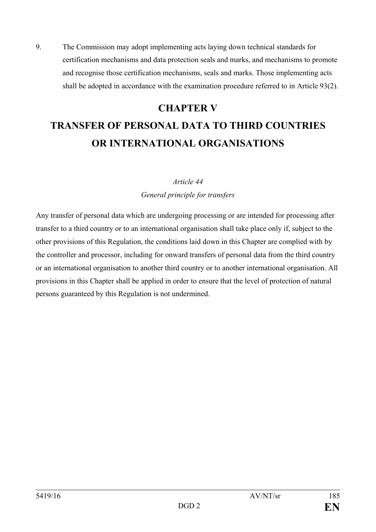9. The Commission may adopt implementing acts laying down technical standards for certification mechanisms and data protection seals and marks, and mechanisms to promote and recognise those certification mechanisms, seals and marks. Those implementing acts shall be adopted in accordance with the examination procedure referred to in Article 93(2).

# **CHAPTER V TRANSFER OF PERSONAL DATA TO THIRD COUNTRIES OR INTERNATIONAL ORGANISATIONS**

#### *Article 44*

*General principle for transfers*

Any transfer of personal data which are undergoing processing or are intended for processing after transfer to a third country or to an international organisation shall take place only if, subject to the other provisions of this Regulation, the conditions laid down in this Chapter are complied with by the controller and processor, including for onward transfers of personal data from the third country or an international organisation to another third country or to another international organisation. All provisions in this Chapter shall be applied in order to ensure that the level of protection of natural persons guaranteed by this Regulation is not undermined.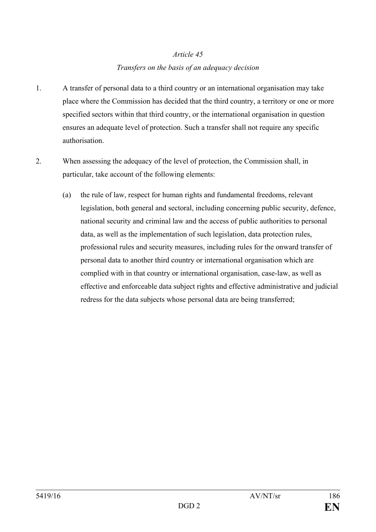# *Article 45 Transfers on the basis of an adequacy decision*

- 1. A transfer of personal data to a third country or an international organisation may take place where the Commission has decided that the third country, a territory or one or more specified sectors within that third country, or the international organisation in question ensures an adequate level of protection. Such a transfer shall not require any specific authorisation.
- 2. When assessing the adequacy of the level of protection, the Commission shall, in particular, take account of the following elements:
	- (a) the rule of law, respect for human rights and fundamental freedoms, relevant legislation, both general and sectoral, including concerning public security, defence, national security and criminal law and the access of public authorities to personal data, as well as the implementation of such legislation, data protection rules, professional rules and security measures, including rules for the onward transfer of personal data to another third country or international organisation which are complied with in that country or international organisation, case-law, as well as effective and enforceable data subject rights and effective administrative and judicial redress for the data subjects whose personal data are being transferred;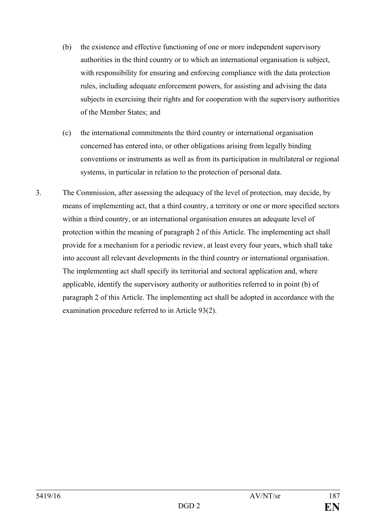- (b) the existence and effective functioning of one or more independent supervisory authorities in the third country or to which an international organisation is subject, with responsibility for ensuring and enforcing compliance with the data protection rules, including adequate enforcement powers, for assisting and advising the data subjects in exercising their rights and for cooperation with the supervisory authorities of the Member States; and
- (c) the international commitments the third country or international organisation concerned has entered into, or other obligations arising from legally binding conventions or instruments as well as from its participation in multilateral or regional systems, in particular in relation to the protection of personal data.
- 3. The Commission, after assessing the adequacy of the level of protection, may decide, by means of implementing act, that a third country, a territory or one or more specified sectors within a third country, or an international organisation ensures an adequate level of protection within the meaning of paragraph 2 of this Article. The implementing act shall provide for a mechanism for a periodic review, at least every four years, which shall take into account all relevant developments in the third country or international organisation. The implementing act shall specify its territorial and sectoral application and, where applicable, identify the supervisory authority or authorities referred to in point (b) of paragraph 2 of this Article. The implementing act shall be adopted in accordance with the examination procedure referred to in Article 93(2).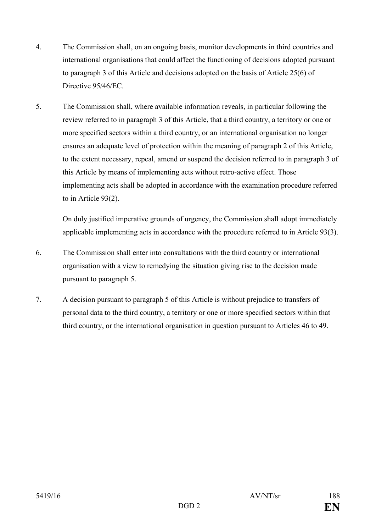- 4. The Commission shall, on an ongoing basis, monitor developments in third countries and international organisations that could affect the functioning of decisions adopted pursuant to paragraph 3 of this Article and decisions adopted on the basis of Article 25(6) of Directive 95/46/EC.
- 5. The Commission shall, where available information reveals, in particular following the review referred to in paragraph 3 of this Article, that a third country, a territory or one or more specified sectors within a third country, or an international organisation no longer ensures an adequate level of protection within the meaning of paragraph 2 of this Article, to the extent necessary, repeal, amend or suspend the decision referred to in paragraph 3 of this Article by means of implementing acts without retro-active effect. Those implementing acts shall be adopted in accordance with the examination procedure referred to in Article 93(2).

On duly justified imperative grounds of urgency, the Commission shall adopt immediately applicable implementing acts in accordance with the procedure referred to in Article 93(3).

- 6. The Commission shall enter into consultations with the third country or international organisation with a view to remedying the situation giving rise to the decision made pursuant to paragraph 5.
- 7. A decision pursuant to paragraph 5 of this Article is without prejudice to transfers of personal data to the third country, a territory or one or more specified sectors within that third country, or the international organisation in question pursuant to Articles 46 to 49.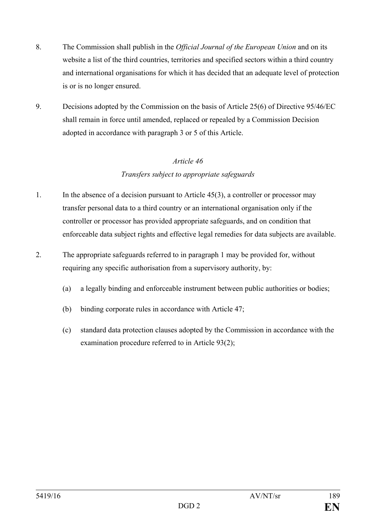- 8. The Commission shall publish in the *Official Journal of the European Union* and on its website a list of the third countries, territories and specified sectors within a third country and international organisations for which it has decided that an adequate level of protection is or is no longer ensured.
- 9. Decisions adopted by the Commission on the basis of Article 25(6) of Directive 95/46/EC shall remain in force until amended, replaced or repealed by a Commission Decision adopted in accordance with paragraph 3 or 5 of this Article.

# *Article 46 Transfers subject to appropriate safeguards*

- 1. In the absence of a decision pursuant to Article 45(3), a controller or processor may transfer personal data to a third country or an international organisation only if the controller or processor has provided appropriate safeguards, and on condition that enforceable data subject rights and effective legal remedies for data subjects are available.
- 2. The appropriate safeguards referred to in paragraph 1 may be provided for, without requiring any specific authorisation from a supervisory authority, by:
	- (a) a legally binding and enforceable instrument between public authorities or bodies;
	- (b) binding corporate rules in accordance with Article 47;
	- (c) standard data protection clauses adopted by the Commission in accordance with the examination procedure referred to in Article 93(2);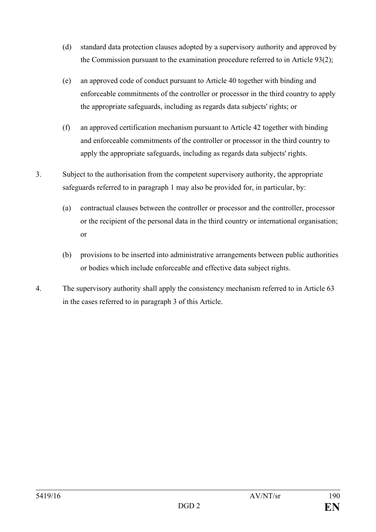- (d) standard data protection clauses adopted by a supervisory authority and approved by the Commission pursuant to the examination procedure referred to in Article 93(2);
- (e) an approved code of conduct pursuant to Article 40 together with binding and enforceable commitments of the controller or processor in the third country to apply the appropriate safeguards, including as regards data subjects' rights; or
- (f) an approved certification mechanism pursuant to Article 42 together with binding and enforceable commitments of the controller or processor in the third country to apply the appropriate safeguards, including as regards data subjects' rights.
- 3. Subject to the authorisation from the competent supervisory authority, the appropriate safeguards referred to in paragraph 1 may also be provided for, in particular, by:
	- (a) contractual clauses between the controller or processor and the controller, processor or the recipient of the personal data in the third country or international organisation; or
	- (b) provisions to be inserted into administrative arrangements between public authorities or bodies which include enforceable and effective data subject rights.
- 4. The supervisory authority shall apply the consistency mechanism referred to in Article 63 in the cases referred to in paragraph 3 of this Article.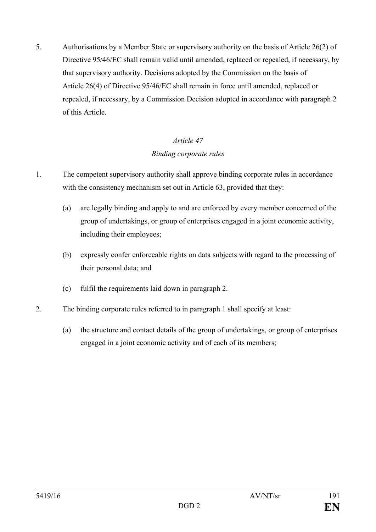5. Authorisations by a Member State or supervisory authority on the basis of Article 26(2) of Directive 95/46/EC shall remain valid until amended, replaced or repealed, if necessary, by that supervisory authority. Decisions adopted by the Commission on the basis of Article 26(4) of Directive 95/46/EC shall remain in force until amended, replaced or repealed, if necessary, by a Commission Decision adopted in accordance with paragraph 2 of this Article.

# *Article 47 Binding corporate rules*

- 1. The competent supervisory authority shall approve binding corporate rules in accordance with the consistency mechanism set out in Article 63, provided that they:
	- (a) are legally binding and apply to and are enforced by every member concerned of the group of undertakings, or group of enterprises engaged in a joint economic activity, including their employees;
	- (b) expressly confer enforceable rights on data subjects with regard to the processing of their personal data; and
	- (c) fulfil the requirements laid down in paragraph 2.
- 2. The binding corporate rules referred to in paragraph 1 shall specify at least:
	- (a) the structure and contact details of the group of undertakings, or group of enterprises engaged in a joint economic activity and of each of its members;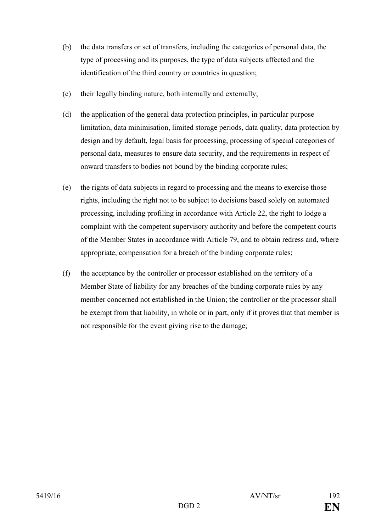- (b) the data transfers or set of transfers, including the categories of personal data, the type of processing and its purposes, the type of data subjects affected and the identification of the third country or countries in question;
- (c) their legally binding nature, both internally and externally;
- (d) the application of the general data protection principles, in particular purpose limitation, data minimisation, limited storage periods, data quality, data protection by design and by default, legal basis for processing, processing of special categories of personal data, measures to ensure data security, and the requirements in respect of onward transfers to bodies not bound by the binding corporate rules;
- (e) the rights of data subjects in regard to processing and the means to exercise those rights, including the right not to be subject to decisions based solely on automated processing, including profiling in accordance with Article 22, the right to lodge a complaint with the competent supervisory authority and before the competent courts of the Member States in accordance with Article 79, and to obtain redress and, where appropriate, compensation for a breach of the binding corporate rules;
- (f) the acceptance by the controller or processor established on the territory of a Member State of liability for any breaches of the binding corporate rules by any member concerned not established in the Union; the controller or the processor shall be exempt from that liability, in whole or in part, only if it proves that that member is not responsible for the event giving rise to the damage;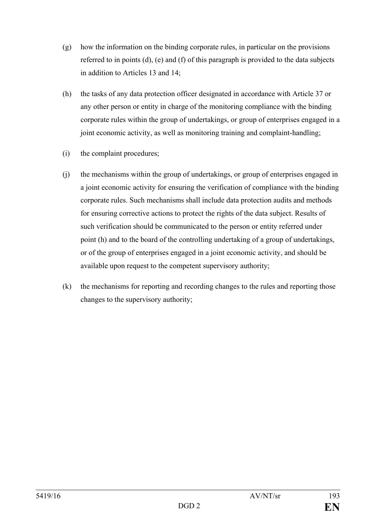- (g) how the information on the binding corporate rules, in particular on the provisions referred to in points (d), (e) and (f) of this paragraph is provided to the data subjects in addition to Articles 13 and 14;
- (h) the tasks of any data protection officer designated in accordance with Article 37 or any other person or entity in charge of the monitoring compliance with the binding corporate rules within the group of undertakings, or group of enterprises engaged in a joint economic activity, as well as monitoring training and complaint-handling;
- (i) the complaint procedures;
- (j) the mechanisms within the group of undertakings, or group of enterprises engaged in a joint economic activity for ensuring the verification of compliance with the binding corporate rules. Such mechanisms shall include data protection audits and methods for ensuring corrective actions to protect the rights of the data subject. Results of such verification should be communicated to the person or entity referred under point (h) and to the board of the controlling undertaking of a group of undertakings, or of the group of enterprises engaged in a joint economic activity, and should be available upon request to the competent supervisory authority;
- (k) the mechanisms for reporting and recording changes to the rules and reporting those changes to the supervisory authority;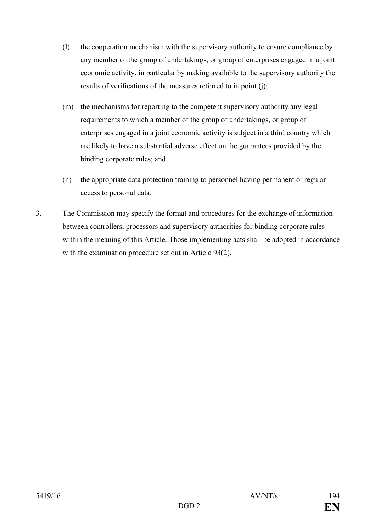- (l) the cooperation mechanism with the supervisory authority to ensure compliance by any member of the group of undertakings, or group of enterprises engaged in a joint economic activity, in particular by making available to the supervisory authority the results of verifications of the measures referred to in point (j);
- (m) the mechanisms for reporting to the competent supervisory authority any legal requirements to which a member of the group of undertakings, or group of enterprises engaged in a joint economic activity is subject in a third country which are likely to have a substantial adverse effect on the guarantees provided by the binding corporate rules; and
- (n) the appropriate data protection training to personnel having permanent or regular access to personal data.
- 3. The Commission may specify the format and procedures for the exchange of information between controllers, processors and supervisory authorities for binding corporate rules within the meaning of this Article. Those implementing acts shall be adopted in accordance with the examination procedure set out in Article 93(2).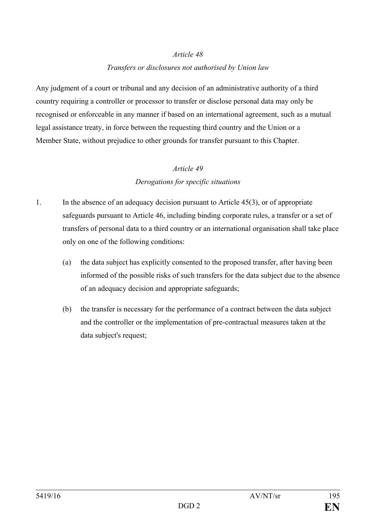#### *Transfers or disclosures not authorised by Union law*

Any judgment of a court or tribunal and any decision of an administrative authority of a third country requiring a controller or processor to transfer or disclose personal data may only be recognised or enforceable in any manner if based on an international agreement, such as a mutual legal assistance treaty, in force between the requesting third country and the Union or a Member State, without prejudice to other grounds for transfer pursuant to this Chapter.

#### *Article 49*

#### *Derogations for specific situations*

- 1. In the absence of an adequacy decision pursuant to Article 45(3), or of appropriate safeguards pursuant to Article 46, including binding corporate rules, a transfer or a set of transfers of personal data to a third country or an international organisation shall take place only on one of the following conditions:
	- (a) the data subject has explicitly consented to the proposed transfer, after having been informed of the possible risks of such transfers for the data subject due to the absence of an adequacy decision and appropriate safeguards;
	- (b) the transfer is necessary for the performance of a contract between the data subject and the controller or the implementation of pre-contractual measures taken at the data subject's request;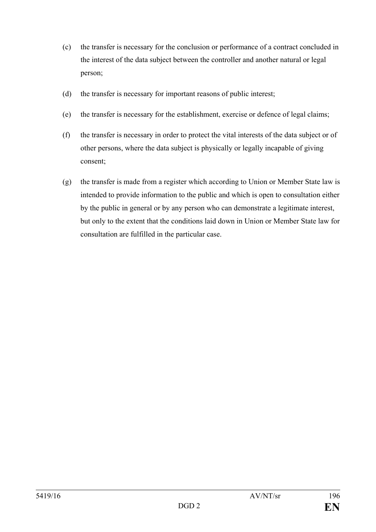- (c) the transfer is necessary for the conclusion or performance of a contract concluded in the interest of the data subject between the controller and another natural or legal person;
- (d) the transfer is necessary for important reasons of public interest;
- (e) the transfer is necessary for the establishment, exercise or defence of legal claims;
- (f) the transfer is necessary in order to protect the vital interests of the data subject or of other persons, where the data subject is physically or legally incapable of giving consent;
- (g) the transfer is made from a register which according to Union or Member State law is intended to provide information to the public and which is open to consultation either by the public in general or by any person who can demonstrate a legitimate interest, but only to the extent that the conditions laid down in Union or Member State law for consultation are fulfilled in the particular case.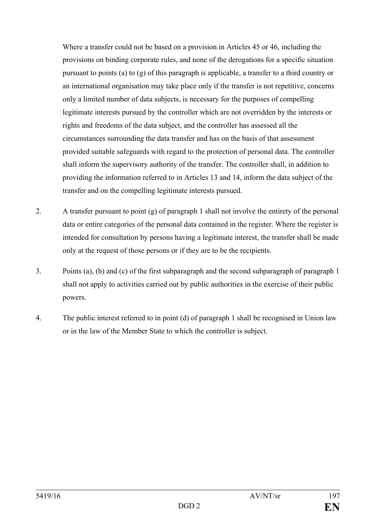Where a transfer could not be based on a provision in Articles 45 or 46, including the provisions on binding corporate rules, and none of the derogations for a specific situation pursuant to points (a) to (g) of this paragraph is applicable, a transfer to a third country or an international organisation may take place only if the transfer is not repetitive, concerns only a limited number of data subjects, is necessary for the purposes of compelling legitimate interests pursued by the controller which are not overridden by the interests or rights and freedoms of the data subject, and the controller has assessed all the circumstances surrounding the data transfer and has on the basis of that assessment provided suitable safeguards with regard to the protection of personal data. The controller shall inform the supervisory authority of the transfer. The controller shall, in addition to providing the information referred to in Articles 13 and 14, inform the data subject of the transfer and on the compelling legitimate interests pursued.

- 2. A transfer pursuant to point (g) of paragraph 1 shall not involve the entirety of the personal data or entire categories of the personal data contained in the register. Where the register is intended for consultation by persons having a legitimate interest, the transfer shall be made only at the request of those persons or if they are to be the recipients.
- 3. Points (a), (b) and (c) of the first subparagraph and the second subparagraph of paragraph 1 shall not apply to activities carried out by public authorities in the exercise of their public powers.
- 4. The public interest referred to in point (d) of paragraph 1 shall be recognised in Union law or in the law of the Member State to which the controller is subject.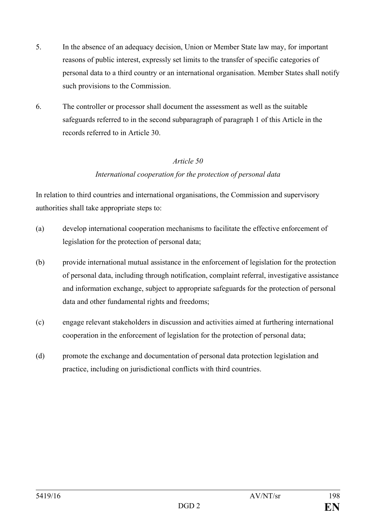- 5. In the absence of an adequacy decision, Union or Member State law may, for important reasons of public interest, expressly set limits to the transfer of specific categories of personal data to a third country or an international organisation. Member States shall notify such provisions to the Commission.
- 6. The controller or processor shall document the assessment as well as the suitable safeguards referred to in the second subparagraph of paragraph 1 of this Article in the records referred to in Article 30.

#### *International cooperation for the protection of personal data*

In relation to third countries and international organisations, the Commission and supervisory authorities shall take appropriate steps to:

- (a) develop international cooperation mechanisms to facilitate the effective enforcement of legislation for the protection of personal data;
- (b) provide international mutual assistance in the enforcement of legislation for the protection of personal data, including through notification, complaint referral, investigative assistance and information exchange, subject to appropriate safeguards for the protection of personal data and other fundamental rights and freedoms;
- (c) engage relevant stakeholders in discussion and activities aimed at furthering international cooperation in the enforcement of legislation for the protection of personal data;
- (d) promote the exchange and documentation of personal data protection legislation and practice, including on jurisdictional conflicts with third countries.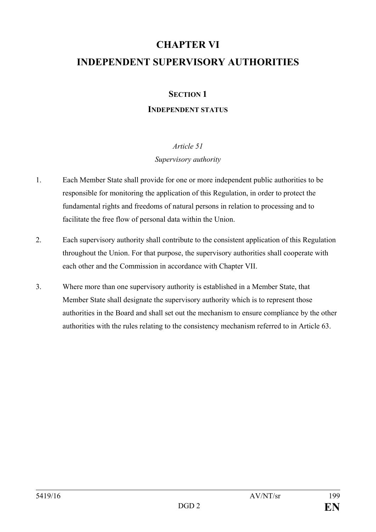# **CHAPTER VI INDEPENDENT SUPERVISORY AUTHORITIES**

### **SECTION 1**

#### **INDEPENDENT STATUS**

# *Article 51 Supervisory authority*

- 1. Each Member State shall provide for one or more independent public authorities to be responsible for monitoring the application of this Regulation, in order to protect the fundamental rights and freedoms of natural persons in relation to processing and to facilitate the free flow of personal data within the Union.
- 2. Each supervisory authority shall contribute to the consistent application of this Regulation throughout the Union. For that purpose, the supervisory authorities shall cooperate with each other and the Commission in accordance with Chapter VII.
- 3. Where more than one supervisory authority is established in a Member State, that Member State shall designate the supervisory authority which is to represent those authorities in the Board and shall set out the mechanism to ensure compliance by the other authorities with the rules relating to the consistency mechanism referred to in Article 63.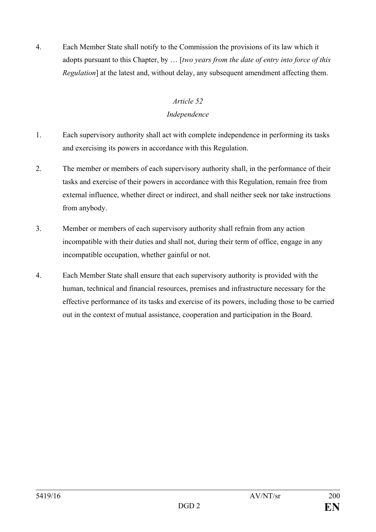4. Each Member State shall notify to the Commission the provisions of its law which it adopts pursuant to this Chapter, by … [*two years from the date of entry into force of this Regulation*] at the latest and, without delay, any subsequent amendment affecting them.

#### *Article 52*

#### *Independence*

- 1. Each supervisory authority shall act with complete independence in performing its tasks and exercising its powers in accordance with this Regulation.
- 2. The member or members of each supervisory authority shall, in the performance of their tasks and exercise of their powers in accordance with this Regulation, remain free from external influence, whether direct or indirect, and shall neither seek nor take instructions from anybody.
- 3. Member or members of each supervisory authority shall refrain from any action incompatible with their duties and shall not, during their term of office, engage in any incompatible occupation, whether gainful or not.
- 4. Each Member State shall ensure that each supervisory authority is provided with the human, technical and financial resources, premises and infrastructure necessary for the effective performance of its tasks and exercise of its powers, including those to be carried out in the context of mutual assistance, cooperation and participation in the Board.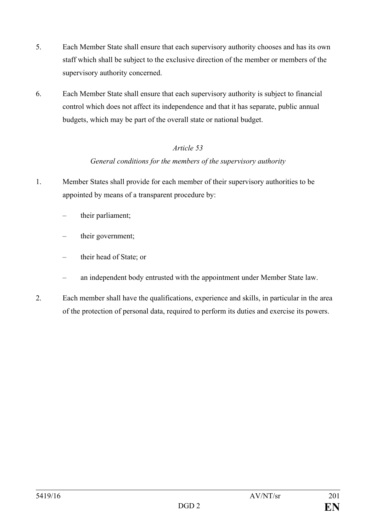- 5. Each Member State shall ensure that each supervisory authority chooses and has its own staff which shall be subject to the exclusive direction of the member or members of the supervisory authority concerned.
- 6. Each Member State shall ensure that each supervisory authority is subject to financial control which does not affect its independence and that it has separate, public annual budgets, which may be part of the overall state or national budget.

#### *General conditions for the members of the supervisory authority*

- 1. Member States shall provide for each member of their supervisory authorities to be appointed by means of a transparent procedure by:
	- their parliament;
	- their government;
	- their head of State; or
	- an independent body entrusted with the appointment under Member State law.
- 2. Each member shall have the qualifications, experience and skills, in particular in the area of the protection of personal data, required to perform its duties and exercise its powers.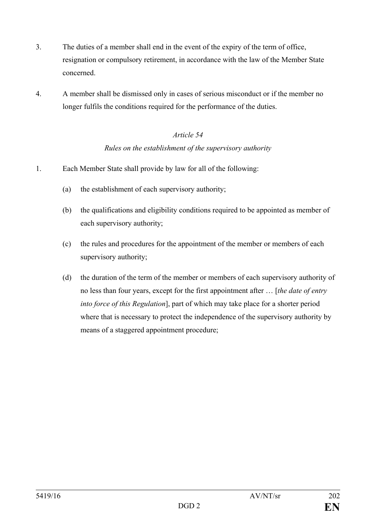- 3. The duties of a member shall end in the event of the expiry of the term of office, resignation or compulsory retirement, in accordance with the law of the Member State concerned.
- 4. A member shall be dismissed only in cases of serious misconduct or if the member no longer fulfils the conditions required for the performance of the duties.

## *Article 54 Rules on the establishment of the supervisory authority*

- 1. Each Member State shall provide by law for all of the following:
	- (a) the establishment of each supervisory authority;
	- (b) the qualifications and eligibility conditions required to be appointed as member of each supervisory authority;
	- (c) the rules and procedures for the appointment of the member or members of each supervisory authority;
	- (d) the duration of the term of the member or members of each supervisory authority of no less than four years, except for the first appointment after … [*the date of entry into force of this Regulation*], part of which may take place for a shorter period where that is necessary to protect the independence of the supervisory authority by means of a staggered appointment procedure;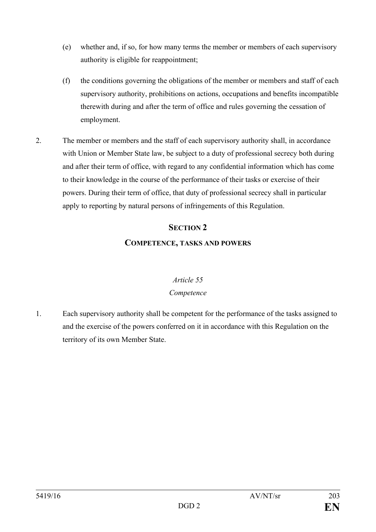- (e) whether and, if so, for how many terms the member or members of each supervisory authority is eligible for reappointment;
- (f) the conditions governing the obligations of the member or members and staff of each supervisory authority, prohibitions on actions, occupations and benefits incompatible therewith during and after the term of office and rules governing the cessation of employment.
- 2. The member or members and the staff of each supervisory authority shall, in accordance with Union or Member State law, be subject to a duty of professional secrecy both during and after their term of office, with regard to any confidential information which has come to their knowledge in the course of the performance of their tasks or exercise of their powers. During their term of office, that duty of professional secrecy shall in particular apply to reporting by natural persons of infringements of this Regulation.

#### **SECTION 2**

#### **COMPETENCE, TASKS AND POWERS**

#### *Article 55*

#### *Competence*

1. Each supervisory authority shall be competent for the performance of the tasks assigned to and the exercise of the powers conferred on it in accordance with this Regulation on the territory of its own Member State.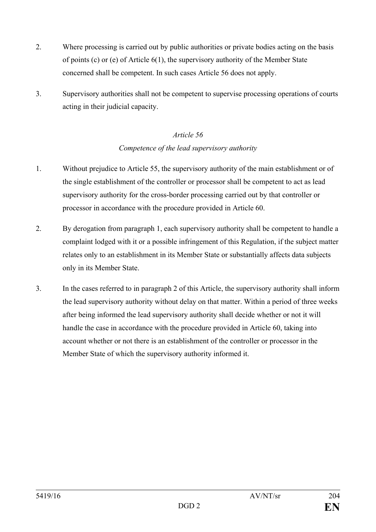- 2. Where processing is carried out by public authorities or private bodies acting on the basis of points (c) or (e) of Article 6(1), the supervisory authority of the Member State concerned shall be competent. In such cases Article 56 does not apply.
- 3. Supervisory authorities shall not be competent to supervise processing operations of courts acting in their judicial capacity.

## *Article 56 Competence of the lead supervisory authority*

- 1. Without prejudice to Article 55, the supervisory authority of the main establishment or of the single establishment of the controller or processor shall be competent to act as lead supervisory authority for the cross-border processing carried out by that controller or processor in accordance with the procedure provided in Article 60.
- 2. By derogation from paragraph 1, each supervisory authority shall be competent to handle a complaint lodged with it or a possible infringement of this Regulation, if the subject matter relates only to an establishment in its Member State or substantially affects data subjects only in its Member State.
- 3. In the cases referred to in paragraph 2 of this Article, the supervisory authority shall inform the lead supervisory authority without delay on that matter. Within a period of three weeks after being informed the lead supervisory authority shall decide whether or not it will handle the case in accordance with the procedure provided in Article 60, taking into account whether or not there is an establishment of the controller or processor in the Member State of which the supervisory authority informed it.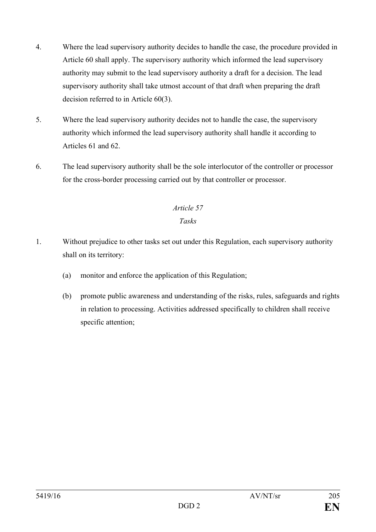- 4. Where the lead supervisory authority decides to handle the case, the procedure provided in Article 60 shall apply. The supervisory authority which informed the lead supervisory authority may submit to the lead supervisory authority a draft for a decision. The lead supervisory authority shall take utmost account of that draft when preparing the draft decision referred to in Article 60(3).
- 5. Where the lead supervisory authority decides not to handle the case, the supervisory authority which informed the lead supervisory authority shall handle it according to Articles 61 and 62.
- 6. The lead supervisory authority shall be the sole interlocutor of the controller or processor for the cross-border processing carried out by that controller or processor.

#### *Tasks*

- 1. Without prejudice to other tasks set out under this Regulation, each supervisory authority shall on its territory:
	- (a) monitor and enforce the application of this Regulation;
	- (b) promote public awareness and understanding of the risks, rules, safeguards and rights in relation to processing. Activities addressed specifically to children shall receive specific attention;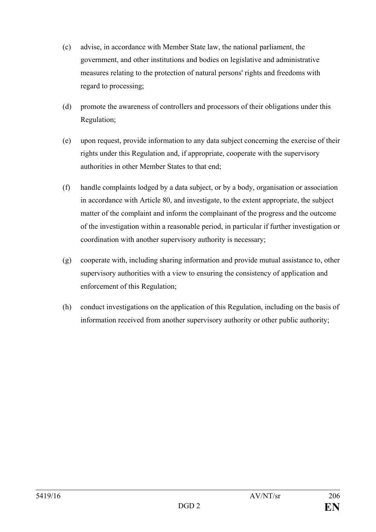- (c) advise, in accordance with Member State law, the national parliament, the government, and other institutions and bodies on legislative and administrative measures relating to the protection of natural persons' rights and freedoms with regard to processing;
- (d) promote the awareness of controllers and processors of their obligations under this Regulation;
- (e) upon request, provide information to any data subject concerning the exercise of their rights under this Regulation and, if appropriate, cooperate with the supervisory authorities in other Member States to that end;
- (f) handle complaints lodged by a data subject, or by a body, organisation or association in accordance with Article 80, and investigate, to the extent appropriate, the subject matter of the complaint and inform the complainant of the progress and the outcome of the investigation within a reasonable period, in particular if further investigation or coordination with another supervisory authority is necessary;
- (g) cooperate with, including sharing information and provide mutual assistance to, other supervisory authorities with a view to ensuring the consistency of application and enforcement of this Regulation;
- (h) conduct investigations on the application of this Regulation, including on the basis of information received from another supervisory authority or other public authority;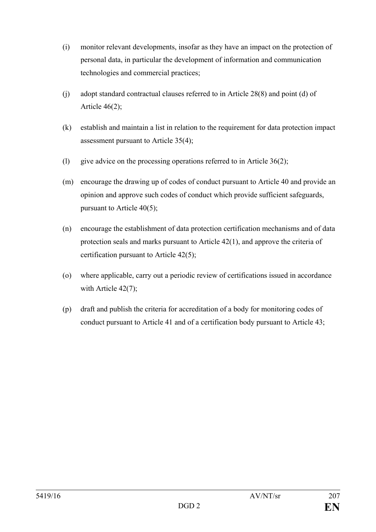- (i) monitor relevant developments, insofar as they have an impact on the protection of personal data, in particular the development of information and communication technologies and commercial practices;
- (j) adopt standard contractual clauses referred to in Article 28(8) and point (d) of Article  $46(2)$ ;
- (k) establish and maintain a list in relation to the requirement for data protection impact assessment pursuant to Article 35(4);
- (1) give advice on the processing operations referred to in Article  $36(2)$ ;
- (m) encourage the drawing up of codes of conduct pursuant to Article 40 and provide an opinion and approve such codes of conduct which provide sufficient safeguards, pursuant to Article 40(5);
- (n) encourage the establishment of data protection certification mechanisms and of data protection seals and marks pursuant to Article 42(1), and approve the criteria of certification pursuant to Article 42(5);
- (o) where applicable, carry out a periodic review of certifications issued in accordance with Article 42(7):
- (p) draft and publish the criteria for accreditation of a body for monitoring codes of conduct pursuant to Article 41 and of a certification body pursuant to Article 43;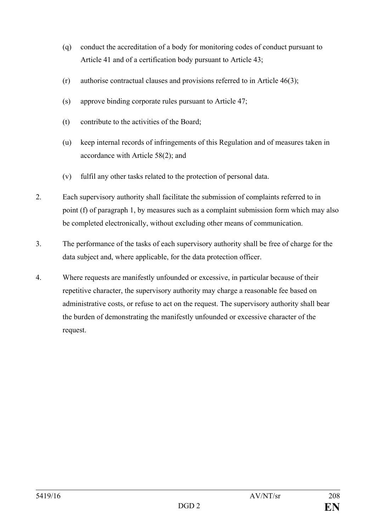- (q) conduct the accreditation of a body for monitoring codes of conduct pursuant to Article 41 and of a certification body pursuant to Article 43;
- (r) authorise contractual clauses and provisions referred to in Article 46(3);
- (s) approve binding corporate rules pursuant to Article 47;
- (t) contribute to the activities of the Board;
- (u) keep internal records of infringements of this Regulation and of measures taken in accordance with Article 58(2); and
- (v) fulfil any other tasks related to the protection of personal data.
- 2. Each supervisory authority shall facilitate the submission of complaints referred to in point (f) of paragraph 1, by measures such as a complaint submission form which may also be completed electronically, without excluding other means of communication.
- 3. The performance of the tasks of each supervisory authority shall be free of charge for the data subject and, where applicable, for the data protection officer.
- 4. Where requests are manifestly unfounded or excessive, in particular because of their repetitive character, the supervisory authority may charge a reasonable fee based on administrative costs, or refuse to act on the request. The supervisory authority shall bear the burden of demonstrating the manifestly unfounded or excessive character of the request.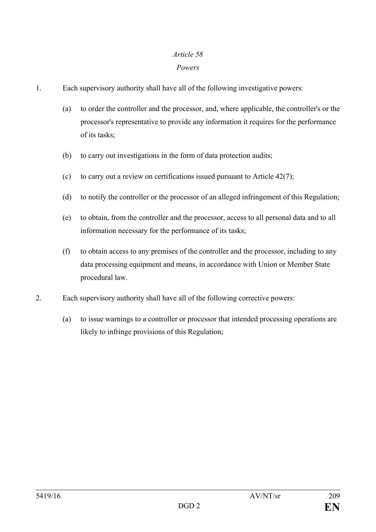#### *Powers*

- 1. Each supervisory authority shall have all of the following investigative powers:
	- (a) to order the controller and the processor, and, where applicable, the controller's or the processor's representative to provide any information it requires for the performance of its tasks;
	- (b) to carry out investigations in the form of data protection audits;
	- (c) to carry out a review on certifications issued pursuant to Article 42(7);
	- (d) to notify the controller or the processor of an alleged infringement of this Regulation;
	- (e) to obtain, from the controller and the processor, access to all personal data and to all information necessary for the performance of its tasks;
	- (f) to obtain access to any premises of the controller and the processor, including to any data processing equipment and means, in accordance with Union or Member State procedural law.
- 2. Each supervisory authority shall have all of the following corrective powers:
	- (a) to issue warnings to a controller or processor that intended processing operations are likely to infringe provisions of this Regulation;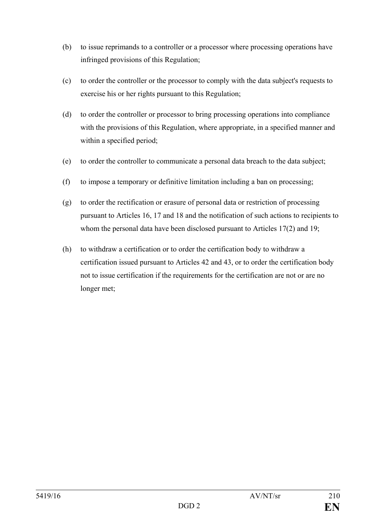- (b) to issue reprimands to a controller or a processor where processing operations have infringed provisions of this Regulation;
- (c) to order the controller or the processor to comply with the data subject's requests to exercise his or her rights pursuant to this Regulation;
- (d) to order the controller or processor to bring processing operations into compliance with the provisions of this Regulation, where appropriate, in a specified manner and within a specified period;
- (e) to order the controller to communicate a personal data breach to the data subject;
- (f) to impose a temporary or definitive limitation including a ban on processing;
- (g) to order the rectification or erasure of personal data or restriction of processing pursuant to Articles 16, 17 and 18 and the notification of such actions to recipients to whom the personal data have been disclosed pursuant to Articles 17(2) and 19;
- (h) to withdraw a certification or to order the certification body to withdraw a certification issued pursuant to Articles 42 and 43, or to order the certification body not to issue certification if the requirements for the certification are not or are no longer met;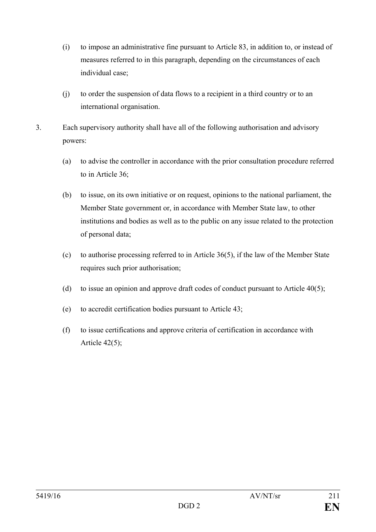- (i) to impose an administrative fine pursuant to Article 83, in addition to, or instead of measures referred to in this paragraph, depending on the circumstances of each individual case;
- (j) to order the suspension of data flows to a recipient in a third country or to an international organisation.
- 3. Each supervisory authority shall have all of the following authorisation and advisory powers:
	- (a) to advise the controller in accordance with the prior consultation procedure referred to in Article 36;
	- (b) to issue, on its own initiative or on request, opinions to the national parliament, the Member State government or, in accordance with Member State law, to other institutions and bodies as well as to the public on any issue related to the protection of personal data;
	- (c) to authorise processing referred to in Article 36(5), if the law of the Member State requires such prior authorisation;
	- (d) to issue an opinion and approve draft codes of conduct pursuant to Article  $40(5)$ ;
	- (e) to accredit certification bodies pursuant to Article 43;
	- (f) to issue certifications and approve criteria of certification in accordance with Article  $42(5)$ ;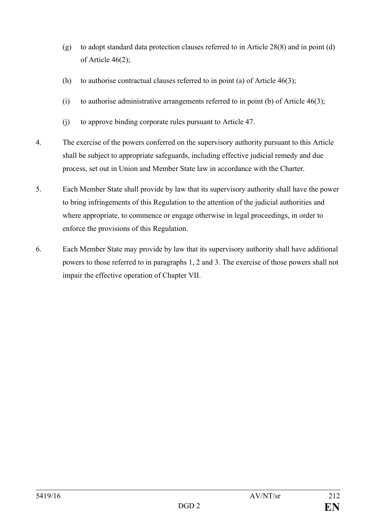- (g) to adopt standard data protection clauses referred to in Article 28(8) and in point (d) of Article 46(2);
- (h) to authorise contractual clauses referred to in point (a) of Article  $46(3)$ ;
- (i) to authorise administrative arrangements referred to in point (b) of Article  $46(3)$ ;
- (j) to approve binding corporate rules pursuant to Article 47.
- 4. The exercise of the powers conferred on the supervisory authority pursuant to this Article shall be subject to appropriate safeguards, including effective judicial remedy and due process, set out in Union and Member State law in accordance with the Charter.
- 5. Each Member State shall provide by law that its supervisory authority shall have the power to bring infringements of this Regulation to the attention of the judicial authorities and where appropriate, to commence or engage otherwise in legal proceedings, in order to enforce the provisions of this Regulation.
- 6. Each Member State may provide by law that its supervisory authority shall have additional powers to those referred to in paragraphs 1, 2 and 3. The exercise of those powers shall not impair the effective operation of Chapter VII.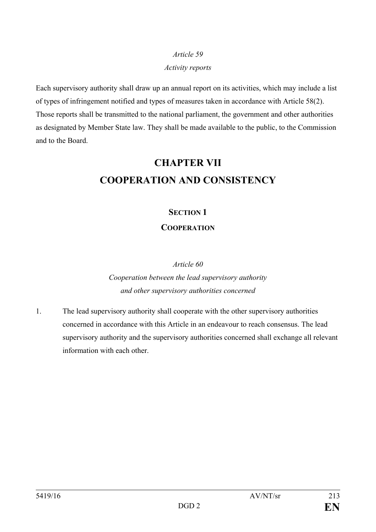#### *Activity reports*

Each supervisory authority shall draw up an annual report on its activities, which may include a list of types of infringement notified and types of measures taken in accordance with Article 58(2). Those reports shall be transmitted to the national parliament, the government and other authorities as designated by Member State law. They shall be made available to the public, to the Commission and to the Board.

# **CHAPTER VII COOPERATION AND CONSISTENCY**

# **SECTION 1 COOPERATION**

#### *Article 60*

*Cooperation between the lead supervisory authority and other supervisory authorities concerned*

1. The lead supervisory authority shall cooperate with the other supervisory authorities concerned in accordance with this Article in an endeavour to reach consensus. The lead supervisory authority and the supervisory authorities concerned shall exchange all relevant information with each other.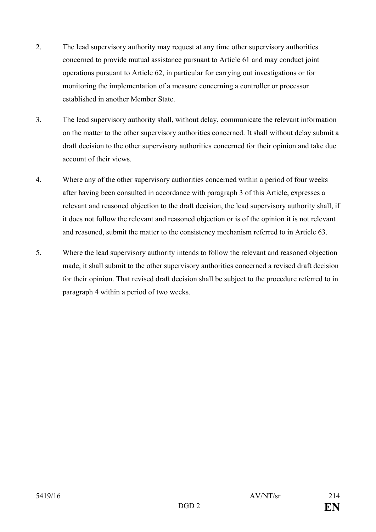- 2. The lead supervisory authority may request at any time other supervisory authorities concerned to provide mutual assistance pursuant to Article 61 and may conduct joint operations pursuant to Article 62, in particular for carrying out investigations or for monitoring the implementation of a measure concerning a controller or processor established in another Member State.
- 3. The lead supervisory authority shall, without delay, communicate the relevant information on the matter to the other supervisory authorities concerned. It shall without delay submit a draft decision to the other supervisory authorities concerned for their opinion and take due account of their views.
- 4. Where any of the other supervisory authorities concerned within a period of four weeks after having been consulted in accordance with paragraph 3 of this Article, expresses a relevant and reasoned objection to the draft decision, the lead supervisory authority shall, if it does not follow the relevant and reasoned objection or is of the opinion it is not relevant and reasoned, submit the matter to the consistency mechanism referred to in Article 63.
- 5. Where the lead supervisory authority intends to follow the relevant and reasoned objection made, it shall submit to the other supervisory authorities concerned a revised draft decision for their opinion. That revised draft decision shall be subject to the procedure referred to in paragraph 4 within a period of two weeks.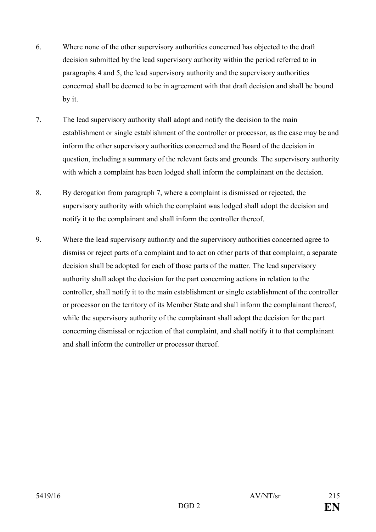- 6. Where none of the other supervisory authorities concerned has objected to the draft decision submitted by the lead supervisory authority within the period referred to in paragraphs 4 and 5, the lead supervisory authority and the supervisory authorities concerned shall be deemed to be in agreement with that draft decision and shall be bound by it.
- 7. The lead supervisory authority shall adopt and notify the decision to the main establishment or single establishment of the controller or processor, as the case may be and inform the other supervisory authorities concerned and the Board of the decision in question, including a summary of the relevant facts and grounds. The supervisory authority with which a complaint has been lodged shall inform the complainant on the decision.
- 8. By derogation from paragraph 7, where a complaint is dismissed or rejected, the supervisory authority with which the complaint was lodged shall adopt the decision and notify it to the complainant and shall inform the controller thereof.
- 9. Where the lead supervisory authority and the supervisory authorities concerned agree to dismiss or reject parts of a complaint and to act on other parts of that complaint, a separate decision shall be adopted for each of those parts of the matter. The lead supervisory authority shall adopt the decision for the part concerning actions in relation to the controller, shall notify it to the main establishment or single establishment of the controller or processor on the territory of its Member State and shall inform the complainant thereof, while the supervisory authority of the complainant shall adopt the decision for the part concerning dismissal or rejection of that complaint, and shall notify it to that complainant and shall inform the controller or processor thereof.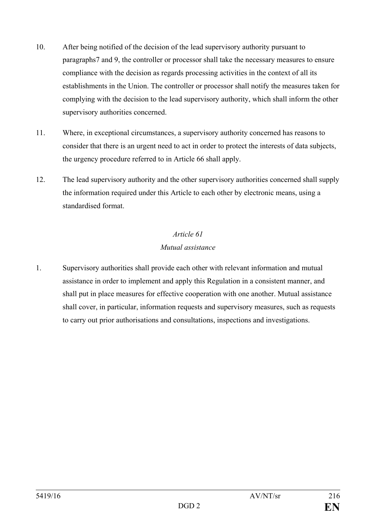- 10. After being notified of the decision of the lead supervisory authority pursuant to paragraphs7 and 9, the controller or processor shall take the necessary measures to ensure compliance with the decision as regards processing activities in the context of all its establishments in the Union. The controller or processor shall notify the measures taken for complying with the decision to the lead supervisory authority, which shall inform the other supervisory authorities concerned.
- 11. Where, in exceptional circumstances, a supervisory authority concerned has reasons to consider that there is an urgent need to act in order to protect the interests of data subjects, the urgency procedure referred to in Article 66 shall apply.
- 12. The lead supervisory authority and the other supervisory authorities concerned shall supply the information required under this Article to each other by electronic means, using a standardised format.

## *Article 61 Mutual assistance*

1. Supervisory authorities shall provide each other with relevant information and mutual assistance in order to implement and apply this Regulation in a consistent manner, and shall put in place measures for effective cooperation with one another. Mutual assistance shall cover, in particular, information requests and supervisory measures, such as requests to carry out prior authorisations and consultations, inspections and investigations.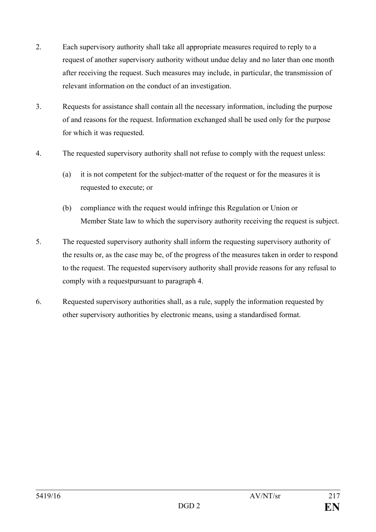- 2. Each supervisory authority shall take all appropriate measures required to reply to a request of another supervisory authority without undue delay and no later than one month after receiving the request. Such measures may include, in particular, the transmission of relevant information on the conduct of an investigation.
- 3. Requests for assistance shall contain all the necessary information, including the purpose of and reasons for the request. Information exchanged shall be used only for the purpose for which it was requested.
- 4. The requested supervisory authority shall not refuse to comply with the request unless:
	- (a) it is not competent for the subject-matter of the request or for the measures it is requested to execute; or
	- (b) compliance with the request would infringe this Regulation or Union or Member State law to which the supervisory authority receiving the request is subject.
- 5. The requested supervisory authority shall inform the requesting supervisory authority of the results or, as the case may be, of the progress of the measures taken in order to respond to the request. The requested supervisory authority shall provide reasons for any refusal to comply with a requestpursuant to paragraph 4.
- 6. Requested supervisory authorities shall, as a rule, supply the information requested by other supervisory authorities by electronic means, using a standardised format.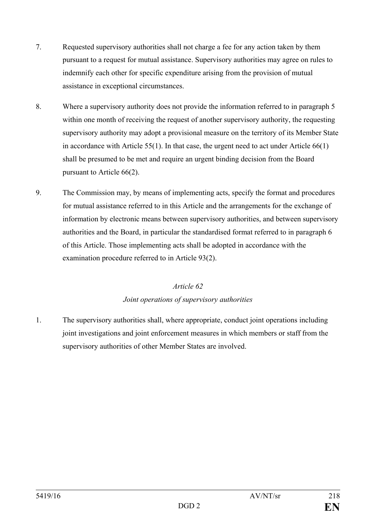- 7. Requested supervisory authorities shall not charge a fee for any action taken by them pursuant to a request for mutual assistance. Supervisory authorities may agree on rules to indemnify each other for specific expenditure arising from the provision of mutual assistance in exceptional circumstances.
- 8. Where a supervisory authority does not provide the information referred to in paragraph 5 within one month of receiving the request of another supervisory authority, the requesting supervisory authority may adopt a provisional measure on the territory of its Member State in accordance with Article  $55(1)$ . In that case, the urgent need to act under Article  $66(1)$ shall be presumed to be met and require an urgent binding decision from the Board pursuant to Article 66(2).
- 9. The Commission may, by means of implementing acts, specify the format and procedures for mutual assistance referred to in this Article and the arrangements for the exchange of information by electronic means between supervisory authorities, and between supervisory authorities and the Board, in particular the standardised format referred to in paragraph 6 of this Article. Those implementing acts shall be adopted in accordance with the examination procedure referred to in Article 93(2).

#### *Joint operations of supervisory authorities*

1. The supervisory authorities shall, where appropriate, conduct joint operations including joint investigations and joint enforcement measures in which members or staff from the supervisory authorities of other Member States are involved.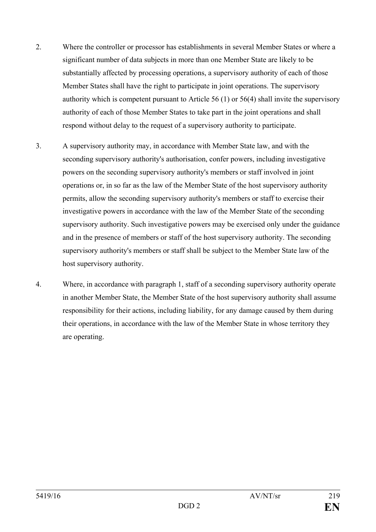- 2. Where the controller or processor has establishments in several Member States or where a significant number of data subjects in more than one Member State are likely to be substantially affected by processing operations, a supervisory authority of each of those Member States shall have the right to participate in joint operations. The supervisory authority which is competent pursuant to Article 56 (1) or 56(4) shall invite the supervisory authority of each of those Member States to take part in the joint operations and shall respond without delay to the request of a supervisory authority to participate.
- 3. A supervisory authority may, in accordance with Member State law, and with the seconding supervisory authority's authorisation, confer powers, including investigative powers on the seconding supervisory authority's members or staff involved in joint operations or, in so far as the law of the Member State of the host supervisory authority permits, allow the seconding supervisory authority's members or staff to exercise their investigative powers in accordance with the law of the Member State of the seconding supervisory authority. Such investigative powers may be exercised only under the guidance and in the presence of members or staff of the host supervisory authority. The seconding supervisory authority's members or staff shall be subject to the Member State law of the host supervisory authority.
- 4. Where, in accordance with paragraph 1, staff of a seconding supervisory authority operate in another Member State, the Member State of the host supervisory authority shall assume responsibility for their actions, including liability, for any damage caused by them during their operations, in accordance with the law of the Member State in whose territory they are operating.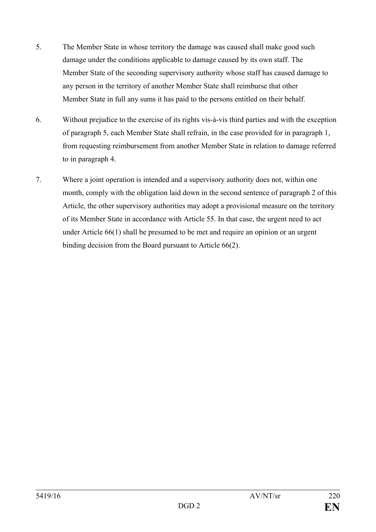- 5. The Member State in whose territory the damage was caused shall make good such damage under the conditions applicable to damage caused by its own staff. The Member State of the seconding supervisory authority whose staff has caused damage to any person in the territory of another Member State shall reimburse that other Member State in full any sums it has paid to the persons entitled on their behalf.
- 6. Without prejudice to the exercise of its rights vis-à-vis third parties and with the exception of paragraph 5, each Member State shall refrain, in the case provided for in paragraph 1, from requesting reimbursement from another Member State in relation to damage referred to in paragraph 4.
- 7. Where a joint operation is intended and a supervisory authority does not, within one month, comply with the obligation laid down in the second sentence of paragraph 2 of this Article, the other supervisory authorities may adopt a provisional measure on the territory of its Member State in accordance with Article 55. In that case, the urgent need to act under Article 66(1) shall be presumed to be met and require an opinion or an urgent binding decision from the Board pursuant to Article 66(2).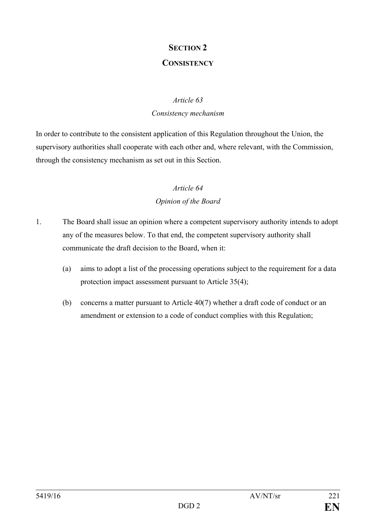#### **SECTION 2**

#### **CONSISTENCY**

## *Article 63 Consistency mechanism*

In order to contribute to the consistent application of this Regulation throughout the Union, the supervisory authorities shall cooperate with each other and, where relevant, with the Commission, through the consistency mechanism as set out in this Section.

## *Article 64 Opinion of the Board*

- 1. The Board shall issue an opinion where a competent supervisory authority intends to adopt any of the measures below. To that end, the competent supervisory authority shall communicate the draft decision to the Board, when it:
	- (a) aims to adopt a list of the processing operations subject to the requirement for a data protection impact assessment pursuant to Article 35(4);
	- (b) concerns a matter pursuant to Article 40(7) whether a draft code of conduct or an amendment or extension to a code of conduct complies with this Regulation;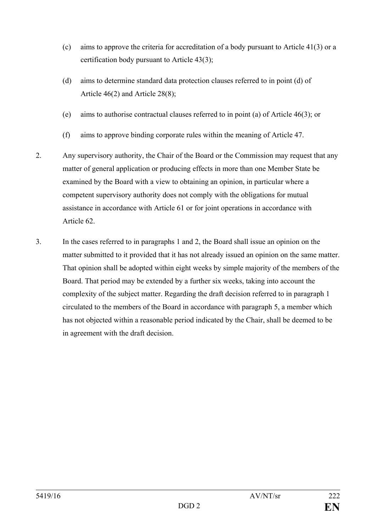- (c) aims to approve the criteria for accreditation of a body pursuant to Article 41(3) or a certification body pursuant to Article 43(3);
- (d) aims to determine standard data protection clauses referred to in point (d) of Article 46(2) and Article 28(8);
- (e) aims to authorise contractual clauses referred to in point (a) of Article 46(3); or
- (f) aims to approve binding corporate rules within the meaning of Article 47.
- 2. Any supervisory authority, the Chair of the Board or the Commission may request that any matter of general application or producing effects in more than one Member State be examined by the Board with a view to obtaining an opinion, in particular where a competent supervisory authority does not comply with the obligations for mutual assistance in accordance with Article 61 or for joint operations in accordance with Article 62.
- 3. In the cases referred to in paragraphs 1 and 2, the Board shall issue an opinion on the matter submitted to it provided that it has not already issued an opinion on the same matter. That opinion shall be adopted within eight weeks by simple majority of the members of the Board. That period may be extended by a further six weeks, taking into account the complexity of the subject matter. Regarding the draft decision referred to in paragraph 1 circulated to the members of the Board in accordance with paragraph 5, a member which has not objected within a reasonable period indicated by the Chair, shall be deemed to be in agreement with the draft decision.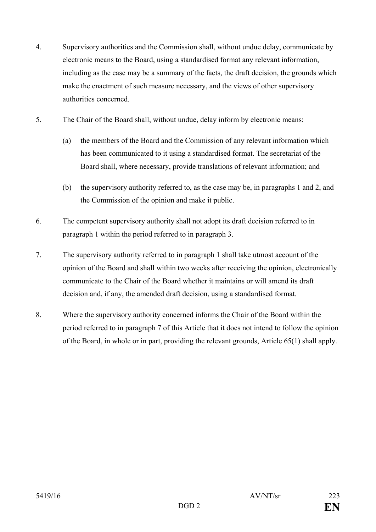- 4. Supervisory authorities and the Commission shall, without undue delay, communicate by electronic means to the Board, using a standardised format any relevant information, including as the case may be a summary of the facts, the draft decision, the grounds which make the enactment of such measure necessary, and the views of other supervisory authorities concerned.
- 5. The Chair of the Board shall, without undue, delay inform by electronic means:
	- (a) the members of the Board and the Commission of any relevant information which has been communicated to it using a standardised format. The secretariat of the Board shall, where necessary, provide translations of relevant information; and
	- (b) the supervisory authority referred to, as the case may be, in paragraphs 1 and 2, and the Commission of the opinion and make it public.
- 6. The competent supervisory authority shall not adopt its draft decision referred to in paragraph 1 within the period referred to in paragraph 3.
- 7. The supervisory authority referred to in paragraph 1 shall take utmost account of the opinion of the Board and shall within two weeks after receiving the opinion, electronically communicate to the Chair of the Board whether it maintains or will amend its draft decision and, if any, the amended draft decision, using a standardised format.
- 8. Where the supervisory authority concerned informs the Chair of the Board within the period referred to in paragraph 7 of this Article that it does not intend to follow the opinion of the Board, in whole or in part, providing the relevant grounds, Article 65(1) shall apply.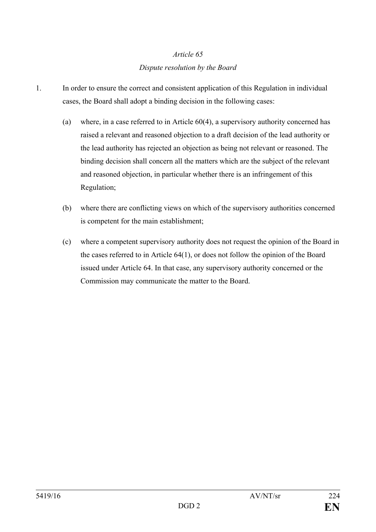## *Article 65 Dispute resolution by the Board*

- 1. In order to ensure the correct and consistent application of this Regulation in individual cases, the Board shall adopt a binding decision in the following cases:
	- (a) where, in a case referred to in Article 60(4), a supervisory authority concerned has raised a relevant and reasoned objection to a draft decision of the lead authority or the lead authority has rejected an objection as being not relevant or reasoned. The binding decision shall concern all the matters which are the subject of the relevant and reasoned objection, in particular whether there is an infringement of this Regulation;
	- (b) where there are conflicting views on which of the supervisory authorities concerned is competent for the main establishment;
	- (c) where a competent supervisory authority does not request the opinion of the Board in the cases referred to in Article 64(1), or does not follow the opinion of the Board issued under Article 64. In that case, any supervisory authority concerned or the Commission may communicate the matter to the Board.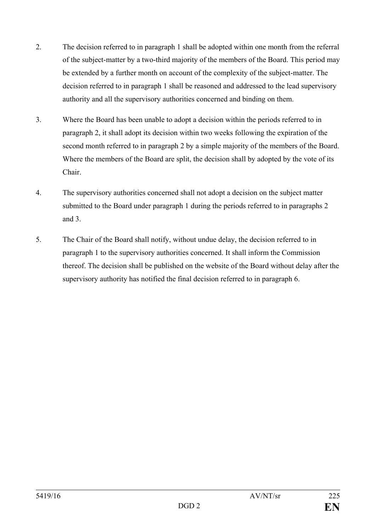- 2. The decision referred to in paragraph 1 shall be adopted within one month from the referral of the subject-matter by a two-third majority of the members of the Board. This period may be extended by a further month on account of the complexity of the subject-matter. The decision referred to in paragraph 1 shall be reasoned and addressed to the lead supervisory authority and all the supervisory authorities concerned and binding on them.
- 3. Where the Board has been unable to adopt a decision within the periods referred to in paragraph 2, it shall adopt its decision within two weeks following the expiration of the second month referred to in paragraph 2 by a simple majority of the members of the Board. Where the members of the Board are split, the decision shall by adopted by the vote of its Chair.
- 4. The supervisory authorities concerned shall not adopt a decision on the subject matter submitted to the Board under paragraph 1 during the periods referred to in paragraphs 2 and 3.
- 5. The Chair of the Board shall notify, without undue delay, the decision referred to in paragraph 1 to the supervisory authorities concerned. It shall inform the Commission thereof. The decision shall be published on the website of the Board without delay after the supervisory authority has notified the final decision referred to in paragraph 6.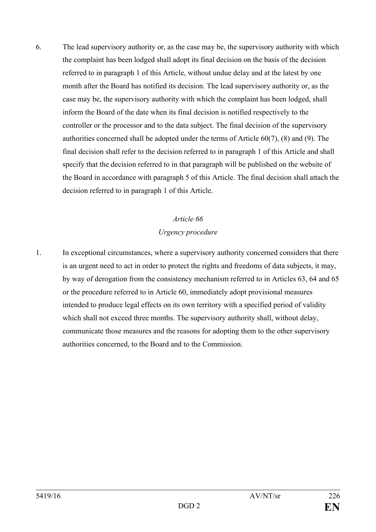6. The lead supervisory authority or, as the case may be, the supervisory authority with which the complaint has been lodged shall adopt its final decision on the basis of the decision referred to in paragraph 1 of this Article, without undue delay and at the latest by one month after the Board has notified its decision. The lead supervisory authority or, as the case may be, the supervisory authority with which the complaint has been lodged, shall inform the Board of the date when its final decision is notified respectively to the controller or the processor and to the data subject. The final decision of the supervisory authorities concerned shall be adopted under the terms of Article 60(7), (8) and (9). The final decision shall refer to the decision referred to in paragraph 1 of this Article and shall specify that the decision referred to in that paragraph will be published on the website of the Board in accordance with paragraph 5 of this Article. The final decision shall attach the decision referred to in paragraph 1 of this Article.

#### *Article 66 Urgency procedure*

1. In exceptional circumstances, where a supervisory authority concerned considers that there is an urgent need to act in order to protect the rights and freedoms of data subjects, it may, by way of derogation from the consistency mechanism referred to in Articles 63, 64 and 65 or the procedure referred to in Article 60, immediately adopt provisional measures intended to produce legal effects on its own territory with a specified period of validity which shall not exceed three months. The supervisory authority shall, without delay, communicate those measures and the reasons for adopting them to the other supervisory authorities concerned, to the Board and to the Commission.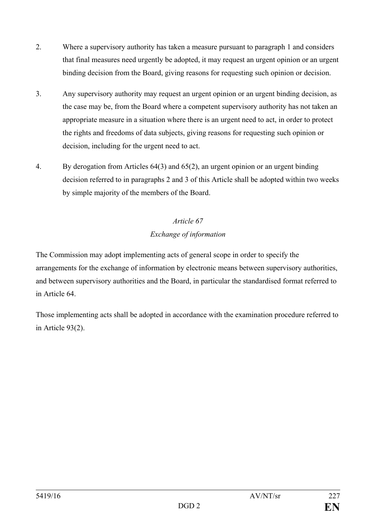- 2. Where a supervisory authority has taken a measure pursuant to paragraph 1 and considers that final measures need urgently be adopted, it may request an urgent opinion or an urgent binding decision from the Board, giving reasons for requesting such opinion or decision.
- 3. Any supervisory authority may request an urgent opinion or an urgent binding decision, as the case may be, from the Board where a competent supervisory authority has not taken an appropriate measure in a situation where there is an urgent need to act, in order to protect the rights and freedoms of data subjects, giving reasons for requesting such opinion or decision, including for the urgent need to act.
- 4. By derogation from Articles 64(3) and 65(2), an urgent opinion or an urgent binding decision referred to in paragraphs 2 and 3 of this Article shall be adopted within two weeks by simple majority of the members of the Board.

## *Article 67 Exchange of information*

The Commission may adopt implementing acts of general scope in order to specify the arrangements for the exchange of information by electronic means between supervisory authorities, and between supervisory authorities and the Board, in particular the standardised format referred to in Article 64.

Those implementing acts shall be adopted in accordance with the examination procedure referred to in Article 93(2).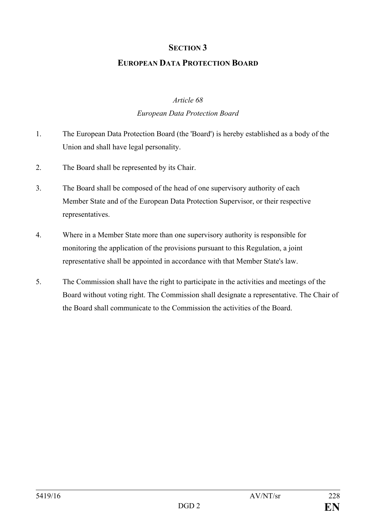#### **SECTION 3**

#### **EUROPEAN DATA PROTECTION BOARD**

#### *Article 68*

#### *European Data Protection Board*

- 1. The European Data Protection Board (the 'Board') is hereby established as a body of the Union and shall have legal personality.
- 2. The Board shall be represented by its Chair.
- 3. The Board shall be composed of the head of one supervisory authority of each Member State and of the European Data Protection Supervisor, or their respective representatives.
- 4. Where in a Member State more than one supervisory authority is responsible for monitoring the application of the provisions pursuant to this Regulation, a joint representative shall be appointed in accordance with that Member State's law.
- 5. The Commission shall have the right to participate in the activities and meetings of the Board without voting right. The Commission shall designate a representative. The Chair of the Board shall communicate to the Commission the activities of the Board.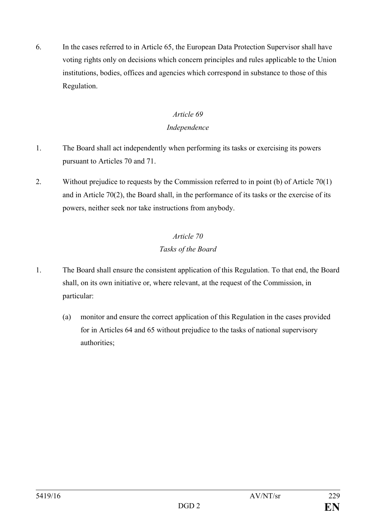6. In the cases referred to in Article 65, the European Data Protection Supervisor shall have voting rights only on decisions which concern principles and rules applicable to the Union institutions, bodies, offices and agencies which correspond in substance to those of this Regulation.

#### *Article 69*

#### *Independence*

- 1. The Board shall act independently when performing its tasks or exercising its powers pursuant to Articles 70 and 71.
- 2. Without prejudice to requests by the Commission referred to in point (b) of Article 70(1) and in Article 70(2), the Board shall, in the performance of its tasks or the exercise of its powers, neither seek nor take instructions from anybody.

## *Article 70 Tasks of the Board*

- 1. The Board shall ensure the consistent application of this Regulation. To that end, the Board shall, on its own initiative or, where relevant, at the request of the Commission, in particular:
	- (a) monitor and ensure the correct application of this Regulation in the cases provided for in Articles 64 and 65 without prejudice to the tasks of national supervisory authorities;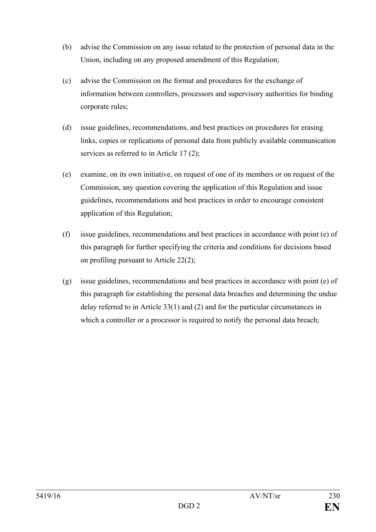- (b) advise the Commission on any issue related to the protection of personal data in the Union, including on any proposed amendment of this Regulation;
- (c) advise the Commission on the format and procedures for the exchange of information between controllers, processors and supervisory authorities for binding corporate rules;
- (d) issue guidelines, recommendations, and best practices on procedures for erasing links, copies or replications of personal data from publicly available communication services as referred to in Article 17 (2);
- (e) examine, on its own initiative, on request of one of its members or on request of the Commission, any question covering the application of this Regulation and issue guidelines, recommendations and best practices in order to encourage consistent application of this Regulation;
- (f) issue guidelines, recommendations and best practices in accordance with point (e) of this paragraph for further specifying the criteria and conditions for decisions based on profiling pursuant to Article 22(2);
- (g) issue guidelines, recommendations and best practices in accordance with point (e) of this paragraph for establishing the personal data breaches and determining the undue delay referred to in Article 33(1) and (2) and for the particular circumstances in which a controller or a processor is required to notify the personal data breach;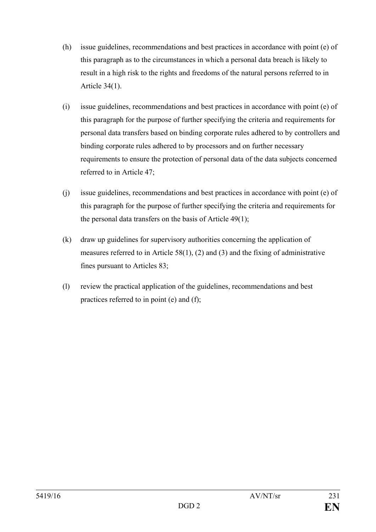- (h) issue guidelines, recommendations and best practices in accordance with point (e) of this paragraph as to the circumstances in which a personal data breach is likely to result in a high risk to the rights and freedoms of the natural persons referred to in Article 34(1).
- (i) issue guidelines, recommendations and best practices in accordance with point (e) of this paragraph for the purpose of further specifying the criteria and requirements for personal data transfers based on binding corporate rules adhered to by controllers and binding corporate rules adhered to by processors and on further necessary requirements to ensure the protection of personal data of the data subjects concerned referred to in Article 47;
- (j) issue guidelines, recommendations and best practices in accordance with point (e) of this paragraph for the purpose of further specifying the criteria and requirements for the personal data transfers on the basis of Article 49(1);
- (k) draw up guidelines for supervisory authorities concerning the application of measures referred to in Article 58(1), (2) and (3) and the fixing of administrative fines pursuant to Articles 83;
- (l) review the practical application of the guidelines, recommendations and best practices referred to in point (e) and (f);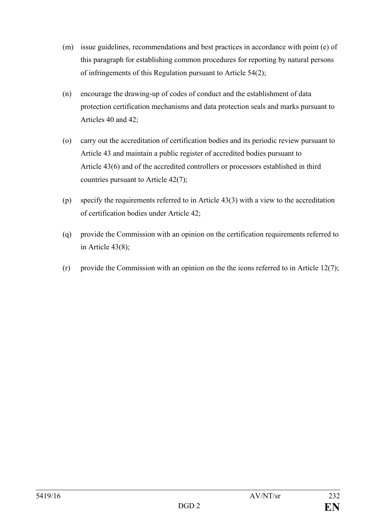- (m) issue guidelines, recommendations and best practices in accordance with point (e) of this paragraph for establishing common procedures for reporting by natural persons of infringements of this Regulation pursuant to Article 54(2);
- (n) encourage the drawing-up of codes of conduct and the establishment of data protection certification mechanisms and data protection seals and marks pursuant to Articles 40 and 42;
- (o) carry out the accreditation of certification bodies and its periodic review pursuant to Article 43 and maintain a public register of accredited bodies pursuant to Article 43(6) and of the accredited controllers or processors established in third countries pursuant to Article 42(7);
- (p) specify the requirements referred to in Article 43(3) with a view to the accreditation of certification bodies under Article 42;
- (q) provide the Commission with an opinion on the certification requirements referred to in Article 43(8);
- (r) provide the Commission with an opinion on the the icons referred to in Article  $12(7)$ ;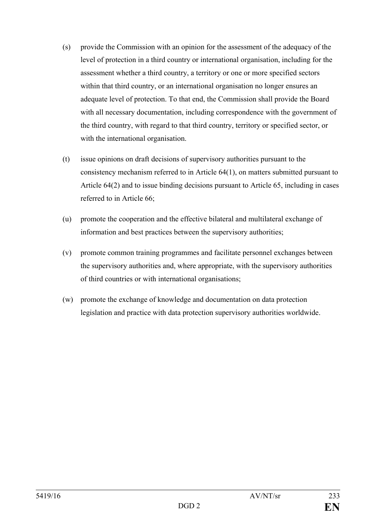- (s) provide the Commission with an opinion for the assessment of the adequacy of the level of protection in a third country or international organisation, including for the assessment whether a third country, a territory or one or more specified sectors within that third country, or an international organisation no longer ensures an adequate level of protection. To that end, the Commission shall provide the Board with all necessary documentation, including correspondence with the government of the third country, with regard to that third country, territory or specified sector, or with the international organisation.
- (t) issue opinions on draft decisions of supervisory authorities pursuant to the consistency mechanism referred to in Article 64(1), on matters submitted pursuant to Article 64(2) and to issue binding decisions pursuant to Article 65, including in cases referred to in Article 66;
- (u) promote the cooperation and the effective bilateral and multilateral exchange of information and best practices between the supervisory authorities;
- (v) promote common training programmes and facilitate personnel exchanges between the supervisory authorities and, where appropriate, with the supervisory authorities of third countries or with international organisations;
- (w) promote the exchange of knowledge and documentation on data protection legislation and practice with data protection supervisory authorities worldwide.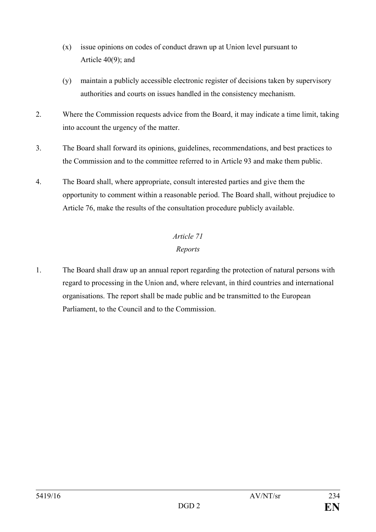- (x) issue opinions on codes of conduct drawn up at Union level pursuant to Article 40(9); and
- (y) maintain a publicly accessible electronic register of decisions taken by supervisory authorities and courts on issues handled in the consistency mechanism.
- 2. Where the Commission requests advice from the Board, it may indicate a time limit, taking into account the urgency of the matter.
- 3. The Board shall forward its opinions, guidelines, recommendations, and best practices to the Commission and to the committee referred to in Article 93 and make them public.
- 4. The Board shall, where appropriate, consult interested parties and give them the opportunity to comment within a reasonable period. The Board shall, without prejudice to Article 76, make the results of the consultation procedure publicly available.

## *Article 71 Reports*

1. The Board shall draw up an annual report regarding the protection of natural persons with regard to processing in the Union and, where relevant, in third countries and international organisations. The report shall be made public and be transmitted to the European Parliament, to the Council and to the Commission.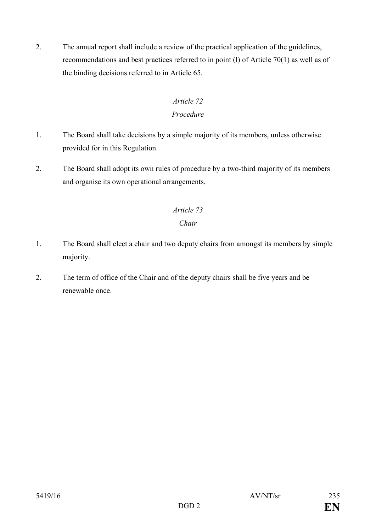2. The annual report shall include a review of the practical application of the guidelines, recommendations and best practices referred to in point (l) of Article 70(1) as well as of the binding decisions referred to in Article 65.

## *Article 72 Procedure*

- 1. The Board shall take decisions by a simple majority of its members, unless otherwise provided for in this Regulation.
- 2. The Board shall adopt its own rules of procedure by a two-third majority of its members and organise its own operational arrangements.

## *Article 73*

### *Chair*

- 1. The Board shall elect a chair and two deputy chairs from amongst its members by simple majority.
- 2. The term of office of the Chair and of the deputy chairs shall be five years and be renewable once.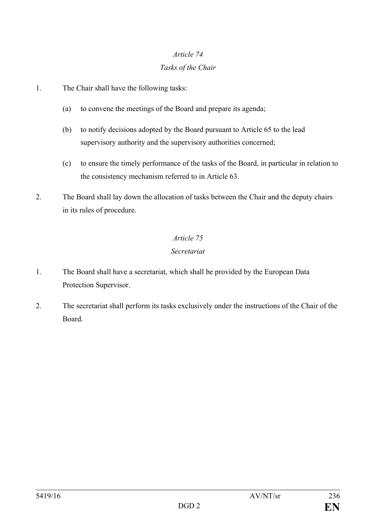#### *Tasks of the Chair*

- 1. The Chair shall have the following tasks:
	- (a) to convene the meetings of the Board and prepare its agenda;
	- (b) to notify decisions adopted by the Board pursuant to Article 65 to the lead supervisory authority and the supervisory authorities concerned;
	- (c) to ensure the timely performance of the tasks of the Board, in particular in relation to the consistency mechanism referred to in Article 63.
- 2. The Board shall lay down the allocation of tasks between the Chair and the deputy chairs in its rules of procedure.

#### *Article 75*

#### *Secretariat*

- 1. The Board shall have a secretariat, which shall be provided by the European Data Protection Supervisor.
- 2. The secretariat shall perform its tasks exclusively under the instructions of the Chair of the Board.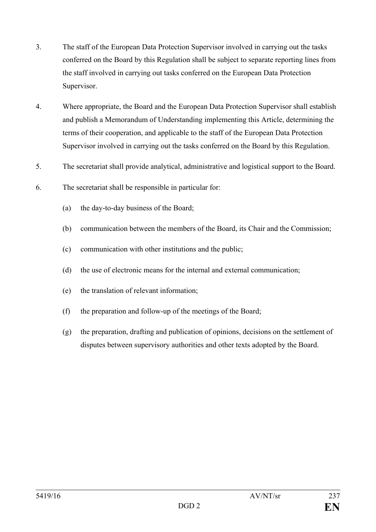- 3. The staff of the European Data Protection Supervisor involved in carrying out the tasks conferred on the Board by this Regulation shall be subject to separate reporting lines from the staff involved in carrying out tasks conferred on the European Data Protection Supervisor.
- 4. Where appropriate, the Board and the European Data Protection Supervisor shall establish and publish a Memorandum of Understanding implementing this Article, determining the terms of their cooperation, and applicable to the staff of the European Data Protection Supervisor involved in carrying out the tasks conferred on the Board by this Regulation.
- 5. The secretariat shall provide analytical, administrative and logistical support to the Board.
- 6. The secretariat shall be responsible in particular for:
	- (a) the day-to-day business of the Board;
	- (b) communication between the members of the Board, its Chair and the Commission;
	- (c) communication with other institutions and the public;
	- (d) the use of electronic means for the internal and external communication;
	- (e) the translation of relevant information;
	- (f) the preparation and follow-up of the meetings of the Board;
	- (g) the preparation, drafting and publication of opinions, decisions on the settlement of disputes between supervisory authorities and other texts adopted by the Board.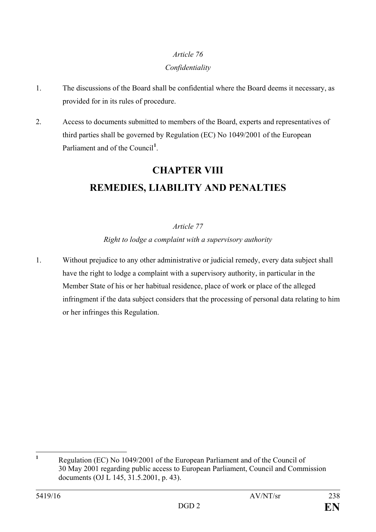#### *Confidentiality*

- 1. The discussions of the Board shall be confidential where the Board deems it necessary, as provided for in its rules of procedure.
- 2. Access to documents submitted to members of the Board, experts and representatives of third parties shall be governed by Regulation (EC) No 1049/2001 of the European Parliament and of the Council<sup>[1](#page-238-0)</sup>.

# **CHAPTER VIII REMEDIES, LIABILITY AND PENALTIES**

#### *Article 77*

*Right to lodge a complaint with a supervisory authority* 

1. Without prejudice to any other administrative or judicial remedy, every data subject shall have the right to lodge a complaint with a supervisory authority, in particular in the Member State of his or her habitual residence, place of work or place of the alleged infringment if the data subject considers that the processing of personal data relating to him or her infringes this Regulation.

<span id="page-238-0"></span> $\mathbf{1}$ **<sup>1</sup>** Regulation (EC) No 1049/2001 of the European Parliament and of the Council of 30 May 2001 regarding public access to European Parliament, Council and Commission documents (OJ L 145, 31.5.2001, p. 43).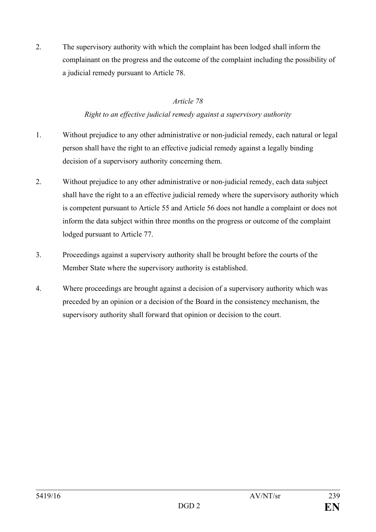2. The supervisory authority with which the complaint has been lodged shall inform the complainant on the progress and the outcome of the complaint including the possibility of a judicial remedy pursuant to Article 78.

#### *Article 78*

#### *Right to an effective judicial remedy against a supervisory authority*

- 1. Without prejudice to any other administrative or non-judicial remedy, each natural or legal person shall have the right to an effective judicial remedy against a legally binding decision of a supervisory authority concerning them.
- 2. Without prejudice to any other administrative or non-judicial remedy, each data subject shall have the right to a an effective judicial remedy where the supervisory authority which is competent pursuant to Article 55 and Article 56 does not handle a complaint or does not inform the data subject within three months on the progress or outcome of the complaint lodged pursuant to Article 77.
- 3. Proceedings against a supervisory authority shall be brought before the courts of the Member State where the supervisory authority is established.
- 4. Where proceedings are brought against a decision of a supervisory authority which was preceded by an opinion or a decision of the Board in the consistency mechanism, the supervisory authority shall forward that opinion or decision to the court.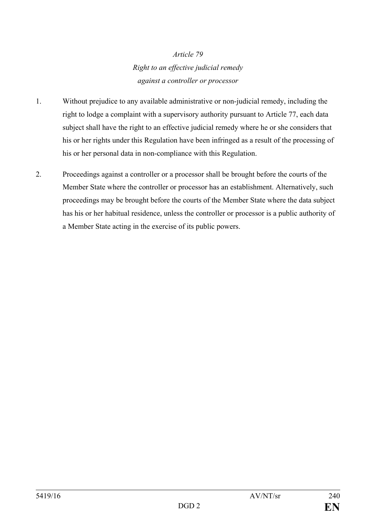## *Article 79 Right to an effective judicial remedy against a controller or processor*

- 1. Without prejudice to any available administrative or non-judicial remedy, including the right to lodge a complaint with a supervisory authority pursuant to Article 77, each data subject shall have the right to an effective judicial remedy where he or she considers that his or her rights under this Regulation have been infringed as a result of the processing of his or her personal data in non-compliance with this Regulation.
- 2. Proceedings against a controller or a processor shall be brought before the courts of the Member State where the controller or processor has an establishment. Alternatively, such proceedings may be brought before the courts of the Member State where the data subject has his or her habitual residence, unless the controller or processor is a public authority of a Member State acting in the exercise of its public powers.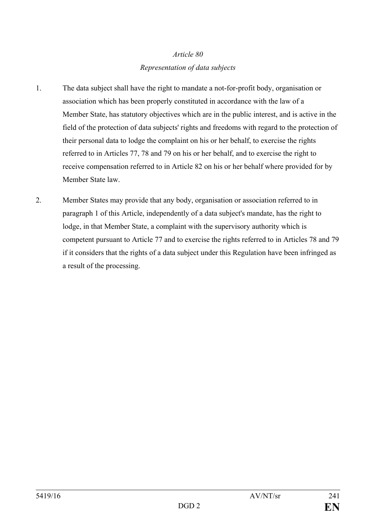## *Article 80 Representation of data subjects*

- 1. The data subject shall have the right to mandate a not-for-profit body, organisation or association which has been properly constituted in accordance with the law of a Member State, has statutory objectives which are in the public interest, and is active in the field of the protection of data subjects' rights and freedoms with regard to the protection of their personal data to lodge the complaint on his or her behalf, to exercise the rights referred to in Articles 77, 78 and 79 on his or her behalf, and to exercise the right to receive compensation referred to in Article 82 on his or her behalf where provided for by Member State law.
- 2. Member States may provide that any body, organisation or association referred to in paragraph 1 of this Article, independently of a data subject's mandate, has the right to lodge, in that Member State, a complaint with the supervisory authority which is competent pursuant to Article 77 and to exercise the rights referred to in Articles 78 and 79 if it considers that the rights of a data subject under this Regulation have been infringed as a result of the processing.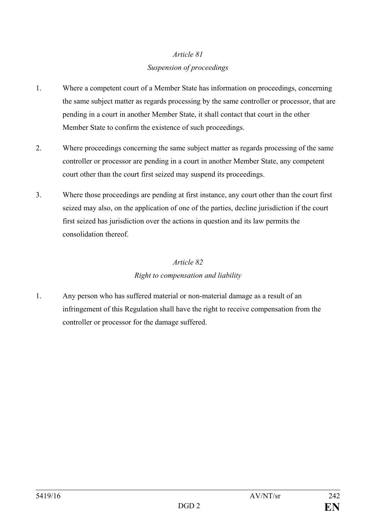#### *Suspension of proceedings*

- 1. Where a competent court of a Member State has information on proceedings, concerning the same subject matter as regards processing by the same controller or processor, that are pending in a court in another Member State, it shall contact that court in the other Member State to confirm the existence of such proceedings.
- 2. Where proceedings concerning the same subject matter as regards processing of the same controller or processor are pending in a court in another Member State, any competent court other than the court first seized may suspend its proceedings.
- 3. Where those proceedings are pending at first instance, any court other than the court first seized may also, on the application of one of the parties, decline jurisdiction if the court first seized has jurisdiction over the actions in question and its law permits the consolidation thereof.

### *Article 82*

## *Right to compensation and liability*

1. Any person who has suffered material or non-material damage as a result of an infringement of this Regulation shall have the right to receive compensation from the controller or processor for the damage suffered.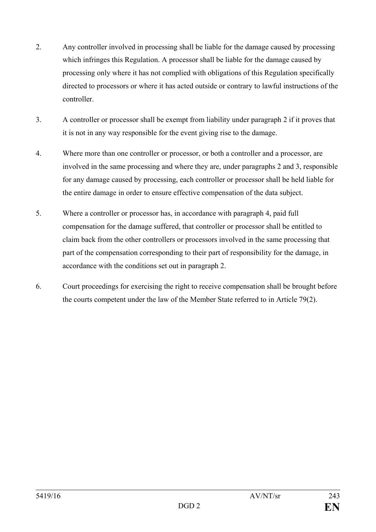- 2. Any controller involved in processing shall be liable for the damage caused by processing which infringes this Regulation. A processor shall be liable for the damage caused by processing only where it has not complied with obligations of this Regulation specifically directed to processors or where it has acted outside or contrary to lawful instructions of the controller.
- 3. A controller or processor shall be exempt from liability under paragraph 2 if it proves that it is not in any way responsible for the event giving rise to the damage.
- 4. Where more than one controller or processor, or both a controller and a processor, are involved in the same processing and where they are, under paragraphs 2 and 3, responsible for any damage caused by processing, each controller or processor shall be held liable for the entire damage in order to ensure effective compensation of the data subject.
- 5. Where a controller or processor has, in accordance with paragraph 4, paid full compensation for the damage suffered, that controller or processor shall be entitled to claim back from the other controllers or processors involved in the same processing that part of the compensation corresponding to their part of responsibility for the damage, in accordance with the conditions set out in paragraph 2.
- 6. Court proceedings for exercising the right to receive compensation shall be brought before the courts competent under the law of the Member State referred to in Article 79(2).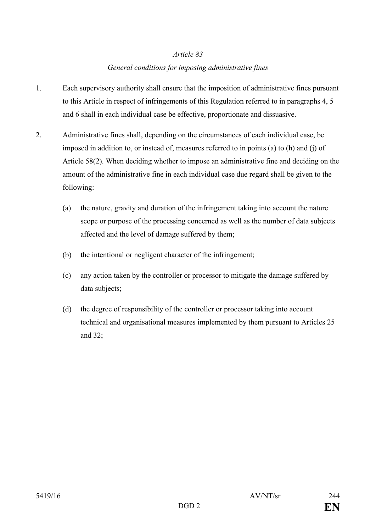#### *General conditions for imposing administrative fines*

- 1. Each supervisory authority shall ensure that the imposition of administrative fines pursuant to this Article in respect of infringements of this Regulation referred to in paragraphs 4, 5 and 6 shall in each individual case be effective, proportionate and dissuasive.
- 2. Administrative fines shall, depending on the circumstances of each individual case, be imposed in addition to, or instead of, measures referred to in points (a) to (h) and (j) of Article 58(2). When deciding whether to impose an administrative fine and deciding on the amount of the administrative fine in each individual case due regard shall be given to the following:
	- (a) the nature, gravity and duration of the infringement taking into account the nature scope or purpose of the processing concerned as well as the number of data subjects affected and the level of damage suffered by them;
	- (b) the intentional or negligent character of the infringement;
	- (c) any action taken by the controller or processor to mitigate the damage suffered by data subjects;
	- (d) the degree of responsibility of the controller or processor taking into account technical and organisational measures implemented by them pursuant to Articles 25 and 32;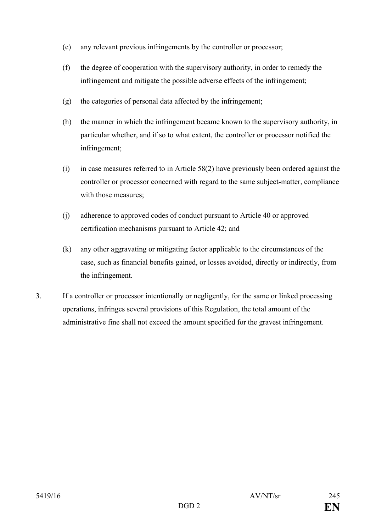- (e) any relevant previous infringements by the controller or processor;
- (f) the degree of cooperation with the supervisory authority, in order to remedy the infringement and mitigate the possible adverse effects of the infringement;
- (g) the categories of personal data affected by the infringement;
- (h) the manner in which the infringement became known to the supervisory authority, in particular whether, and if so to what extent, the controller or processor notified the infringement;
- (i) in case measures referred to in Article 58(2) have previously been ordered against the controller or processor concerned with regard to the same subject-matter, compliance with those measures;
- (j) adherence to approved codes of conduct pursuant to Article 40 or approved certification mechanisms pursuant to Article 42; and
- (k) any other aggravating or mitigating factor applicable to the circumstances of the case, such as financial benefits gained, or losses avoided, directly or indirectly, from the infringement.
- 3. If a controller or processor intentionally or negligently, for the same or linked processing operations, infringes several provisions of this Regulation, the total amount of the administrative fine shall not exceed the amount specified for the gravest infringement.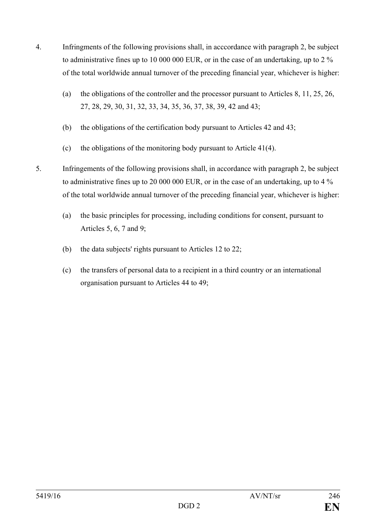- 4. Infringments of the following provisions shall, in acccordance with paragraph 2, be subject to administrative fines up to 10 000 000 EUR, or in the case of an undertaking, up to 2 % of the total worldwide annual turnover of the preceding financial year, whichever is higher:
	- (a) the obligations of the controller and the processor pursuant to Articles 8, 11, 25, 26, 27, 28, 29, 30, 31, 32, 33, 34, 35, 36, 37, 38, 39, 42 and 43;
	- (b) the obligations of the certification body pursuant to Articles 42 and 43;
	- (c) the obligations of the monitoring body pursuant to Article 41(4).
- 5. Infringements of the following provisions shall, in accordance with paragraph 2, be subject to administrative fines up to 20 000 000 EUR, or in the case of an undertaking, up to 4 % of the total worldwide annual turnover of the preceding financial year, whichever is higher:
	- (a) the basic principles for processing, including conditions for consent, pursuant to Articles 5, 6, 7 and 9;
	- (b) the data subjects' rights pursuant to Articles 12 to 22;
	- (c) the transfers of personal data to a recipient in a third country or an international organisation pursuant to Articles 44 to 49;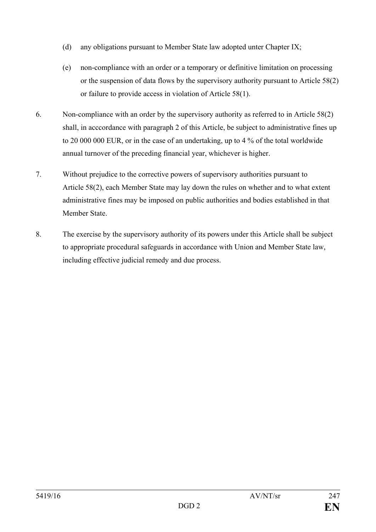- (d) any obligations pursuant to Member State law adopted unter Chapter IX;
- (e) non-compliance with an order or a temporary or definitive limitation on processing or the suspension of data flows by the supervisory authority pursuant to Article 58(2) or failure to provide access in violation of Article 58(1).
- 6. Non-compliance with an order by the supervisory authority as referred to in Article 58(2) shall, in acccordance with paragraph 2 of this Article, be subject to administrative fines up to 20 000 000 EUR, or in the case of an undertaking, up to 4 % of the total worldwide annual turnover of the preceding financial year, whichever is higher.
- 7. Without prejudice to the corrective powers of supervisory authorities pursuant to Article 58(2), each Member State may lay down the rules on whether and to what extent administrative fines may be imposed on public authorities and bodies established in that Member State.
- 8. The exercise by the supervisory authority of its powers under this Article shall be subject to appropriate procedural safeguards in accordance with Union and Member State law, including effective judicial remedy and due process.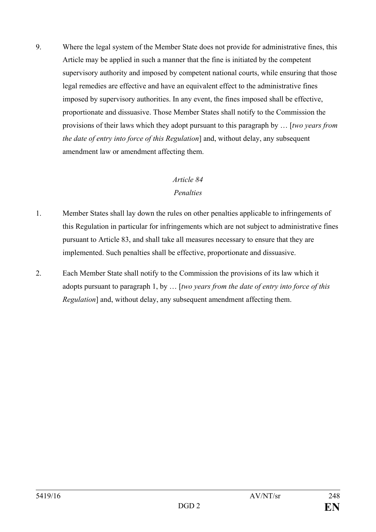9. Where the legal system of the Member State does not provide for administrative fines, this Article may be applied in such a manner that the fine is initiated by the competent supervisory authority and imposed by competent national courts, while ensuring that those legal remedies are effective and have an equivalent effect to the administrative fines imposed by supervisory authorities. In any event, the fines imposed shall be effective, proportionate and dissuasive. Those Member States shall notify to the Commission the provisions of their laws which they adopt pursuant to this paragraph by … [*two years from the date of entry into force of this Regulation*] and, without delay, any subsequent amendment law or amendment affecting them.

## *Article 84*

#### *Penalties*

- 1. Member States shall lay down the rules on other penalties applicable to infringements of this Regulation in particular for infringements which are not subject to administrative fines pursuant to Article 83, and shall take all measures necessary to ensure that they are implemented. Such penalties shall be effective, proportionate and dissuasive.
- 2. Each Member State shall notify to the Commission the provisions of its law which it adopts pursuant to paragraph 1, by … [*two years from the date of entry into force of this Regulation*] and, without delay, any subsequent amendment affecting them.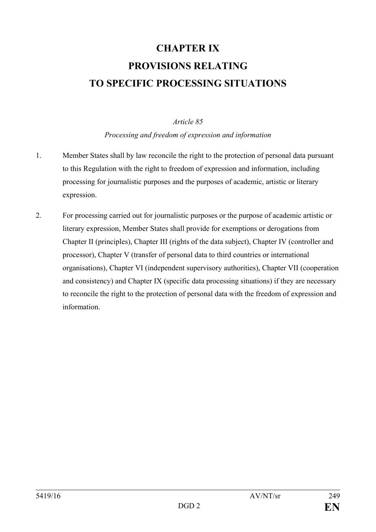# **CHAPTER IX PROVISIONS RELATING TO SPECIFIC PROCESSING SITUATIONS**

#### *Article 85*

#### *Processing and freedom of expression and information*

- 1. Member States shall by law reconcile the right to the protection of personal data pursuant to this Regulation with the right to freedom of expression and information, including processing for journalistic purposes and the purposes of academic, artistic or literary expression.
- 2. For processing carried out for journalistic purposes or the purpose of academic artistic or literary expression, Member States shall provide for exemptions or derogations from Chapter II (principles), Chapter III (rights of the data subject), Chapter IV (controller and processor), Chapter V (transfer of personal data to third countries or international organisations), Chapter VI (independent supervisory authorities), Chapter VII (cooperation and consistency) and Chapter IX (specific data processing situations) if they are necessary to reconcile the right to the protection of personal data with the freedom of expression and information.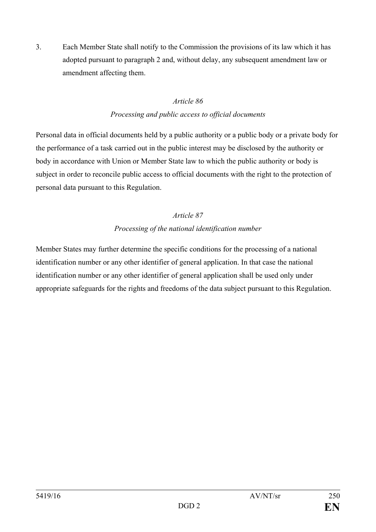3. Each Member State shall notify to the Commission the provisions of its law which it has adopted pursuant to paragraph 2 and, without delay, any subsequent amendment law or amendment affecting them.

#### *Article 86*

#### *Processing and public access to official documents*

Personal data in official documents held by a public authority or a public body or a private body for the performance of a task carried out in the public interest may be disclosed by the authority or body in accordance with Union or Member State law to which the public authority or body is subject in order to reconcile public access to official documents with the right to the protection of personal data pursuant to this Regulation.

#### *Article 87*

#### *Processing of the national identification number*

Member States may further determine the specific conditions for the processing of a national identification number or any other identifier of general application. In that case the national identification number or any other identifier of general application shall be used only under appropriate safeguards for the rights and freedoms of the data subject pursuant to this Regulation.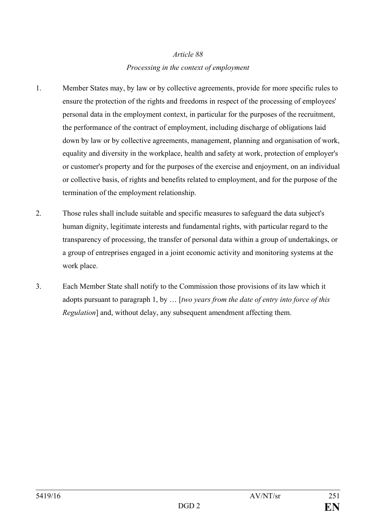## *Article 88 Processing in the context of employment*

- 1. Member States may, by law or by collective agreements, provide for more specific rules to ensure the protection of the rights and freedoms in respect of the processing of employees' personal data in the employment context, in particular for the purposes of the recruitment, the performance of the contract of employment, including discharge of obligations laid down by law or by collective agreements, management, planning and organisation of work, equality and diversity in the workplace, health and safety at work, protection of employer's or customer's property and for the purposes of the exercise and enjoyment, on an individual or collective basis, of rights and benefits related to employment, and for the purpose of the termination of the employment relationship.
- 2. Those rules shall include suitable and specific measures to safeguard the data subject's human dignity, legitimate interests and fundamental rights, with particular regard to the transparency of processing, the transfer of personal data within a group of undertakings, or a group of entreprises engaged in a joint economic activity and monitoring systems at the work place.
- 3. Each Member State shall notify to the Commission those provisions of its law which it adopts pursuant to paragraph 1, by … [*two years from the date of entry into force of this Regulation*] and, without delay, any subsequent amendment affecting them.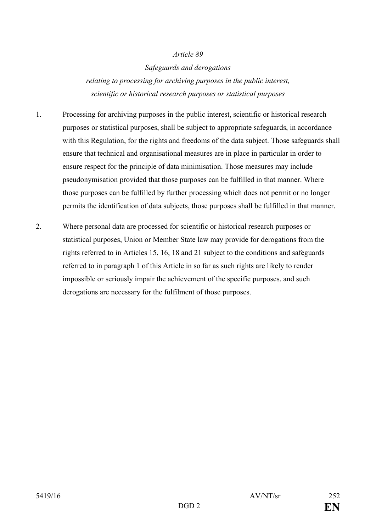*Safeguards and derogations relating to processing for archiving purposes in the public interest, scientific or historical research purposes or statistical purposes*

- 1. Processing for archiving purposes in the public interest, scientific or historical research purposes or statistical purposes, shall be subject to appropriate safeguards, in accordance with this Regulation, for the rights and freedoms of the data subject. Those safeguards shall ensure that technical and organisational measures are in place in particular in order to ensure respect for the principle of data minimisation. Those measures may include pseudonymisation provided that those purposes can be fulfilled in that manner. Where those purposes can be fulfilled by further processing which does not permit or no longer permits the identification of data subjects, those purposes shall be fulfilled in that manner.
- 2. Where personal data are processed for scientific or historical research purposes or statistical purposes, Union or Member State law may provide for derogations from the rights referred to in Articles 15, 16, 18 and 21 subject to the conditions and safeguards referred to in paragraph 1 of this Article in so far as such rights are likely to render impossible or seriously impair the achievement of the specific purposes, and such derogations are necessary for the fulfilment of those purposes.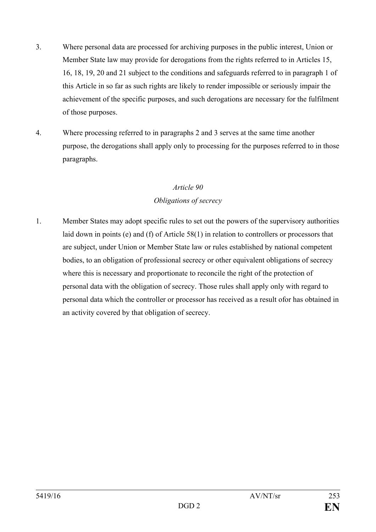- 3. Where personal data are processed for archiving purposes in the public interest, Union or Member State law may provide for derogations from the rights referred to in Articles 15, 16, 18, 19, 20 and 21 subject to the conditions and safeguards referred to in paragraph 1 of this Article in so far as such rights are likely to render impossible or seriously impair the achievement of the specific purposes, and such derogations are necessary for the fulfilment of those purposes.
- 4. Where processing referred to in paragraphs 2 and 3 serves at the same time another purpose, the derogations shall apply only to processing for the purposes referred to in those paragraphs.

### *Article 90 Obligations of secrecy*

1. Member States may adopt specific rules to set out the powers of the supervisory authorities laid down in points (e) and (f) of Article 58(1) in relation to controllers or processors that are subject, under Union or Member State law or rules established by national competent bodies, to an obligation of professional secrecy or other equivalent obligations of secrecy where this is necessary and proportionate to reconcile the right of the protection of personal data with the obligation of secrecy. Those rules shall apply only with regard to personal data which the controller or processor has received as a result ofor has obtained in an activity covered by that obligation of secrecy.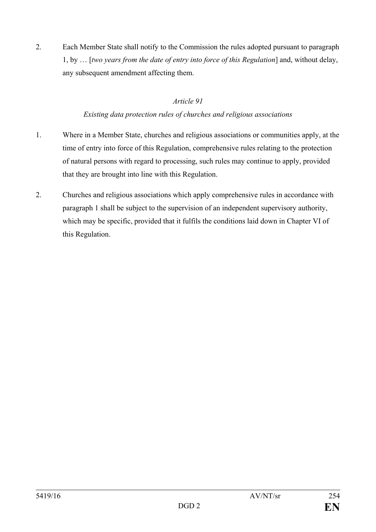2. Each Member State shall notify to the Commission the rules adopted pursuant to paragraph 1, by … [*two years from the date of entry into force of this Regulation*] and, without delay, any subsequent amendment affecting them.

### *Article 91*

### *Existing data protection rules of churches and religious associations*

- 1. Where in a Member State, churches and religious associations or communities apply, at the time of entry into force of this Regulation, comprehensive rules relating to the protection of natural persons with regard to processing, such rules may continue to apply, provided that they are brought into line with this Regulation.
- 2. Churches and religious associations which apply comprehensive rules in accordance with paragraph 1 shall be subject to the supervision of an independent supervisory authority, which may be specific, provided that it fulfils the conditions laid down in Chapter VI of this Regulation.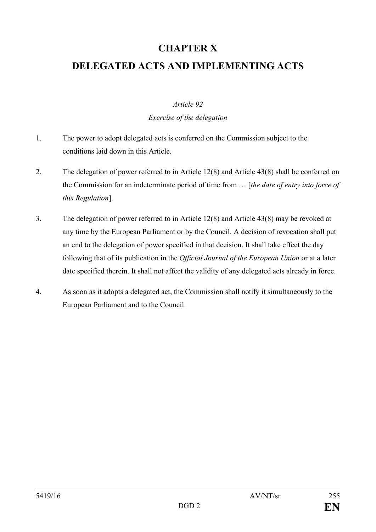# **CHAPTER X**

# **DELEGATED ACTS AND IMPLEMENTING ACTS**

#### *Article 92*

### *Exercise of the delegation*

- 1. The power to adopt delegated acts is conferred on the Commission subject to the conditions laid down in this Article.
- 2. The delegation of power referred to in Article 12(8) and Article 43(8) shall be conferred on the Commission for an indeterminate period of time from … [*the date of entry into force of this Regulation*].
- 3. The delegation of power referred to in Article 12(8) and Article 43(8) may be revoked at any time by the European Parliament or by the Council. A decision of revocation shall put an end to the delegation of power specified in that decision. It shall take effect the day following that of its publication in the *Official Journal of the European Union* or at a later date specified therein. It shall not affect the validity of any delegated acts already in force.
- 4. As soon as it adopts a delegated act, the Commission shall notify it simultaneously to the European Parliament and to the Council.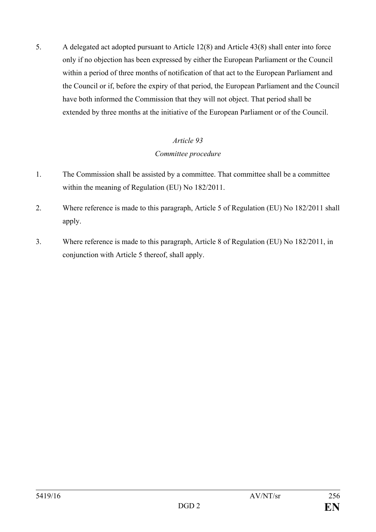5. A delegated act adopted pursuant to Article 12(8) and Article 43(8) shall enter into force only if no objection has been expressed by either the European Parliament or the Council within a period of three months of notification of that act to the European Parliament and the Council or if, before the expiry of that period, the European Parliament and the Council have both informed the Commission that they will not object. That period shall be extended by three months at the initiative of the European Parliament or of the Council.

# *Article 93 Committee procedure*

- 1. The Commission shall be assisted by a committee. That committee shall be a committee within the meaning of Regulation (EU) No 182/2011.
- 2. Where reference is made to this paragraph, Article 5 of Regulation (EU) No 182/2011 shall apply.
- 3. Where reference is made to this paragraph, Article 8 of Regulation (EU) No 182/2011, in conjunction with Article 5 thereof, shall apply.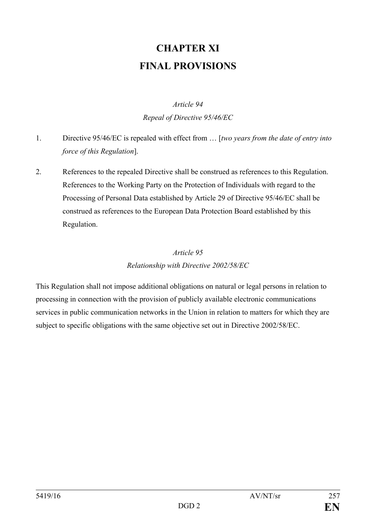# **CHAPTER XI FINAL PROVISIONS**

### *Article 94 Repeal of Directive 95/46/EC*

- 1. Directive 95/46/EC is repealed with effect from … [*two years from the date of entry into force of this Regulation*].
- 2. References to the repealed Directive shall be construed as references to this Regulation. References to the Working Party on the Protection of Individuals with regard to the Processing of Personal Data established by Article 29 of Directive 95/46/EC shall be construed as references to the European Data Protection Board established by this Regulation.

# *Article 95 Relationship with Directive 2002/58/EC*

This Regulation shall not impose additional obligations on natural or legal persons in relation to processing in connection with the provision of publicly available electronic communications services in public communication networks in the Union in relation to matters for which they are subject to specific obligations with the same objective set out in Directive 2002/58/EC.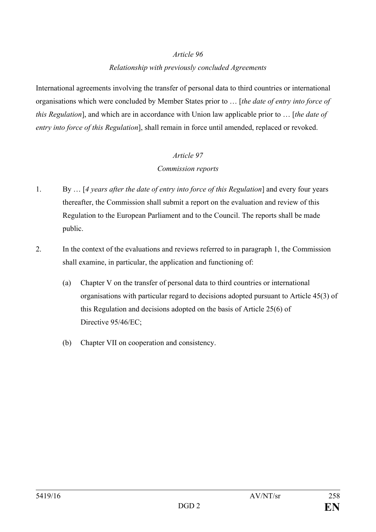### *Relationship with previously concluded Agreements*

International agreements involving the transfer of personal data to third countries or international organisations which were concluded by Member States prior to … [*the date of entry into force of this Regulation*], and which are in accordance with Union law applicable prior to … [*the date of entry into force of this Regulation*], shall remain in force until amended, replaced or revoked.

# *Article 97*

### *Commission reports*

- 1. By … [*4 years after the date of entry into force of this Regulation*] and every four years thereafter, the Commission shall submit a report on the evaluation and review of this Regulation to the European Parliament and to the Council. The reports shall be made public.
- 2. In the context of the evaluations and reviews referred to in paragraph 1, the Commission shall examine, in particular, the application and functioning of:
	- (a) Chapter V on the transfer of personal data to third countries or international organisations with particular regard to decisions adopted pursuant to Article 45(3) of this Regulation and decisions adopted on the basis of Article 25(6) of Directive 95/46/EC;
	- (b) Chapter VII on cooperation and consistency.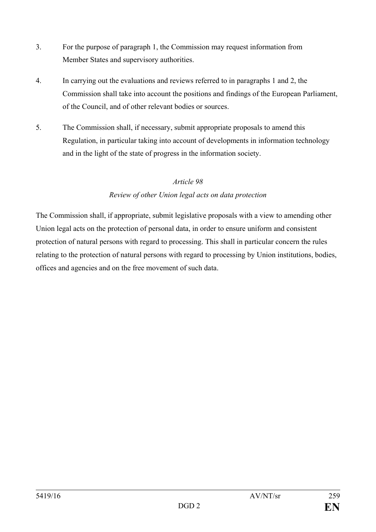- 3. For the purpose of paragraph 1, the Commission may request information from Member States and supervisory authorities.
- 4. In carrying out the evaluations and reviews referred to in paragraphs 1 and 2, the Commission shall take into account the positions and findings of the European Parliament, of the Council, and of other relevant bodies or sources.
- 5. The Commission shall, if necessary, submit appropriate proposals to amend this Regulation, in particular taking into account of developments in information technology and in the light of the state of progress in the information society.

### *Review of other Union legal acts on data protection*

The Commission shall, if appropriate, submit legislative proposals with a view to amending other Union legal acts on the protection of personal data, in order to ensure uniform and consistent protection of natural persons with regard to processing. This shall in particular concern the rules relating to the protection of natural persons with regard to processing by Union institutions, bodies, offices and agencies and on the free movement of such data.